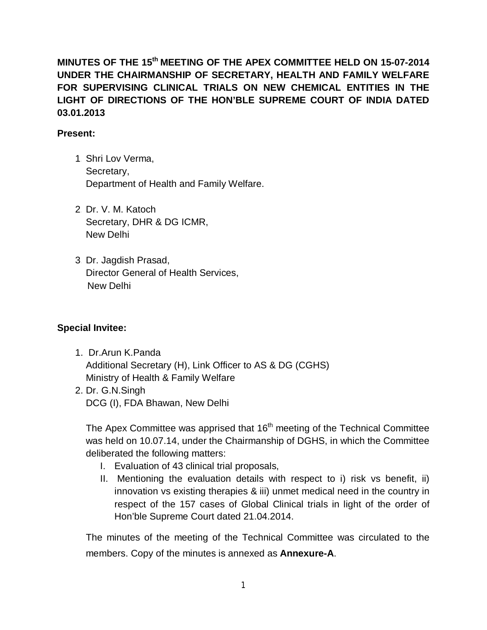**MINUTES OF THE 15 th MEETING OF THE APEX COMMITTEE HELD ON 15-07-2014 UNDER THE CHAIRMANSHIP OF SECRETARY, HEALTH AND FAMILY WELFARE FOR SUPERVISING CLINICAL TRIALS ON NEW CHEMICAL ENTITIES IN THE LIGHT OF DIRECTIONS OF THE HON'BLE SUPREME COURT OF INDIA DATED 03.01.2013**

#### **Present:**

- 1. Shri Lov Verma, Secretary, Department of Health and Family Welfare.
- 2. Dr. V. M. Katoch Secretary, DHR & DG ICMR, New Delhi
- 3. Dr. Jagdish Prasad, Director General of Health Services, New Delhi

### **Special Invitee:**

- 1. Dr.Arun K.Panda Additional Secretary (H), Link Officer to AS & DG (CGHS) Ministry of Health & Family Welfare
- 2. Dr. G.N.Singh DCG (I), FDA Bhawan, New Delhi

The Apex Committee was apprised that 16<sup>th</sup> meeting of the Technical Committee was held on 10.07.14, under the Chairmanship of DGHS, in which the Committee deliberated the following matters:

- I. Evaluation of 43 clinical trial proposals,
- II. Mentioning the evaluation details with respect to i) risk vs benefit, ii) innovation vs existing therapies & iii) unmet medical need in the country in respect of the 157 cases of Global Clinical trials in light of the order of Hon'ble Supreme Court dated 21.04.2014.

The minutes of the meeting of the Technical Committee was circulated to the members. Copy of the minutes is annexed as **Annexure-A**.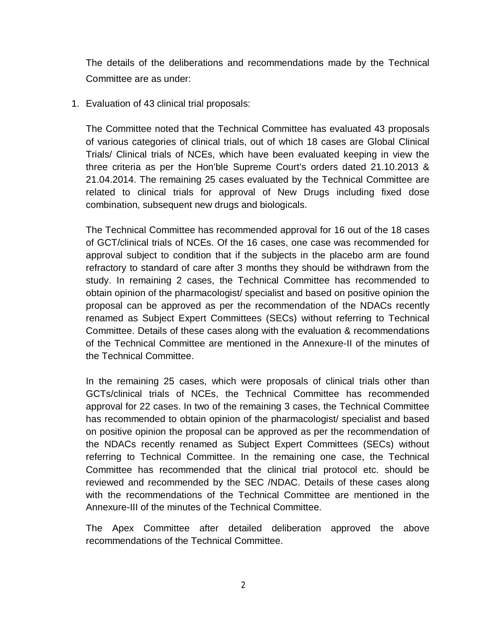The details of the deliberations and recommendations made by the Technical Committee are as under:

1. Evaluation of 43 clinical trial proposals:

The Committee noted that the Technical Committee has evaluated 43 proposals of various categories of clinical trials, out of which 18 cases are Global Clinical Trials/ Clinical trials of NCEs, which have been evaluated keeping in view the three criteria as per the Hon'ble Supreme Court's orders dated 21.10.2013 & 21.04.2014. The remaining 25 cases evaluated by the Technical Committee are related to clinical trials for approval of New Drugs including fixed dose combination, subsequent new drugs and biologicals.

The Technical Committee has recommended approval for 16 out of the 18 cases of GCT/clinical trials of NCEs. Of the 16 cases, one case was recommended for approval subject to condition that if the subjects in the placebo arm are found refractory to standard of care after 3 months they should be withdrawn from the study. In remaining 2 cases, the Technical Committee has recommended to obtain opinion of the pharmacologist/ specialist and based on positive opinion the proposal can be approved as per the recommendation of the NDACs recently renamed as Subject Expert Committees (SECs) without referring to Technical Committee. Details of these cases along with the evaluation & recommendations of the Technical Committee are mentioned in the Annexure-II of the minutes of the Technical Committee.

In the remaining 25 cases, which were proposals of clinical trials other than GCTs/clinical trials of NCEs, the Technical Committee has recommended approval for 22 cases. In two of the remaining 3 cases, the Technical Committee has recommended to obtain opinion of the pharmacologist/ specialist and based on positive opinion the proposal can be approved as per the recommendation of the NDACs recently renamed as Subject Expert Committees (SECs) without referring to Technical Committee. In the remaining one case, the Technical Committee has recommended that the clinical trial protocol etc. should be reviewed and recommended by the SEC /NDAC. Details of these cases along with the recommendations of the Technical Committee are mentioned in the Annexure-III of the minutes of the Technical Committee.

The Apex Committee after detailed deliberation approved the above recommendations of the Technical Committee.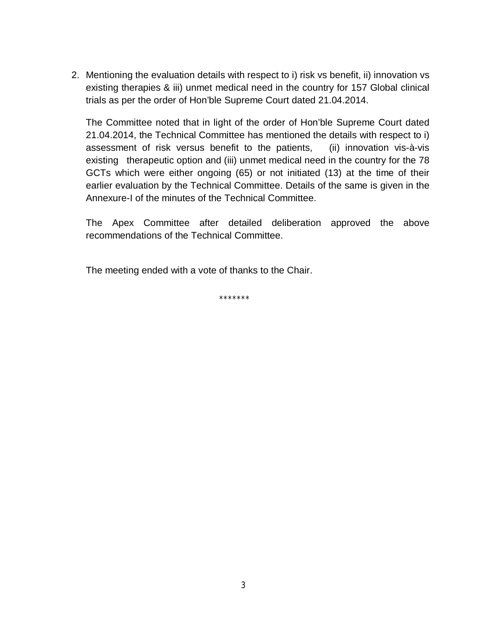2. Mentioning the evaluation details with respect to i) risk vs benefit, ii) innovation vs existing therapies & iii) unmet medical need in the country for 157 Global clinical trials as per the order of Hon'ble Supreme Court dated 21.04.2014.

The Committee noted that in light of the order of Hon'ble Supreme Court dated 21.04.2014, the Technical Committee has mentioned the details with respect to i) assessment of risk versus benefit to the patients, (ii) innovation vis-à-vis existing therapeutic option and (iii) unmet medical need in the country for the 78 GCTs which were either ongoing (65) or not initiated (13) at the time of their earlier evaluation by the Technical Committee. Details of the same is given in the Annexure-I of the minutes of the Technical Committee.

The Apex Committee after detailed deliberation approved the above recommendations of the Technical Committee.

The meeting ended with a vote of thanks to the Chair.

\*\*\*\*\*\*\*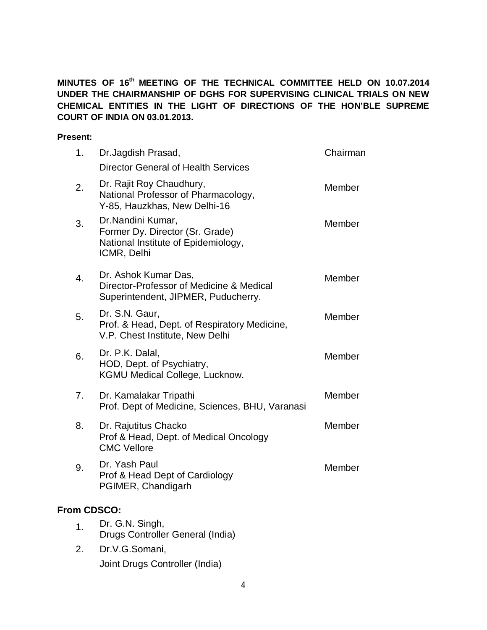**MINUTES OF 16 th MEETING OF THE TECHNICAL COMMITTEE HELD ON 10.07.2014 UNDER THE CHAIRMANSHIP OF DGHS FOR SUPERVISING CLINICAL TRIALS ON NEW CHEMICAL ENTITIES IN THE LIGHT OF DIRECTIONS OF THE HON'BLE SUPREME COURT OF INDIA ON 03.01.2013.**

#### **Present:**

| 1.          | Dr.Jagdish Prasad,                                                                                         | Chairman |
|-------------|------------------------------------------------------------------------------------------------------------|----------|
|             | <b>Director General of Health Services</b>                                                                 |          |
| 2.          | Dr. Rajit Roy Chaudhury,<br>National Professor of Pharmacology,<br>Y-85, Hauzkhas, New Delhi-16            | Member   |
| 3.          | Dr.Nandini Kumar,<br>Former Dy. Director (Sr. Grade)<br>National Institute of Epidemiology,<br>ICMR, Delhi | Member   |
| 4.          | Dr. Ashok Kumar Das,<br>Director-Professor of Medicine & Medical<br>Superintendent, JIPMER, Puducherry.    | Member   |
| 5.          | Dr. S.N. Gaur,<br>Prof. & Head, Dept. of Respiratory Medicine,<br>V.P. Chest Institute, New Delhi          | Member   |
| 6.          | Dr. P.K. Dalal,<br>HOD, Dept. of Psychiatry,<br><b>KGMU Medical College, Lucknow.</b>                      | Member   |
| 7.          | Dr. Kamalakar Tripathi<br>Prof. Dept of Medicine, Sciences, BHU, Varanasi                                  | Member   |
| 8.          | Dr. Rajutitus Chacko<br>Prof & Head, Dept. of Medical Oncology<br><b>CMC Vellore</b>                       | Member   |
| 9.          | Dr. Yash Paul<br>Prof & Head Dept of Cardiology<br>PGIMER, Chandigarh                                      | Member   |
| From CDSCO: |                                                                                                            |          |
| 1.          | Dr. G.N. Singh,                                                                                            |          |
|             |                                                                                                            |          |

- Drugs Controller General (India)
- 2. Dr.V.G.Somani, Joint Drugs Controller (India)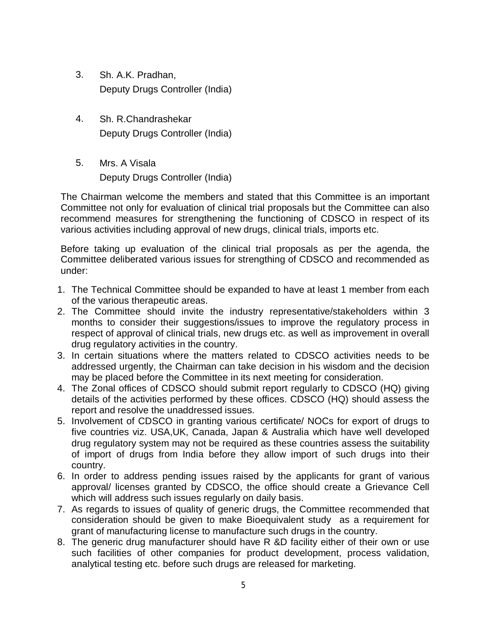- 3. Sh. A.K. Pradhan, Deputy Drugs Controller (India)
- 4. Sh. R.Chandrashekar Deputy Drugs Controller (India)
- 5. Mrs. A Visala Deputy Drugs Controller (India)

The Chairman welcome the members and stated that this Committee is an important Committee not only for evaluation of clinical trial proposals but the Committee can also recommend measures for strengthening the functioning of CDSCO in respect of its various activities including approval of new drugs, clinical trials, imports etc.

Before taking up evaluation of the clinical trial proposals as per the agenda, the Committee deliberated various issues for strengthing of CDSCO and recommended as under:

- 1. The Technical Committee should be expanded to have at least 1 member from each of the various therapeutic areas.
- 2. The Committee should invite the industry representative/stakeholders within 3 months to consider their suggestions/issues to improve the regulatory process in respect of approval of clinical trials, new drugs etc. as well as improvement in overall drug regulatory activities in the country.
- 3. In certain situations where the matters related to CDSCO activities needs to be addressed urgently, the Chairman can take decision in his wisdom and the decision may be placed before the Committee in its next meeting for consideration.
- 4. The Zonal offices of CDSCO should submit report regularly to CDSCO (HQ) giving details of the activities performed by these offices. CDSCO (HQ) should assess the report and resolve the unaddressed issues.
- 5. Involvement of CDSCO in granting various certificate/ NOCs for export of drugs to five countries viz. USA,UK, Canada, Japan & Australia which have well developed drug regulatory system may not be required as these countries assess the suitability of import of drugs from India before they allow import of such drugs into their country.
- 6. In order to address pending issues raised by the applicants for grant of various approval/ licenses granted by CDSCO, the office should create a Grievance Cell which will address such issues regularly on daily basis.
- 7. As regards to issues of quality of generic drugs, the Committee recommended that consideration should be given to make Bioequivalent study as a requirement for grant of manufacturing license to manufacture such drugs in the country.
- 8. The generic drug manufacturer should have R &D facility either of their own or use such facilities of other companies for product development, process validation, analytical testing etc. before such drugs are released for marketing.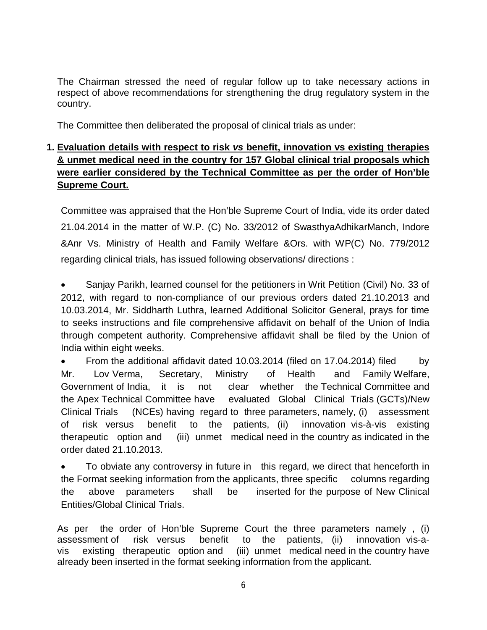The Chairman stressed the need of regular follow up to take necessary actions in respect of above recommendations for strengthening the drug regulatory system in the country.

The Committee then deliberated the proposal of clinical trials as under:

## **1. Evaluation details with respect to risk** *vs* **benefit, innovation vs existing therapies & unmet medical need in the country for 157 Global clinical trial proposals which were earlier considered by the Technical Committee as per the order of Hon'ble Supreme Court.**

Committee was appraised that the Hon'ble Supreme Court of India, vide its order dated 21.04.2014 in the matter of W.P. (C) No. 33/2012 of SwasthyaAdhikarManch, Indore &Anr Vs. Ministry of Health and Family Welfare &Ors. with WP(C) No. 779/2012 regarding clinical trials, has issued following observations/ directions :

 Sanjay Parikh, learned counsel for the petitioners in Writ Petition (Civil) No. 33 of 2012, with regard to non-compliance of our previous orders dated 21.10.2013 and 10.03.2014, Mr. Siddharth Luthra, learned Additional Solicitor General, prays for time to seeks instructions and file comprehensive affidavit on behalf of the Union of India through competent authority. Comprehensive affidavit shall be filed by the Union of India within eight weeks.

• From the additional affidavit dated 10.03.2014 (filed on 17.04.2014) filed by Mr. Lov Verma, Secretary, Ministry of Health and Family Welfare, Government of India, it is not clear whether the Technical Committee and the Apex Technical Committee have evaluated Global Clinical Trials (GCTs)/New Clinical Trials (NCEs) having regard to three parameters, namely, (i) assessment of risk versus benefit to the patients, (ii) innovation vis-à-vis existing therapeutic option and (iii) unmet medical need in the country as indicated in the order dated 21.10.2013.

 To obviate any controversy in future in this regard, we direct that henceforth in the Format seeking information from the applicants, three specific columns regarding the above parameters shall be inserted for the purpose of New Clinical Entities/Global Clinical Trials.

As per the order of Hon'ble Supreme Court the three parameters namely , (i) assessment of risk versus benefit to the patients, (ii) innovation vis-avis existing therapeutic option and (iii) unmet medical need in the country have already been inserted in the format seeking information from the applicant.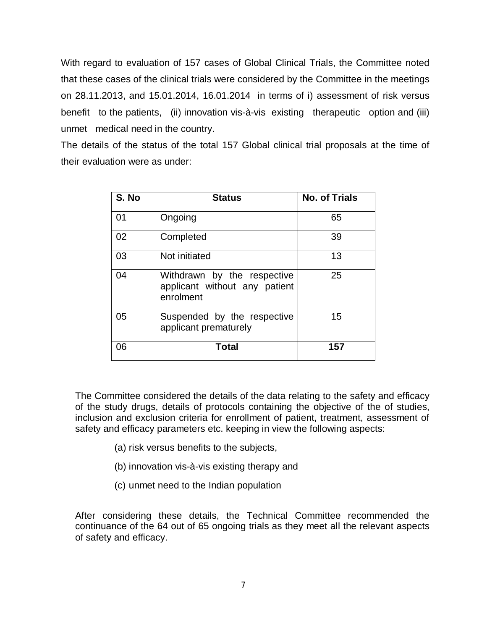With regard to evaluation of 157 cases of Global Clinical Trials, the Committee noted that these cases of the clinical trials were considered by the Committee in the meetings on 28.11.2013, and 15.01.2014, 16.01.2014 in terms of i) assessment of risk versus benefit to the patients, (ii) innovation vis-à-vis existing therapeutic option and (iii) unmet medical need in the country.

The details of the status of the total 157 Global clinical trial proposals at the time of their evaluation were as under:

| S. No | <b>Status</b>                                                             | <b>No. of Trials</b> |
|-------|---------------------------------------------------------------------------|----------------------|
| 01    | Ongoing                                                                   | 65                   |
| 02    | Completed                                                                 | 39                   |
| 03    | Not initiated                                                             | 13                   |
| 04    | Withdrawn by the respective<br>applicant without any patient<br>enrolment | 25                   |
| 05    | Suspended by the respective<br>applicant prematurely                      | 15                   |
| 06    | Total                                                                     | 157                  |

The Committee considered the details of the data relating to the safety and efficacy of the study drugs, details of protocols containing the objective of the of studies, inclusion and exclusion criteria for enrollment of patient, treatment, assessment of safety and efficacy parameters etc. keeping in view the following aspects:

- (a) risk versus benefits to the subjects,
- (b) innovation vis-à-vis existing therapy and
- (c) unmet need to the Indian population

After considering these details, the Technical Committee recommended the continuance of the 64 out of 65 ongoing trials as they meet all the relevant aspects of safety and efficacy.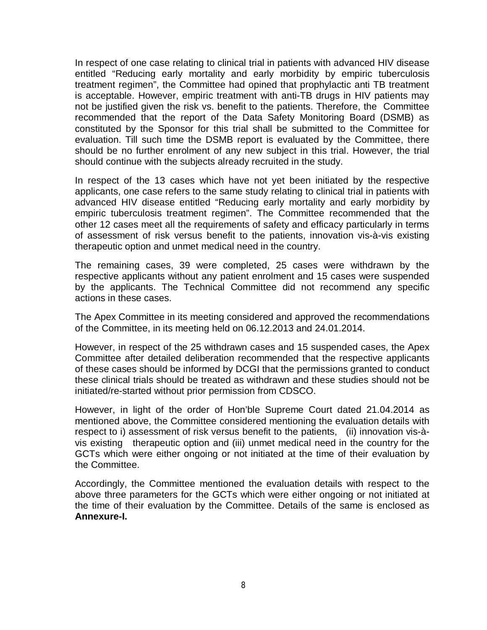In respect of one case relating to clinical trial in patients with advanced HIV disease entitled "Reducing early mortality and early morbidity by empiric tuberculosis treatment regimen", the Committee had opined that prophylactic anti TB treatment is acceptable. However, empiric treatment with anti-TB drugs in HIV patients may not be justified given the risk vs. benefit to the patients. Therefore, the Committee recommended that the report of the Data Safety Monitoring Board (DSMB) as constituted by the Sponsor for this trial shall be submitted to the Committee for evaluation. Till such time the DSMB report is evaluated by the Committee, there should be no further enrolment of any new subject in this trial. However, the trial should continue with the subjects already recruited in the study.

In respect of the 13 cases which have not yet been initiated by the respective applicants, one case refers to the same study relating to clinical trial in patients with advanced HIV disease entitled "Reducing early mortality and early morbidity by empiric tuberculosis treatment regimen". The Committee recommended that the other 12 cases meet all the requirements of safety and efficacy particularly in terms of assessment of risk versus benefit to the patients, innovation vis-à-vis existing therapeutic option and unmet medical need in the country.

The remaining cases, 39 were completed, 25 cases were withdrawn by the respective applicants without any patient enrolment and 15 cases were suspended by the applicants. The Technical Committee did not recommend any specific actions in these cases.

The Apex Committee in its meeting considered and approved the recommendations of the Committee, in its meeting held on 06.12.2013 and 24.01.2014.

However, in respect of the 25 withdrawn cases and 15 suspended cases, the Apex Committee after detailed deliberation recommended that the respective applicants of these cases should be informed by DCGI that the permissions granted to conduct these clinical trials should be treated as withdrawn and these studies should not be initiated/re-started without prior permission from CDSCO.

However, in light of the order of Hon'ble Supreme Court dated 21.04.2014 as mentioned above, the Committee considered mentioning the evaluation details with respect to i) assessment of risk versus benefit to the patients, (ii) innovation vis-àvis existing therapeutic option and (iii) unmet medical need in the country for the GCTs which were either ongoing or not initiated at the time of their evaluation by the Committee.

Accordingly, the Committee mentioned the evaluation details with respect to the above three parameters for the GCTs which were either ongoing or not initiated at the time of their evaluation by the Committee. Details of the same is enclosed as **Annexure-I.**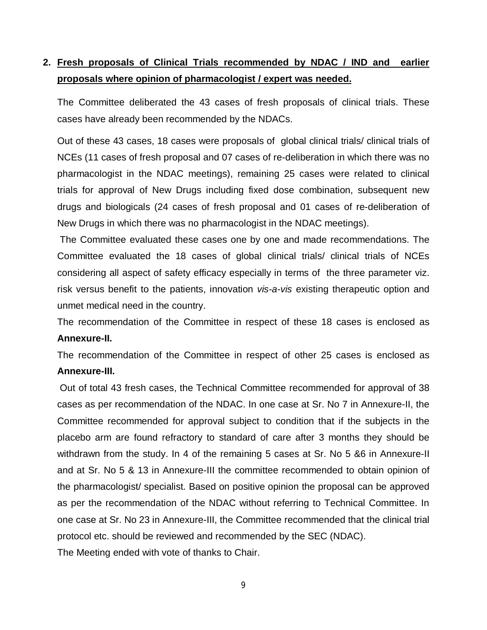# **2. Fresh proposals of Clinical Trials recommended by NDAC / IND and earlier proposals where opinion of pharmacologist / expert was needed.**

The Committee deliberated the 43 cases of fresh proposals of clinical trials. These cases have already been recommended by the NDACs.

Out of these 43 cases, 18 cases were proposals of global clinical trials/ clinical trials of NCEs (11 cases of fresh proposal and 07 cases of re-deliberation in which there was no pharmacologist in the NDAC meetings), remaining 25 cases were related to clinical trials for approval of New Drugs including fixed dose combination, subsequent new drugs and biologicals (24 cases of fresh proposal and 01 cases of re-deliberation of New Drugs in which there was no pharmacologist in the NDAC meetings).

The Committee evaluated these cases one by one and made recommendations. The Committee evaluated the 18 cases of global clinical trials/ clinical trials of NCEs considering all aspect of safety efficacy especially in terms of the three parameter viz. risk versus benefit to the patients, innovation *vis-a-vis* existing therapeutic option and unmet medical need in the country.

The recommendation of the Committee in respect of these 18 cases is enclosed as **Annexure-II.**

The recommendation of the Committee in respect of other 25 cases is enclosed as **Annexure-III.**

Out of total 43 fresh cases, the Technical Committee recommended for approval of 38 cases as per recommendation of the NDAC. In one case at Sr. No 7 in Annexure-II, the Committee recommended for approval subject to condition that if the subjects in the placebo arm are found refractory to standard of care after 3 months they should be withdrawn from the study. In 4 of the remaining 5 cases at Sr. No 5 &6 in Annexure-II and at Sr. No 5 & 13 in Annexure-III the committee recommended to obtain opinion of the pharmacologist/ specialist. Based on positive opinion the proposal can be approved as per the recommendation of the NDAC without referring to Technical Committee. In one case at Sr. No 23 in Annexure-III, the Committee recommended that the clinical trial protocol etc. should be reviewed and recommended by the SEC (NDAC). The Meeting ended with vote of thanks to Chair.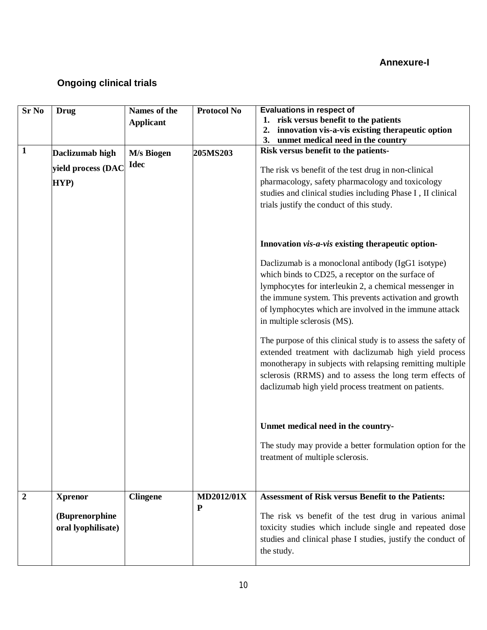## **Annexure-I**

# **Ongoing clinical trials**

| <b>Sr No</b>     | <b>Drug</b>                           | Names of the              | <b>Protocol No</b> | <b>Evaluations in respect of</b>                                                                                                                                                                                                                                                                                     |
|------------------|---------------------------------------|---------------------------|--------------------|----------------------------------------------------------------------------------------------------------------------------------------------------------------------------------------------------------------------------------------------------------------------------------------------------------------------|
|                  |                                       | <b>Applicant</b>          |                    | 1. risk versus benefit to the patients                                                                                                                                                                                                                                                                               |
|                  |                                       |                           |                    | innovation vis-a-vis existing therapeutic option<br>2.<br>3.<br>unmet medical need in the country                                                                                                                                                                                                                    |
| $\mathbf{1}$     | Daclizumab high<br>yield process (DAC | M/s Biogen<br><b>Idec</b> | 205MS203           | Risk versus benefit to the patients-<br>The risk vs benefit of the test drug in non-clinical                                                                                                                                                                                                                         |
|                  | HYP)                                  |                           |                    | pharmacology, safety pharmacology and toxicology<br>studies and clinical studies including Phase I, II clinical<br>trials justify the conduct of this study.                                                                                                                                                         |
|                  |                                       |                           |                    | Innovation vis-a-vis existing therapeutic option-                                                                                                                                                                                                                                                                    |
|                  |                                       |                           |                    | Daclizumab is a monoclonal antibody (IgG1 isotype)<br>which binds to CD25, a receptor on the surface of<br>lymphocytes for interleukin 2, a chemical messenger in<br>the immune system. This prevents activation and growth<br>of lymphocytes which are involved in the immune attack<br>in multiple sclerosis (MS). |
|                  |                                       |                           |                    | The purpose of this clinical study is to assess the safety of<br>extended treatment with daclizumab high yield process<br>monotherapy in subjects with relapsing remitting multiple<br>sclerosis (RRMS) and to assess the long term effects of<br>daclizumab high yield process treatment on patients.               |
|                  |                                       |                           |                    | Unmet medical need in the country-                                                                                                                                                                                                                                                                                   |
|                  |                                       |                           |                    | The study may provide a better formulation option for the<br>treatment of multiple sclerosis.                                                                                                                                                                                                                        |
| $\boldsymbol{2}$ | <b>Xprenor</b>                        | <b>Clingene</b>           | <b>MD2012/01X</b>  | <b>Assessment of Risk versus Benefit to the Patients:</b>                                                                                                                                                                                                                                                            |
|                  | (Buprenorphine<br>oral lyophilisate)  |                           | ${\bf P}$          | The risk vs benefit of the test drug in various animal<br>toxicity studies which include single and repeated dose<br>studies and clinical phase I studies, justify the conduct of<br>the study.                                                                                                                      |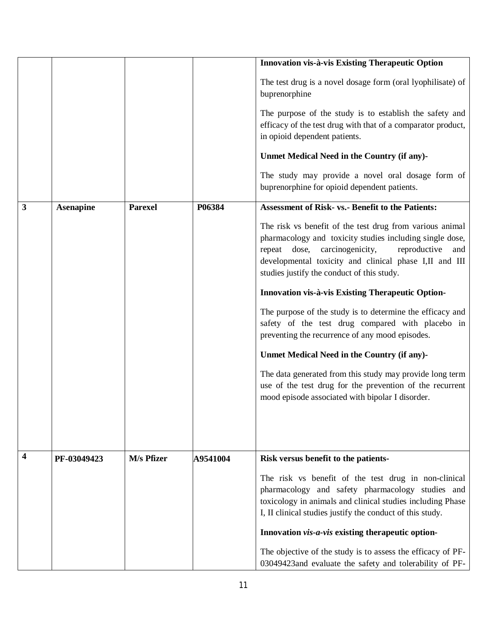|   |                  |                |          | Innovation vis-à-vis Existing Therapeutic Option                                                                                                                                                                                                                                        |
|---|------------------|----------------|----------|-----------------------------------------------------------------------------------------------------------------------------------------------------------------------------------------------------------------------------------------------------------------------------------------|
|   |                  |                |          | The test drug is a novel dosage form (oral lyophilisate) of<br>buprenorphine                                                                                                                                                                                                            |
|   |                  |                |          | The purpose of the study is to establish the safety and<br>efficacy of the test drug with that of a comparator product,<br>in opioid dependent patients.                                                                                                                                |
|   |                  |                |          | Unmet Medical Need in the Country (if any)-                                                                                                                                                                                                                                             |
|   |                  |                |          | The study may provide a novel oral dosage form of<br>buprenorphine for opioid dependent patients.                                                                                                                                                                                       |
| 3 | <b>Asenapine</b> | <b>Parexel</b> | P06384   | <b>Assessment of Risk- vs.- Benefit to the Patients:</b>                                                                                                                                                                                                                                |
|   |                  |                |          | The risk vs benefit of the test drug from various animal<br>pharmacology and toxicity studies including single dose,<br>carcinogenicity,<br>repeat dose,<br>reproductive<br>and<br>developmental toxicity and clinical phase I,II and III<br>studies justify the conduct of this study. |
|   |                  |                |          | Innovation vis-à-vis Existing Therapeutic Option-                                                                                                                                                                                                                                       |
|   |                  |                |          | The purpose of the study is to determine the efficacy and<br>safety of the test drug compared with placebo in<br>preventing the recurrence of any mood episodes.                                                                                                                        |
|   |                  |                |          | Unmet Medical Need in the Country (if any)-                                                                                                                                                                                                                                             |
|   |                  |                |          | The data generated from this study may provide long term<br>use of the test drug for the prevention of the recurrent<br>mood episode associated with bipolar I disorder.                                                                                                                |
|   |                  |                |          |                                                                                                                                                                                                                                                                                         |
| 4 | PF-03049423      | M/s Pfizer     | A9541004 | Risk versus benefit to the patients-                                                                                                                                                                                                                                                    |
|   |                  |                |          | The risk vs benefit of the test drug in non-clinical<br>pharmacology and safety pharmacology studies and<br>toxicology in animals and clinical studies including Phase<br>I, II clinical studies justify the conduct of this study.                                                     |
|   |                  |                |          | Innovation vis-a-vis existing therapeutic option-                                                                                                                                                                                                                                       |
|   |                  |                |          | The objective of the study is to assess the efficacy of PF-<br>03049423and evaluate the safety and tolerability of PF-                                                                                                                                                                  |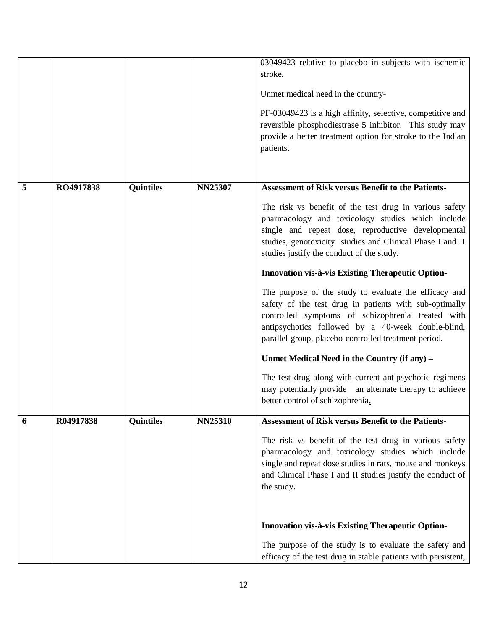|   |           |                  |                | 03049423 relative to placebo in subjects with ischemic<br>stroke.<br>Unmet medical need in the country-<br>PF-03049423 is a high affinity, selective, competitive and<br>reversible phosphodiestrase 5 inhibitor. This study may<br>provide a better treatment option for stroke to the Indian<br>patients.                                                                                                                                                                                                                                                                                                                                                                                                                                                                                                                                                                                   |
|---|-----------|------------------|----------------|-----------------------------------------------------------------------------------------------------------------------------------------------------------------------------------------------------------------------------------------------------------------------------------------------------------------------------------------------------------------------------------------------------------------------------------------------------------------------------------------------------------------------------------------------------------------------------------------------------------------------------------------------------------------------------------------------------------------------------------------------------------------------------------------------------------------------------------------------------------------------------------------------|
| 5 | RO4917838 | <b>Quintiles</b> | NN25307        | <b>Assessment of Risk versus Benefit to the Patients-</b><br>The risk vs benefit of the test drug in various safety<br>pharmacology and toxicology studies which include<br>single and repeat dose, reproductive developmental<br>studies, genotoxicity studies and Clinical Phase I and II<br>studies justify the conduct of the study.<br>Innovation vis-à-vis Existing Therapeutic Option-<br>The purpose of the study to evaluate the efficacy and<br>safety of the test drug in patients with sub-optimally<br>controlled symptoms of schizophrenia treated with<br>antipsychotics followed by a 40-week double-blind,<br>parallel-group, placebo-controlled treatment period.<br>Unmet Medical Need in the Country (if any) -<br>The test drug along with current antipsychotic regimens<br>may potentially provide an alternate therapy to achieve<br>better control of schizophrenia. |
| 6 | R04917838 | <b>Quintiles</b> | <b>NN25310</b> | <b>Assessment of Risk versus Benefit to the Patients-</b><br>The risk vs benefit of the test drug in various safety<br>pharmacology and toxicology studies which include<br>single and repeat dose studies in rats, mouse and monkeys<br>and Clinical Phase I and II studies justify the conduct of<br>the study.<br>Innovation vis-à-vis Existing Therapeutic Option-<br>The purpose of the study is to evaluate the safety and<br>efficacy of the test drug in stable patients with persistent,                                                                                                                                                                                                                                                                                                                                                                                             |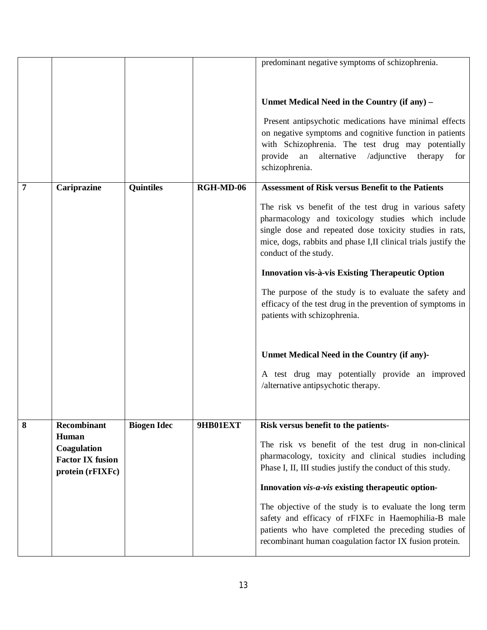|   |                                        |                    |           | predominant negative symptoms of schizophrenia.                |
|---|----------------------------------------|--------------------|-----------|----------------------------------------------------------------|
|   |                                        |                    |           |                                                                |
|   |                                        |                    |           |                                                                |
|   |                                        |                    |           | Unmet Medical Need in the Country (if any) -                   |
|   |                                        |                    |           | Present antipsychotic medications have minimal effects         |
|   |                                        |                    |           | on negative symptoms and cognitive function in patients        |
|   |                                        |                    |           | with Schizophrenia. The test drug may potentially              |
|   |                                        |                    |           | provide<br>an<br>alternative<br>/adjunctive<br>therapy<br>for  |
|   |                                        |                    |           | schizophrenia.                                                 |
| 7 | Cariprazine                            | <b>Quintiles</b>   | RGH-MD-06 | <b>Assessment of Risk versus Benefit to the Patients</b>       |
|   |                                        |                    |           | The risk vs benefit of the test drug in various safety         |
|   |                                        |                    |           | pharmacology and toxicology studies which include              |
|   |                                        |                    |           | single dose and repeated dose toxicity studies in rats,        |
|   |                                        |                    |           | mice, dogs, rabbits and phase I,II clinical trials justify the |
|   |                                        |                    |           | conduct of the study.                                          |
|   |                                        |                    |           | <b>Innovation vis-à-vis Existing Therapeutic Option</b>        |
|   |                                        |                    |           | The purpose of the study is to evaluate the safety and         |
|   |                                        |                    |           | efficacy of the test drug in the prevention of symptoms in     |
|   |                                        |                    |           | patients with schizophrenia.                                   |
|   |                                        |                    |           |                                                                |
|   |                                        |                    |           | Unmet Medical Need in the Country (if any)-                    |
|   |                                        |                    |           | A test drug may potentially provide an improved                |
|   |                                        |                    |           | /alternative antipsychotic therapy.                            |
|   |                                        |                    |           |                                                                |
|   |                                        |                    |           |                                                                |
| 8 | Recombinant                            | <b>Biogen Idec</b> | 9HB01EXT  | Risk versus benefit to the patients-                           |
|   | Human                                  |                    |           | The risk vs benefit of the test drug in non-clinical           |
|   | Coagulation<br><b>Factor IX fusion</b> |                    |           | pharmacology, toxicity and clinical studies including          |
|   | protein (rFIXFc)                       |                    |           | Phase I, II, III studies justify the conduct of this study.    |
|   |                                        |                    |           | Innovation vis-a-vis existing therapeutic option-              |
|   |                                        |                    |           | The objective of the study is to evaluate the long term        |
|   |                                        |                    |           | safety and efficacy of rFIXFc in Haemophilia-B male            |
|   |                                        |                    |           | patients who have completed the preceding studies of           |
|   |                                        |                    |           | recombinant human coagulation factor IX fusion protein.        |
|   |                                        |                    |           |                                                                |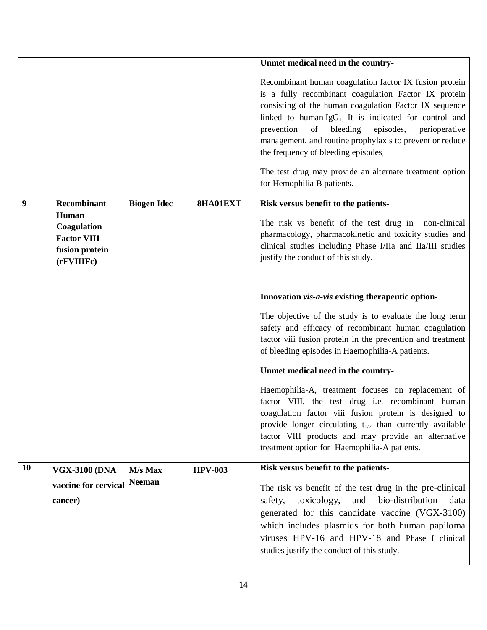|    |                                                                            |                    |                | Unmet medical need in the country-                                                                                                                                                                                                                                                                                                                                                                                                                                                          |
|----|----------------------------------------------------------------------------|--------------------|----------------|---------------------------------------------------------------------------------------------------------------------------------------------------------------------------------------------------------------------------------------------------------------------------------------------------------------------------------------------------------------------------------------------------------------------------------------------------------------------------------------------|
|    |                                                                            |                    |                | Recombinant human coagulation factor IX fusion protein<br>is a fully recombinant coagulation Factor IX protein<br>consisting of the human coagulation Factor IX sequence<br>linked to human $IgG_1$ . It is indicated for control and<br>prevention<br>of bleeding<br>episodes,<br>perioperative<br>management, and routine prophylaxis to prevent or reduce<br>the frequency of bleeding episodes<br>The test drug may provide an alternate treatment option<br>for Hemophilia B patients. |
| 9  | <b>Recombinant</b>                                                         | <b>Biogen Idec</b> | 8HA01EXT       | Risk versus benefit to the patients-                                                                                                                                                                                                                                                                                                                                                                                                                                                        |
|    | Human<br>Coagulation<br><b>Factor VIII</b><br>fusion protein<br>(rFVIIIFc) |                    |                | The risk vs benefit of the test drug in non-clinical<br>pharmacology, pharmacokinetic and toxicity studies and<br>clinical studies including Phase I/IIa and IIa/III studies<br>justify the conduct of this study.                                                                                                                                                                                                                                                                          |
|    |                                                                            |                    |                | Innovation vis-a-vis existing therapeutic option-                                                                                                                                                                                                                                                                                                                                                                                                                                           |
|    |                                                                            |                    |                | The objective of the study is to evaluate the long term<br>safety and efficacy of recombinant human coagulation<br>factor viii fusion protein in the prevention and treatment<br>of bleeding episodes in Haemophilia-A patients.                                                                                                                                                                                                                                                            |
|    |                                                                            |                    |                | Unmet medical need in the country-                                                                                                                                                                                                                                                                                                                                                                                                                                                          |
|    |                                                                            |                    |                | Haemophilia-A, treatment focuses on replacement of<br>factor VIII, the test drug i.e. recombinant human<br>coagulation factor viii fusion protein is designed to<br>provide longer circulating $t_{1/2}$ than currently available<br>factor VIII products and may provide an alternative<br>treatment option for Haemophilia-A patients.                                                                                                                                                    |
| 10 | <b>VGX-3100 (DNA</b>                                                       | M/s Max            | <b>HPV-003</b> | Risk versus benefit to the patients-                                                                                                                                                                                                                                                                                                                                                                                                                                                        |
|    | vaccine for cervical<br>cancer)                                            | <b>Neeman</b>      |                | The risk vs benefit of the test drug in the pre-clinical<br>bio-distribution<br>toxicology,<br>and<br>data<br>safety,<br>generated for this candidate vaccine (VGX-3100)<br>which includes plasmids for both human papiloma<br>viruses HPV-16 and HPV-18 and Phase I clinical<br>studies justify the conduct of this study.                                                                                                                                                                 |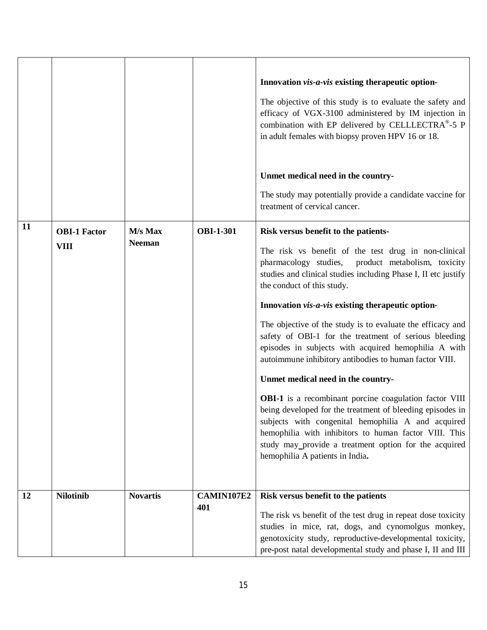| 11 | <b>OBI-1 Factor</b><br><b>VIII</b> | M/s Max<br><b>Neeman</b> | <b>OBI-1-301</b>  | Innovation vis-a-vis existing therapeutic option-<br>The objective of this study is to evaluate the safety and<br>efficacy of VGX-3100 administered by IM injection in<br>combination with EP delivered by CELLLECTRA®-5 P<br>in adult females with biopsy proven HPV 16 or 18.<br>Unmet medical need in the country-<br>The study may potentially provide a candidate vaccine for<br>treatment of cervical cancer.<br>Risk versus benefit to the patients-<br>The risk vs benefit of the test drug in non-clinical<br>pharmacology studies,<br>product metabolism, toxicity<br>studies and clinical studies including Phase I, II etc justify<br>the conduct of this study.<br>Innovation vis-a-vis existing therapeutic option-<br>The objective of the study is to evaluate the efficacy and<br>safety of OBI-1 for the treatment of serious bleeding<br>episodes in subjects with acquired hemophilia A with<br>autoimmune inhibitory antibodies to human factor VIII.<br>Unmet medical need in the country-<br><b>OBI-1</b> is a recombinant porcine coagulation factor VIII<br>being developed for the treatment of bleeding episodes in<br>subjects with congenital hemophilia A and acquired<br>hemophilia with inhibitors to human factor VIII. This<br>study may_provide a treatment option for the acquired<br>hemophilia A patients in India. |
|----|------------------------------------|--------------------------|-------------------|-----------------------------------------------------------------------------------------------------------------------------------------------------------------------------------------------------------------------------------------------------------------------------------------------------------------------------------------------------------------------------------------------------------------------------------------------------------------------------------------------------------------------------------------------------------------------------------------------------------------------------------------------------------------------------------------------------------------------------------------------------------------------------------------------------------------------------------------------------------------------------------------------------------------------------------------------------------------------------------------------------------------------------------------------------------------------------------------------------------------------------------------------------------------------------------------------------------------------------------------------------------------------------------------------------------------------------------------------------------|
| 12 | <b>Nilotinib</b>                   | <b>Novartis</b>          | CAMIN107E2<br>401 | Risk versus benefit to the patients<br>The risk vs benefit of the test drug in repeat dose toxicity<br>studies in mice, rat, dogs, and cynomolgus monkey,<br>genotoxicity study, reproductive-developmental toxicity,<br>pre-post natal developmental study and phase I, II and III                                                                                                                                                                                                                                                                                                                                                                                                                                                                                                                                                                                                                                                                                                                                                                                                                                                                                                                                                                                                                                                                       |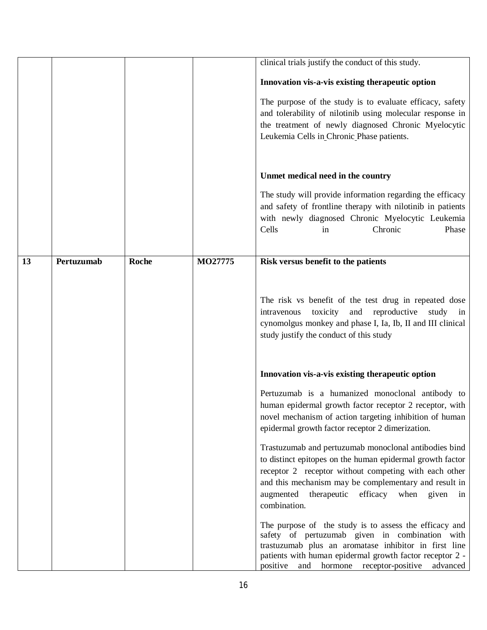|    |            |       |         | clinical trials justify the conduct of this study.                                                                  |
|----|------------|-------|---------|---------------------------------------------------------------------------------------------------------------------|
|    |            |       |         | Innovation vis-a-vis existing therapeutic option                                                                    |
|    |            |       |         | The purpose of the study is to evaluate efficacy, safety                                                            |
|    |            |       |         | and tolerability of nilotinib using molecular response in                                                           |
|    |            |       |         | the treatment of newly diagnosed Chronic Myelocytic                                                                 |
|    |            |       |         | Leukemia Cells in Chronic Phase patients.                                                                           |
|    |            |       |         |                                                                                                                     |
|    |            |       |         | Unmet medical need in the country                                                                                   |
|    |            |       |         | The study will provide information regarding the efficacy                                                           |
|    |            |       |         | and safety of frontline therapy with nilotinib in patients                                                          |
|    |            |       |         | with newly diagnosed Chronic Myelocytic Leukemia                                                                    |
|    |            |       |         | Cells<br>Chronic<br>Phase<br>in                                                                                     |
|    |            |       |         |                                                                                                                     |
| 13 | Pertuzumab | Roche | MO27775 | Risk versus benefit to the patients                                                                                 |
|    |            |       |         |                                                                                                                     |
|    |            |       |         |                                                                                                                     |
|    |            |       |         | The risk vs benefit of the test drug in repeated dose<br>reproductive<br>toxicity<br>and<br>study in<br>intravenous |
|    |            |       |         | cynomolgus monkey and phase I, Ia, Ib, II and III clinical                                                          |
|    |            |       |         | study justify the conduct of this study                                                                             |
|    |            |       |         |                                                                                                                     |
|    |            |       |         | Innovation vis-a-vis existing therapeutic option                                                                    |
|    |            |       |         | Pertuzumab is a humanized monoclonal antibody to                                                                    |
|    |            |       |         | human epidermal growth factor receptor 2 receptor, with                                                             |
|    |            |       |         | novel mechanism of action targeting inhibition of human                                                             |
|    |            |       |         | epidermal growth factor receptor 2 dimerization.                                                                    |
|    |            |       |         | Trastuzumab and pertuzumab monoclonal antibodies bind                                                               |
|    |            |       |         | to distinct epitopes on the human epidermal growth factor                                                           |
|    |            |       |         | receptor 2 receptor without competing with each other                                                               |
|    |            |       |         | and this mechanism may be complementary and result in<br>therapeutic efficacy when given<br>augmented<br>in         |
|    |            |       |         | combination.                                                                                                        |
|    |            |       |         | The purpose of the study is to assess the efficacy and                                                              |
|    |            |       |         | safety of pertuzumab given in combination with                                                                      |
|    |            |       |         | trastuzumab plus an aromatase inhibitor in first line<br>patients with human epidermal growth factor receptor 2 -   |
|    |            |       |         | positive<br>hormone receptor-positive<br>advanced<br>and                                                            |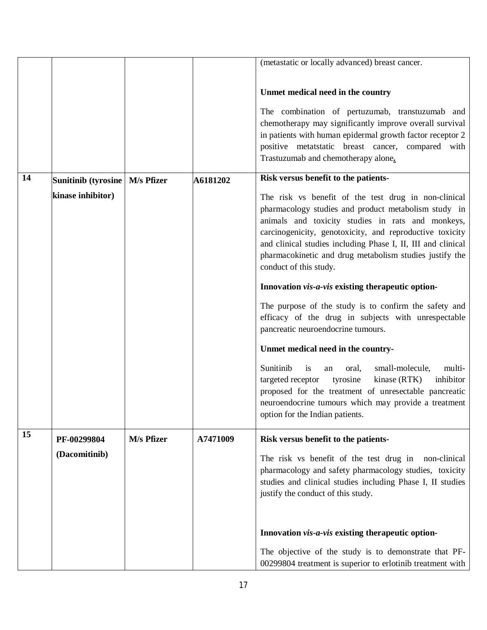|    |                                  |            |          | (metastatic or locally advanced) breast cancer.                                                                |
|----|----------------------------------|------------|----------|----------------------------------------------------------------------------------------------------------------|
|    |                                  |            |          |                                                                                                                |
|    |                                  |            |          |                                                                                                                |
|    |                                  |            |          | Unmet medical need in the country                                                                              |
|    |                                  |            |          | The combination of pertuzumab, transtuzumab and                                                                |
|    |                                  |            |          | chemotherapy may significantly improve overall survival                                                        |
|    |                                  |            |          | in patients with human epidermal growth factor receptor 2                                                      |
|    |                                  |            |          | positive metatstatic breast cancer, compared with                                                              |
|    |                                  |            |          | Trastuzumab and chemotherapy alone.                                                                            |
|    |                                  |            |          |                                                                                                                |
| 14 | Sunitinib (tyrosine   M/s Pfizer |            | A6181202 | Risk versus benefit to the patients-                                                                           |
|    | kinase inhibitor)                |            |          | The risk vs benefit of the test drug in non-clinical                                                           |
|    |                                  |            |          | pharmacology studies and product metabolism study in                                                           |
|    |                                  |            |          | animals and toxicity studies in rats and monkeys,                                                              |
|    |                                  |            |          | carcinogenicity, genotoxicity, and reproductive toxicity                                                       |
|    |                                  |            |          | and clinical studies including Phase I, II, III and clinical                                                   |
|    |                                  |            |          | pharmacokinetic and drug metabolism studies justify the                                                        |
|    |                                  |            |          | conduct of this study.                                                                                         |
|    |                                  |            |          | Innovation vis-a-vis existing therapeutic option-                                                              |
|    |                                  |            |          | The purpose of the study is to confirm the safety and                                                          |
|    |                                  |            |          | efficacy of the drug in subjects with unrespectable                                                            |
|    |                                  |            |          | pancreatic neuroendocrine tumours.                                                                             |
|    |                                  |            |          | Unmet medical need in the country-                                                                             |
|    |                                  |            |          |                                                                                                                |
|    |                                  |            |          | Sunitinib<br>is<br>small-molecule,<br>multi-<br>oral,<br>an                                                    |
|    |                                  |            |          | tyrosine<br>inhibitor<br>targeted receptor<br>kinase (RTK)                                                     |
|    |                                  |            |          | proposed for the treatment of unresectable pancreatic                                                          |
|    |                                  |            |          | neuroendocrine tumours which may provide a treatment                                                           |
|    |                                  |            |          | option for the Indian patients.                                                                                |
| 15 | PF-00299804                      | M/s Pfizer | A7471009 | Risk versus benefit to the patients-                                                                           |
|    | (Dacomitinib)                    |            |          |                                                                                                                |
|    |                                  |            |          | The risk vs benefit of the test drug in non-clinical<br>pharmacology and safety pharmacology studies, toxicity |
|    |                                  |            |          | studies and clinical studies including Phase I, II studies                                                     |
|    |                                  |            |          | justify the conduct of this study.                                                                             |
|    |                                  |            |          |                                                                                                                |
|    |                                  |            |          |                                                                                                                |
|    |                                  |            |          | Innovation vis-a-vis existing therapeutic option-                                                              |
|    |                                  |            |          | The objective of the study is to demonstrate that PF-                                                          |
|    |                                  |            |          | 00299804 treatment is superior to erlotinib treatment with                                                     |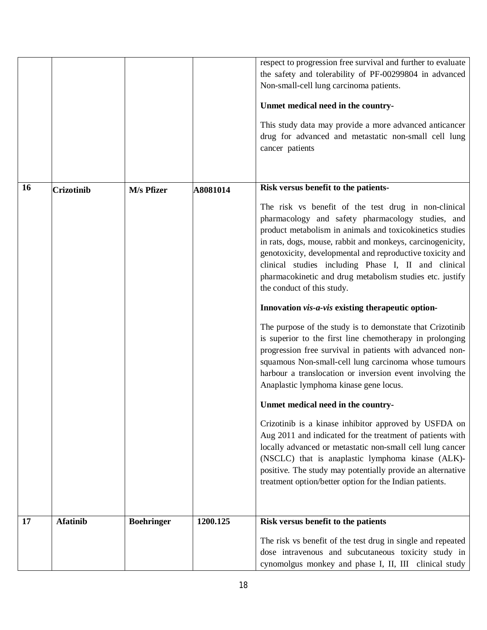|    |                   |                   |          | respect to progression free survival and further to evaluate<br>the safety and tolerability of PF-00299804 in advanced<br>Non-small-cell lung carcinoma patients.<br>Unmet medical need in the country-<br>This study data may provide a more advanced anticancer<br>drug for advanced and metastatic non-small cell lung<br>cancer patients                                                                                                      |
|----|-------------------|-------------------|----------|---------------------------------------------------------------------------------------------------------------------------------------------------------------------------------------------------------------------------------------------------------------------------------------------------------------------------------------------------------------------------------------------------------------------------------------------------|
| 16 | <b>Crizotinib</b> | M/s Pfizer        | A8081014 | Risk versus benefit to the patients-                                                                                                                                                                                                                                                                                                                                                                                                              |
|    |                   |                   |          | The risk vs benefit of the test drug in non-clinical<br>pharmacology and safety pharmacology studies, and<br>product metabolism in animals and toxicokinetics studies<br>in rats, dogs, mouse, rabbit and monkeys, carcinogenicity,<br>genotoxicity, developmental and reproductive toxicity and<br>clinical studies including Phase I, II and clinical<br>pharmacokinetic and drug metabolism studies etc. justify<br>the conduct of this study. |
|    |                   |                   |          | Innovation vis-a-vis existing therapeutic option-                                                                                                                                                                                                                                                                                                                                                                                                 |
|    |                   |                   |          | The purpose of the study is to demonstate that Crizotinib<br>is superior to the first line chemotherapy in prolonging<br>progression free survival in patients with advanced non-<br>squamous Non-small-cell lung carcinoma whose tumours<br>harbour a translocation or inversion event involving the<br>Anaplastic lymphoma kinase gene locus.                                                                                                   |
|    |                   |                   |          | Unmet medical need in the country-                                                                                                                                                                                                                                                                                                                                                                                                                |
|    |                   |                   |          | Crizotinib is a kinase inhibitor approved by USFDA on<br>Aug 2011 and indicated for the treatment of patients with<br>locally advanced or metastatic non-small cell lung cancer<br>(NSCLC) that is anaplastic lymphoma kinase (ALK)-<br>positive. The study may potentially provide an alternative<br>treatment option/better option for the Indian patients.                                                                                     |
| 17 | <b>Afatinib</b>   | <b>Boehringer</b> | 1200.125 | Risk versus benefit to the patients                                                                                                                                                                                                                                                                                                                                                                                                               |
|    |                   |                   |          | The risk vs benefit of the test drug in single and repeated<br>dose intravenous and subcutaneous toxicity study in<br>cynomolgus monkey and phase I, II, III clinical study                                                                                                                                                                                                                                                                       |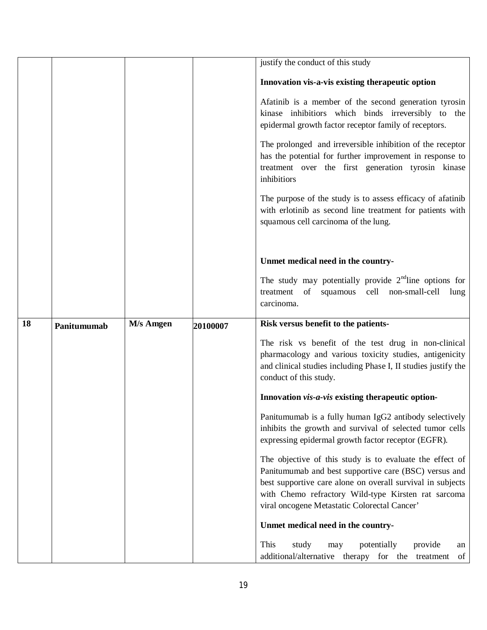|    |             |           |          | justify the conduct of this study                                                                                                                                                                                                      |
|----|-------------|-----------|----------|----------------------------------------------------------------------------------------------------------------------------------------------------------------------------------------------------------------------------------------|
|    |             |           |          |                                                                                                                                                                                                                                        |
|    |             |           |          | Innovation vis-a-vis existing therapeutic option                                                                                                                                                                                       |
|    |             |           |          | Afatinib is a member of the second generation tyrosin<br>kinase inhibitiors which binds irreversibly to the<br>epidermal growth factor receptor family of receptors.                                                                   |
|    |             |           |          | The prolonged and irreversible inhibition of the receptor<br>has the potential for further improvement in response to<br>treatment over the first generation tyrosin kinase<br>inhibitiors                                             |
|    |             |           |          | The purpose of the study is to assess efficacy of afatinib<br>with erlotinib as second line treatment for patients with<br>squamous cell carcinoma of the lung.                                                                        |
|    |             |           |          | Unmet medical need in the country-                                                                                                                                                                                                     |
|    |             |           |          | The study may potentially provide $2nd$ line options for<br>treatment of squamous cell non-small-cell<br>lung<br>carcinoma.                                                                                                            |
| 18 | Panitumumab | M/s Amgen | 20100007 | Risk versus benefit to the patients-                                                                                                                                                                                                   |
|    |             |           |          | The risk vs benefit of the test drug in non-clinical<br>pharmacology and various toxicity studies, antigenicity<br>and clinical studies including Phase I, II studies justify the<br>conduct of this study.                            |
|    |             |           |          |                                                                                                                                                                                                                                        |
|    |             |           |          | Innovation vis-a-vis existing therapeutic option-                                                                                                                                                                                      |
|    |             |           |          | Panitumumab is a fully human IgG2 antibody selectively<br>inhibits the growth and survival of selected tumor cells<br>expressing epidermal growth factor receptor (EGFR).                                                              |
|    |             |           |          | The objective of this study is to evaluate the effect of<br>Panitumumab and best supportive care (BSC) versus and<br>best supportive care alone on overall survival in subjects<br>with Chemo refractory Wild-type Kirsten rat sarcoma |
|    |             |           |          | viral oncogene Metastatic Colorectal Cancer'                                                                                                                                                                                           |
|    |             |           |          | Unmet medical need in the country-                                                                                                                                                                                                     |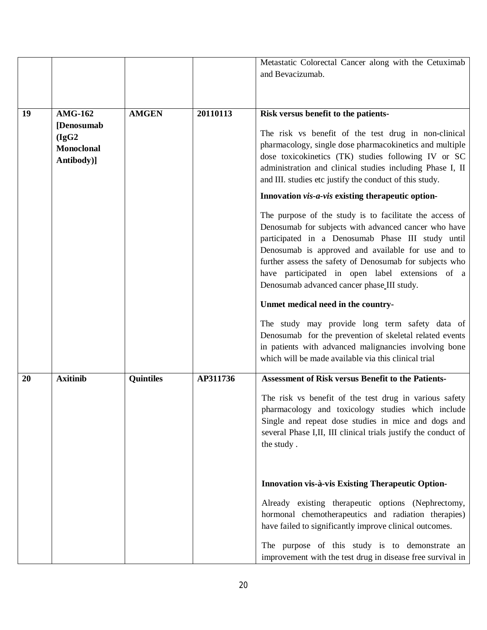|    |                   |                  |          | Metastatic Colorectal Cancer along with the Cetuximab                                                           |
|----|-------------------|------------------|----------|-----------------------------------------------------------------------------------------------------------------|
|    |                   |                  |          | and Bevacizumab.                                                                                                |
|    |                   |                  |          |                                                                                                                 |
|    |                   |                  |          |                                                                                                                 |
| 19 | <b>AMG-162</b>    | <b>AMGEN</b>     | 20110113 | Risk versus benefit to the patients-                                                                            |
|    | [Denosumab]       |                  |          |                                                                                                                 |
|    | (IgG2)            |                  |          | The risk vs benefit of the test drug in non-clinical<br>pharmacology, single dose pharmacokinetics and multiple |
|    | <b>Monoclonal</b> |                  |          | dose toxicokinetics (TK) studies following IV or SC                                                             |
|    | Antibody)]        |                  |          | administration and clinical studies including Phase I, II                                                       |
|    |                   |                  |          | and III. studies etc justify the conduct of this study.                                                         |
|    |                   |                  |          | Innovation vis-a-vis existing therapeutic option-                                                               |
|    |                   |                  |          | The purpose of the study is to facilitate the access of                                                         |
|    |                   |                  |          | Denosumab for subjects with advanced cancer who have                                                            |
|    |                   |                  |          | participated in a Denosumab Phase III study until                                                               |
|    |                   |                  |          | Denosumab is approved and available for use and to<br>further assess the safety of Denosumab for subjects who   |
|    |                   |                  |          | have participated in open label extensions of a                                                                 |
|    |                   |                  |          | Denosumab advanced cancer phase III study.                                                                      |
|    |                   |                  |          | Unmet medical need in the country-                                                                              |
|    |                   |                  |          | The study may provide long term safety data of                                                                  |
|    |                   |                  |          | Denosumab for the prevention of skeletal related events                                                         |
|    |                   |                  |          | in patients with advanced malignancies involving bone                                                           |
|    |                   |                  |          | which will be made available via this clinical trial                                                            |
| 20 | <b>Axitinib</b>   | <b>Quintiles</b> | AP311736 | <b>Assessment of Risk versus Benefit to the Patients-</b>                                                       |
|    |                   |                  |          | The risk vs benefit of the test drug in various safety                                                          |
|    |                   |                  |          | pharmacology and toxicology studies which include                                                               |
|    |                   |                  |          | Single and repeat dose studies in mice and dogs and                                                             |
|    |                   |                  |          | several Phase I,II, III clinical trials justify the conduct of                                                  |
|    |                   |                  |          | the study.                                                                                                      |
|    |                   |                  |          |                                                                                                                 |
|    |                   |                  |          | Innovation vis-à-vis Existing Therapeutic Option-                                                               |
|    |                   |                  |          | Already existing therapeutic options (Nephrectomy,                                                              |
|    |                   |                  |          | hormonal chemotherapeutics and radiation therapies)                                                             |
|    |                   |                  |          | have failed to significantly improve clinical outcomes.                                                         |
|    |                   |                  |          | The purpose of this study is to demonstrate an                                                                  |
|    |                   |                  |          | improvement with the test drug in disease free survival in                                                      |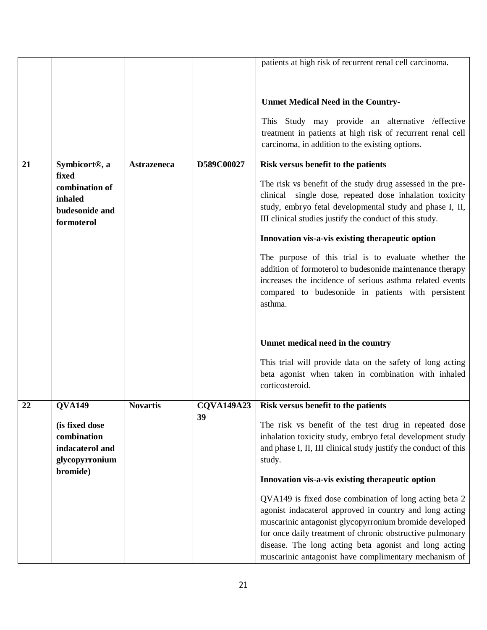|    |                                                                                |                    |                   | patients at high risk of recurrent renal cell carcinoma.                                                                                                                                                                                                                                                                                                   |
|----|--------------------------------------------------------------------------------|--------------------|-------------------|------------------------------------------------------------------------------------------------------------------------------------------------------------------------------------------------------------------------------------------------------------------------------------------------------------------------------------------------------------|
|    |                                                                                |                    |                   |                                                                                                                                                                                                                                                                                                                                                            |
|    |                                                                                |                    |                   | <b>Unmet Medical Need in the Country-</b>                                                                                                                                                                                                                                                                                                                  |
|    |                                                                                |                    |                   | This Study may provide an alternative / effective                                                                                                                                                                                                                                                                                                          |
|    |                                                                                |                    |                   | treatment in patients at high risk of recurrent renal cell<br>carcinoma, in addition to the existing options.                                                                                                                                                                                                                                              |
|    |                                                                                |                    |                   |                                                                                                                                                                                                                                                                                                                                                            |
| 21 | Symbicort <sup>®</sup> , a<br>fixed                                            | <b>Astrazeneca</b> | D589C00027        | Risk versus benefit to the patients                                                                                                                                                                                                                                                                                                                        |
|    | combination of                                                                 |                    |                   | The risk vs benefit of the study drug assessed in the pre-                                                                                                                                                                                                                                                                                                 |
|    | inhaled                                                                        |                    |                   | clinical single dose, repeated dose inhalation toxicity<br>study, embryo fetal developmental study and phase I, II,                                                                                                                                                                                                                                        |
|    | budesonide and<br>formoterol                                                   |                    |                   | III clinical studies justify the conduct of this study.                                                                                                                                                                                                                                                                                                    |
|    |                                                                                |                    |                   | Innovation vis-a-vis existing therapeutic option                                                                                                                                                                                                                                                                                                           |
|    |                                                                                |                    |                   | The purpose of this trial is to evaluate whether the<br>addition of formoterol to budesonide maintenance therapy<br>increases the incidence of serious asthma related events<br>compared to budesonide in patients with persistent<br>asthma.                                                                                                              |
|    |                                                                                |                    |                   | Unmet medical need in the country                                                                                                                                                                                                                                                                                                                          |
|    |                                                                                |                    |                   | This trial will provide data on the safety of long acting<br>beta agonist when taken in combination with inhaled<br>corticosteroid.                                                                                                                                                                                                                        |
| 22 | <b>OVA149</b>                                                                  | <b>Novartis</b>    | <b>COVA149A23</b> | Risk versus benefit to the patients                                                                                                                                                                                                                                                                                                                        |
|    | (is fixed dose<br>combination<br>indacaterol and<br>glycopyrronium<br>bromide) |                    | 39                | The risk vs benefit of the test drug in repeated dose<br>inhalation toxicity study, embryo fetal development study<br>and phase I, II, III clinical study justify the conduct of this<br>study.                                                                                                                                                            |
|    |                                                                                |                    |                   | Innovation vis-a-vis existing therapeutic option                                                                                                                                                                                                                                                                                                           |
|    |                                                                                |                    |                   | QVA149 is fixed dose combination of long acting beta 2<br>agonist indacaterol approved in country and long acting<br>muscarinic antagonist glycopyrronium bromide developed<br>for once daily treatment of chronic obstructive pulmonary<br>disease. The long acting beta agonist and long acting<br>muscarinic antagonist have complimentary mechanism of |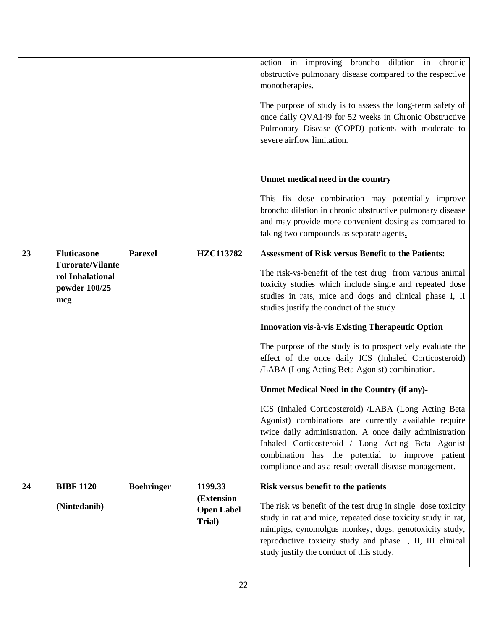|    | (Nintedanib)                                                        |                   | (Extension<br><b>Open Label</b><br>Trial) | The risk vs benefit of the test drug in single dose toxicity<br>study in rat and mice, repeated dose toxicity study in rat,<br>minipigs, cynomolgus monkey, dogs, genotoxicity study,<br>reproductive toxicity study and phase I, II, III clinical<br>study justify the conduct of this study. |
|----|---------------------------------------------------------------------|-------------------|-------------------------------------------|------------------------------------------------------------------------------------------------------------------------------------------------------------------------------------------------------------------------------------------------------------------------------------------------|
| 24 | <b>BIBF 1120</b>                                                    | <b>Boehringer</b> | 1199.33                                   | combination has the potential to improve patient<br>compliance and as a result overall disease management.<br>Risk versus benefit to the patients                                                                                                                                              |
|    |                                                                     |                   |                                           | ICS (Inhaled Corticosteroid) /LABA (Long Acting Beta<br>Agonist) combinations are currently available require<br>twice daily administration. A once daily administration<br>Inhaled Corticosteroid / Long Acting Beta Agonist                                                                  |
|    |                                                                     |                   |                                           | The purpose of the study is to prospectively evaluate the<br>effect of the once daily ICS (Inhaled Corticosteroid)<br>/LABA (Long Acting Beta Agonist) combination.<br>Unmet Medical Need in the Country (if any)-                                                                             |
|    |                                                                     |                   |                                           | Innovation vis-à-vis Existing Therapeutic Option                                                                                                                                                                                                                                               |
|    | <b>Furorate/Vilante</b><br>rol Inhalational<br>powder 100/25<br>mcg |                   |                                           | The risk-vs-benefit of the test drug from various animal<br>toxicity studies which include single and repeated dose<br>studies in rats, mice and dogs and clinical phase I, II<br>studies justify the conduct of the study                                                                     |
| 23 | <b>Fluticasone</b>                                                  | <b>Parexel</b>    | HZC113782                                 | taking two compounds as separate agents.<br><b>Assessment of Risk versus Benefit to the Patients:</b>                                                                                                                                                                                          |
|    |                                                                     |                   |                                           | This fix dose combination may potentially improve<br>broncho dilation in chronic obstructive pulmonary disease<br>and may provide more convenient dosing as compared to                                                                                                                        |
|    |                                                                     |                   |                                           | Unmet medical need in the country                                                                                                                                                                                                                                                              |
|    |                                                                     |                   |                                           | The purpose of study is to assess the long-term safety of<br>once daily QVA149 for 52 weeks in Chronic Obstructive<br>Pulmonary Disease (COPD) patients with moderate to<br>severe airflow limitation.                                                                                         |
|    |                                                                     |                   |                                           | action in improving broncho dilation in chronic<br>obstructive pulmonary disease compared to the respective<br>monotherapies.                                                                                                                                                                  |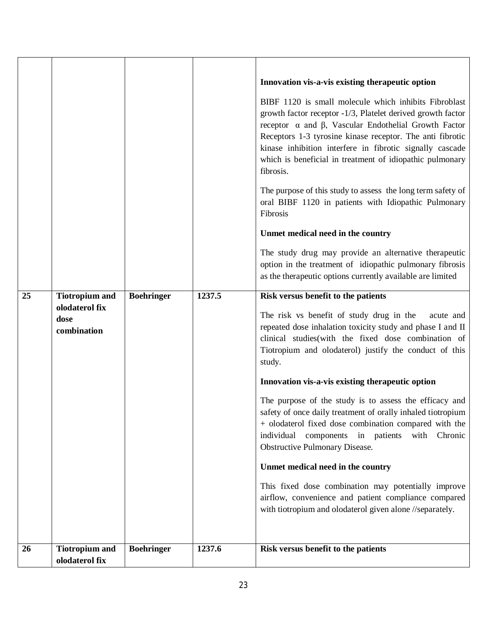|    |                                                                |                   |        | Innovation vis-a-vis existing therapeutic option<br>BIBF 1120 is small molecule which inhibits Fibroblast<br>growth factor receptor -1/3, Platelet derived growth factor<br>receptor $\alpha$ and $\beta$ , Vascular Endothelial Growth Factor<br>Receptors 1-3 tyrosine kinase receptor. The anti fibrotic<br>kinase inhibition interfere in fibrotic signally cascade<br>which is beneficial in treatment of idiopathic pulmonary<br>fibrosis.<br>The purpose of this study to assess the long term safety of<br>oral BIBF 1120 in patients with Idiopathic Pulmonary<br>Fibrosis<br>Unmet medical need in the country<br>The study drug may provide an alternative therapeutic<br>option in the treatment of idiopathic pulmonary fibrosis<br>as the therapeutic options currently available are limited                           |
|----|----------------------------------------------------------------|-------------------|--------|---------------------------------------------------------------------------------------------------------------------------------------------------------------------------------------------------------------------------------------------------------------------------------------------------------------------------------------------------------------------------------------------------------------------------------------------------------------------------------------------------------------------------------------------------------------------------------------------------------------------------------------------------------------------------------------------------------------------------------------------------------------------------------------------------------------------------------------|
| 25 | <b>Tiotropium and</b><br>olodaterol fix<br>dose<br>combination | <b>Boehringer</b> | 1237.5 | Risk versus benefit to the patients<br>The risk vs benefit of study drug in the<br>acute and<br>repeated dose inhalation toxicity study and phase I and II<br>clinical studies(with the fixed dose combination of<br>Tiotropium and olodaterol) justify the conduct of this<br>study.<br>Innovation vis-a-vis existing therapeutic option<br>The purpose of the study is to assess the efficacy and<br>safety of once daily treatment of orally inhaled tiotropium<br>+ olodaterol fixed dose combination compared with the<br>components in patients with<br>individual<br>Chronic<br>Obstructive Pulmonary Disease.<br>Unmet medical need in the country<br>This fixed dose combination may potentially improve<br>airflow, convenience and patient compliance compared<br>with tiotropium and olodaterol given alone //separately. |
| 26 | <b>Tiotropium and</b><br>olodaterol fix                        | <b>Boehringer</b> | 1237.6 | Risk versus benefit to the patients                                                                                                                                                                                                                                                                                                                                                                                                                                                                                                                                                                                                                                                                                                                                                                                                   |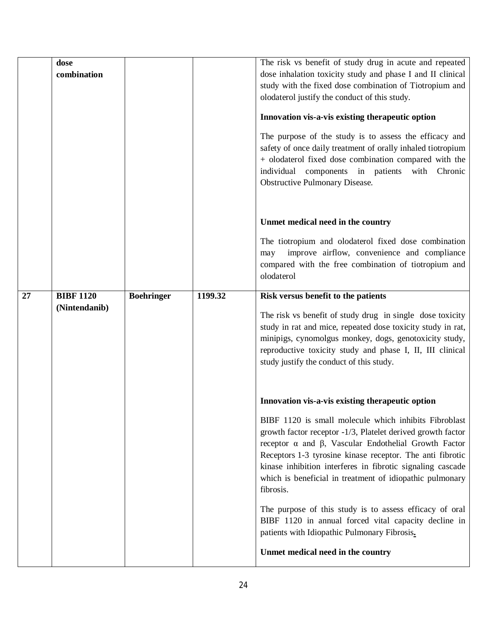|    | dose<br>combination               |                   |         | The risk vs benefit of study drug in acute and repeated<br>dose inhalation toxicity study and phase I and II clinical<br>study with the fixed dose combination of Tiotropium and<br>olodaterol justify the conduct of this study.<br>Innovation vis-a-vis existing therapeutic option<br>The purpose of the study is to assess the efficacy and<br>safety of once daily treatment of orally inhaled tiotropium<br>+ olodaterol fixed dose combination compared with the<br>individual components in patients with<br>Chronic<br><b>Obstructive Pulmonary Disease.</b>                                                                                      |
|----|-----------------------------------|-------------------|---------|------------------------------------------------------------------------------------------------------------------------------------------------------------------------------------------------------------------------------------------------------------------------------------------------------------------------------------------------------------------------------------------------------------------------------------------------------------------------------------------------------------------------------------------------------------------------------------------------------------------------------------------------------------|
|    |                                   |                   |         | Unmet medical need in the country<br>The tiotropium and olodaterol fixed dose combination<br>improve airflow, convenience and compliance<br>may<br>compared with the free combination of tiotropium and<br>olodaterol                                                                                                                                                                                                                                                                                                                                                                                                                                      |
| 27 | <b>BIBF 1120</b><br>(Nintendanib) | <b>Boehringer</b> | 1199.32 | Risk versus benefit to the patients<br>The risk vs benefit of study drug in single dose toxicity<br>study in rat and mice, repeated dose toxicity study in rat,<br>minipigs, cynomolgus monkey, dogs, genotoxicity study,<br>reproductive toxicity study and phase I, II, III clinical<br>study justify the conduct of this study.                                                                                                                                                                                                                                                                                                                         |
|    |                                   |                   |         | Innovation vis-a-vis existing therapeutic option<br>BIBF 1120 is small molecule which inhibits Fibroblast<br>growth factor receptor -1/3, Platelet derived growth factor<br>receptor $\alpha$ and $\beta$ , Vascular Endothelial Growth Factor<br>Receptors 1-3 tyrosine kinase receptor. The anti fibrotic<br>kinase inhibition interferes in fibrotic signaling cascade<br>which is beneficial in treatment of idiopathic pulmonary<br>fibrosis.<br>The purpose of this study is to assess efficacy of oral<br>BIBF 1120 in annual forced vital capacity decline in<br>patients with Idiopathic Pulmonary Fibrosis.<br>Unmet medical need in the country |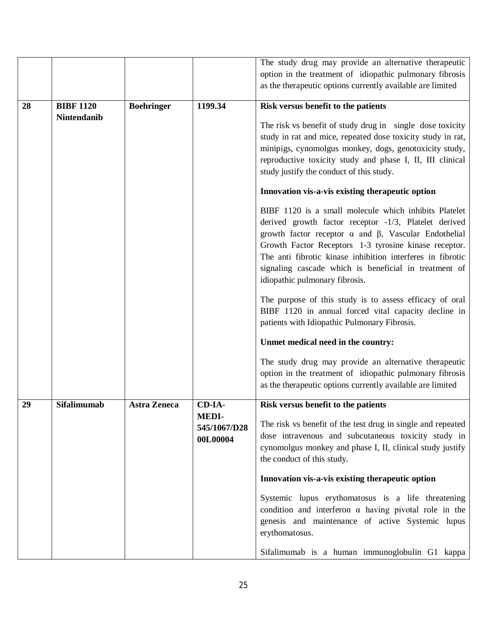|    |                    |                     |              | The study drug may provide an alternative therapeutic              |
|----|--------------------|---------------------|--------------|--------------------------------------------------------------------|
|    |                    |                     |              | option in the treatment of idiopathic pulmonary fibrosis           |
|    |                    |                     |              | as the therapeutic options currently available are limited         |
|    |                    |                     |              |                                                                    |
| 28 | <b>BIBF 1120</b>   | <b>Boehringer</b>   | 1199.34      | Risk versus benefit to the patients                                |
|    | <b>Nintendanib</b> |                     |              |                                                                    |
|    |                    |                     |              | The risk vs benefit of study drug in single dose toxicity          |
|    |                    |                     |              | study in rat and mice, repeated dose toxicity study in rat,        |
|    |                    |                     |              | minipigs, cynomolgus monkey, dogs, genotoxicity study,             |
|    |                    |                     |              | reproductive toxicity study and phase I, II, III clinical          |
|    |                    |                     |              | study justify the conduct of this study.                           |
|    |                    |                     |              |                                                                    |
|    |                    |                     |              | Innovation vis-a-vis existing therapeutic option                   |
|    |                    |                     |              | BIBF 1120 is a small molecule which inhibits Platelet              |
|    |                    |                     |              | derived growth factor receptor -1/3, Platelet derived              |
|    |                    |                     |              | growth factor receptor $\alpha$ and $\beta$ , Vascular Endothelial |
|    |                    |                     |              |                                                                    |
|    |                    |                     |              | Growth Factor Receptors 1-3 tyrosine kinase receptor.              |
|    |                    |                     |              | The anti fibrotic kinase inhibition interferes in fibrotic         |
|    |                    |                     |              | signaling cascade which is beneficial in treatment of              |
|    |                    |                     |              | idiopathic pulmonary fibrosis.                                     |
|    |                    |                     |              | The purpose of this study is to assess efficacy of oral            |
|    |                    |                     |              | BIBF 1120 in annual forced vital capacity decline in               |
|    |                    |                     |              | patients with Idiopathic Pulmonary Fibrosis.                       |
|    |                    |                     |              |                                                                    |
|    |                    |                     |              | Unmet medical need in the country:                                 |
|    |                    |                     |              | The study drug may provide an alternative therapeutic              |
|    |                    |                     |              | option in the treatment of idiopathic pulmonary fibrosis           |
|    |                    |                     |              | as the therapeutic options currently available are limited         |
|    |                    |                     |              |                                                                    |
| 29 | <b>Sifalimumab</b> | <b>Astra Zeneca</b> | CD-IA-       | Risk versus benefit to the patients                                |
|    |                    |                     | <b>MEDI-</b> | The risk vs benefit of the test drug in single and repeated        |
|    |                    |                     | 545/1067/D28 | dose intravenous and subcutaneous toxicity study in                |
|    |                    |                     | 00L00004     | cynomolgus monkey and phase I, II, clinical study justify          |
|    |                    |                     |              |                                                                    |
|    |                    |                     |              | the conduct of this study.                                         |
|    |                    |                     |              | Innovation vis-a-vis existing therapeutic option                   |
|    |                    |                     |              | Systemic lupus erythomatosus is a life threatening                 |
|    |                    |                     |              | condition and interferon $\alpha$ having pivotal role in the       |
|    |                    |                     |              |                                                                    |
|    |                    |                     |              | genesis and maintenance of active Systemic lupus                   |
|    |                    |                     |              | erythomatosus.                                                     |
|    |                    |                     |              | Sifalimumab is a human immunoglobulin G1 kappa                     |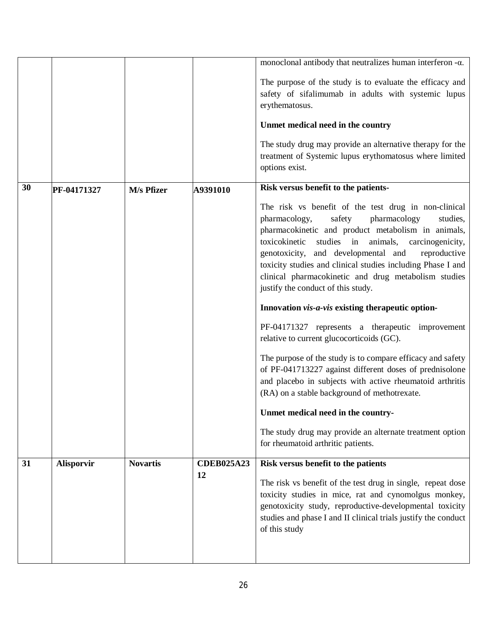|    |                   |                 |                   | monoclonal antibody that neutralizes human interferon $-\alpha$ .                                               |
|----|-------------------|-----------------|-------------------|-----------------------------------------------------------------------------------------------------------------|
|    |                   |                 |                   | The purpose of the study is to evaluate the efficacy and                                                        |
|    |                   |                 |                   | safety of sifalimumab in adults with systemic lupus                                                             |
|    |                   |                 |                   | erythematosus.                                                                                                  |
|    |                   |                 |                   | Unmet medical need in the country                                                                               |
|    |                   |                 |                   | The study drug may provide an alternative therapy for the                                                       |
|    |                   |                 |                   | treatment of Systemic lupus erythomatosus where limited                                                         |
|    |                   |                 |                   | options exist.                                                                                                  |
| 30 | PF-04171327       | M/s Pfizer      | A9391010          | Risk versus benefit to the patients-                                                                            |
|    |                   |                 |                   | The risk vs benefit of the test drug in non-clinical                                                            |
|    |                   |                 |                   | pharmacology,<br>safety<br>pharmacology<br>studies,                                                             |
|    |                   |                 |                   | pharmacokinetic and product metabolism in animals,                                                              |
|    |                   |                 |                   | studies in animals,<br>toxicokinetic<br>carcinogenicity,<br>genotoxicity, and developmental and<br>reproductive |
|    |                   |                 |                   | toxicity studies and clinical studies including Phase I and                                                     |
|    |                   |                 |                   | clinical pharmacokinetic and drug metabolism studies                                                            |
|    |                   |                 |                   | justify the conduct of this study.                                                                              |
|    |                   |                 |                   | Innovation vis-a-vis existing therapeutic option-                                                               |
|    |                   |                 |                   | PF-04171327 represents a therapeutic improvement                                                                |
|    |                   |                 |                   | relative to current glucocorticoids (GC).                                                                       |
|    |                   |                 |                   | The purpose of the study is to compare efficacy and safety                                                      |
|    |                   |                 |                   | of PF-041713227 against different doses of prednisolone                                                         |
|    |                   |                 |                   | and placebo in subjects with active rheumatoid arthritis                                                        |
|    |                   |                 |                   | (RA) on a stable background of methotrexate.                                                                    |
|    |                   |                 |                   | Unmet medical need in the country-                                                                              |
|    |                   |                 |                   | The study drug may provide an alternate treatment option                                                        |
|    |                   |                 |                   | for rheumatoid arthritic patients.                                                                              |
| 31 | <b>Alisporvir</b> | <b>Novartis</b> | <b>CDEB025A23</b> | Risk versus benefit to the patients                                                                             |
|    |                   |                 | 12                | The risk vs benefit of the test drug in single, repeat dose                                                     |
|    |                   |                 |                   | toxicity studies in mice, rat and cynomolgus monkey,                                                            |
|    |                   |                 |                   | genotoxicity study, reproductive-developmental toxicity                                                         |
|    |                   |                 |                   | studies and phase I and II clinical trials justify the conduct                                                  |
|    |                   |                 |                   | of this study                                                                                                   |
|    |                   |                 |                   |                                                                                                                 |
|    |                   |                 |                   |                                                                                                                 |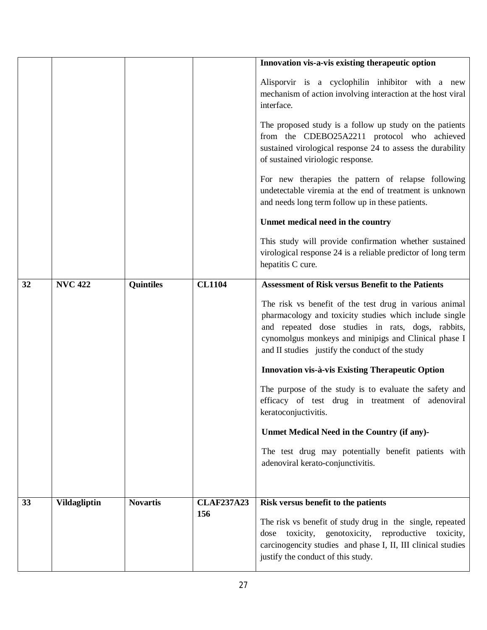|    |                     |                  |                          | Innovation vis-a-vis existing therapeutic option                                                                                                                                                                                                                                 |
|----|---------------------|------------------|--------------------------|----------------------------------------------------------------------------------------------------------------------------------------------------------------------------------------------------------------------------------------------------------------------------------|
|    |                     |                  |                          | Alisporvir is a cyclophilin inhibitor with a new<br>mechanism of action involving interaction at the host viral<br>interface.                                                                                                                                                    |
|    |                     |                  |                          | The proposed study is a follow up study on the patients<br>from the CDEBO25A2211 protocol who achieved<br>sustained virological response 24 to assess the durability<br>of sustained viriologic response.                                                                        |
|    |                     |                  |                          | For new therapies the pattern of relapse following<br>undetectable viremia at the end of treatment is unknown<br>and needs long term follow up in these patients.                                                                                                                |
|    |                     |                  |                          | Unmet medical need in the country                                                                                                                                                                                                                                                |
|    |                     |                  |                          | This study will provide confirmation whether sustained<br>virological response 24 is a reliable predictor of long term<br>hepatitis C cure.                                                                                                                                      |
| 32 | <b>NVC 422</b>      | <b>Quintiles</b> | <b>CL1104</b>            | <b>Assessment of Risk versus Benefit to the Patients</b>                                                                                                                                                                                                                         |
|    |                     |                  |                          | The risk vs benefit of the test drug in various animal<br>pharmacology and toxicity studies which include single<br>and repeated dose studies in rats, dogs, rabbits,<br>cynomolgus monkeys and minipigs and Clinical phase I<br>and II studies justify the conduct of the study |
|    |                     |                  |                          | Innovation vis-à-vis Existing Therapeutic Option                                                                                                                                                                                                                                 |
|    |                     |                  |                          | The purpose of the study is to evaluate the safety and<br>efficacy of test drug in treatment of adenoviral<br>keratoconjuctivitis.                                                                                                                                               |
|    |                     |                  |                          | Unmet Medical Need in the Country (if any)-                                                                                                                                                                                                                                      |
|    |                     |                  |                          | The test drug may potentially benefit patients with<br>adenoviral kerato-conjunctivitis.                                                                                                                                                                                         |
|    |                     |                  |                          |                                                                                                                                                                                                                                                                                  |
| 33 | <b>Vildagliptin</b> | <b>Novartis</b>  | <b>CLAF237A23</b><br>156 | Risk versus benefit to the patients<br>The risk vs benefit of study drug in the single, repeated<br>toxicity, genotoxicity, reproductive toxicity,<br>dose<br>carcinogencity studies and phase I, II, III clinical studies<br>justify the conduct of this study.                 |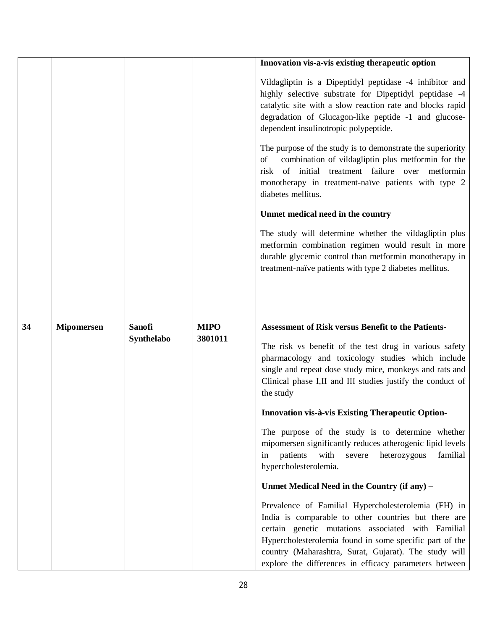|    |                   |                             |                        | Innovation vis-a-vis existing therapeutic option                                                                                                                                                                                                                                                        |
|----|-------------------|-----------------------------|------------------------|---------------------------------------------------------------------------------------------------------------------------------------------------------------------------------------------------------------------------------------------------------------------------------------------------------|
|    |                   |                             |                        | Vildagliptin is a Dipeptidyl peptidase -4 inhibitor and<br>highly selective substrate for Dipeptidyl peptidase -4<br>catalytic site with a slow reaction rate and blocks rapid<br>degradation of Glucagon-like peptide -1 and glucose-<br>dependent insulinotropic polypeptide.                         |
|    |                   |                             |                        | The purpose of the study is to demonstrate the superiority<br>combination of vildagliptin plus metformin for the<br>of<br>risk of initial treatment failure over metformin<br>monotherapy in treatment-naïve patients with type 2<br>diabetes mellitus.                                                 |
|    |                   |                             |                        | Unmet medical need in the country                                                                                                                                                                                                                                                                       |
|    |                   |                             |                        | The study will determine whether the vildagliptin plus<br>metformin combination regimen would result in more<br>durable glycemic control than metformin monotherapy in<br>treatment-naïve patients with type 2 diabetes mellitus.                                                                       |
|    |                   |                             |                        |                                                                                                                                                                                                                                                                                                         |
|    |                   |                             |                        |                                                                                                                                                                                                                                                                                                         |
| 34 | <b>Mipomersen</b> | <b>Sanofi</b><br>Synthelabo | <b>MIPO</b><br>3801011 | Assessment of Risk versus Benefit to the Patients-<br>The risk vs benefit of the test drug in various safety<br>pharmacology and toxicology studies which include<br>single and repeat dose study mice, monkeys and rats and<br>Clinical phase I,II and III studies justify the conduct of<br>the study |
|    |                   |                             |                        | Innovation vis-à-vis Existing Therapeutic Option-                                                                                                                                                                                                                                                       |
|    |                   |                             |                        | The purpose of the study is to determine whether<br>mipomersen significantly reduces atherogenic lipid levels<br>patients<br>with<br>heterozygous<br>severe<br>familial<br>in<br>hypercholesterolemia.                                                                                                  |
|    |                   |                             |                        | Unmet Medical Need in the Country (if any) -                                                                                                                                                                                                                                                            |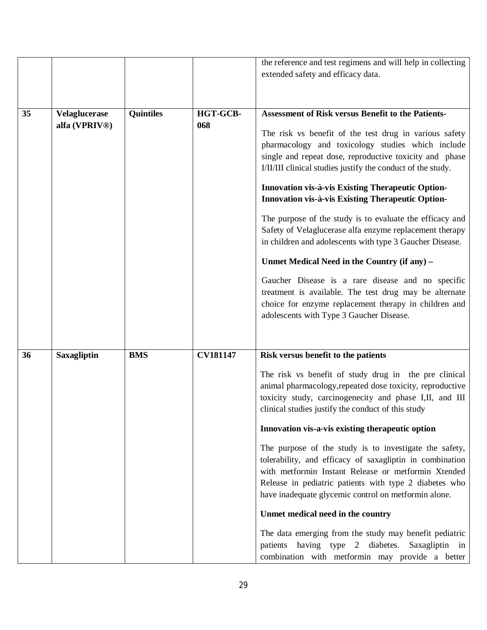|    |                      |                  |                 | the reference and test regimens and will help in collecting |
|----|----------------------|------------------|-----------------|-------------------------------------------------------------|
|    |                      |                  |                 | extended safety and efficacy data.                          |
|    |                      |                  |                 |                                                             |
|    |                      |                  |                 |                                                             |
| 35 | <b>Velaglucerase</b> | <b>Quintiles</b> | HGT-GCB-        | <b>Assessment of Risk versus Benefit to the Patients-</b>   |
|    | alfa (VPRIV®)        |                  | 068             |                                                             |
|    |                      |                  |                 | The risk vs benefit of the test drug in various safety      |
|    |                      |                  |                 | pharmacology and toxicology studies which include           |
|    |                      |                  |                 | single and repeat dose, reproductive toxicity and phase     |
|    |                      |                  |                 | I/II/III clinical studies justify the conduct of the study. |
|    |                      |                  |                 | Innovation vis-à-vis Existing Therapeutic Option-           |
|    |                      |                  |                 | Innovation vis-à-vis Existing Therapeutic Option-           |
|    |                      |                  |                 | The purpose of the study is to evaluate the efficacy and    |
|    |                      |                  |                 | Safety of Velaglucerase alfa enzyme replacement therapy     |
|    |                      |                  |                 | in children and adolescents with type 3 Gaucher Disease.    |
|    |                      |                  |                 | Unmet Medical Need in the Country (if any) –                |
|    |                      |                  |                 | Gaucher Disease is a rare disease and no specific           |
|    |                      |                  |                 | treatment is available. The test drug may be alternate      |
|    |                      |                  |                 | choice for enzyme replacement therapy in children and       |
|    |                      |                  |                 | adolescents with Type 3 Gaucher Disease.                    |
|    |                      |                  |                 |                                                             |
|    |                      |                  |                 |                                                             |
| 36 | <b>Saxagliptin</b>   | <b>BMS</b>       | <b>CV181147</b> | Risk versus benefit to the patients                         |
|    |                      |                  |                 | The risk vs benefit of study drug in the pre clinical       |
|    |                      |                  |                 | animal pharmacology, repeated dose toxicity, reproductive   |
|    |                      |                  |                 | toxicity study, carcinogenecity and phase I,II, and III     |
|    |                      |                  |                 | clinical studies justify the conduct of this study          |
|    |                      |                  |                 | Innovation vis-a-vis existing therapeutic option            |
|    |                      |                  |                 | The purpose of the study is to investigate the safety,      |
|    |                      |                  |                 | tolerability, and efficacy of saxagliptin in combination    |
|    |                      |                  |                 | with metformin Instant Release or metformin Xtended         |
|    |                      |                  |                 | Release in pediatric patients with type 2 diabetes who      |
|    |                      |                  |                 | have inadequate glycemic control on metformin alone.        |
|    |                      |                  |                 | Unmet medical need in the country                           |
|    |                      |                  |                 | The data emerging from the study may benefit pediatric      |
|    |                      |                  |                 | patients having type 2 diabetes. Saxagliptin in             |
|    |                      |                  |                 | combination with metformin may provide a better             |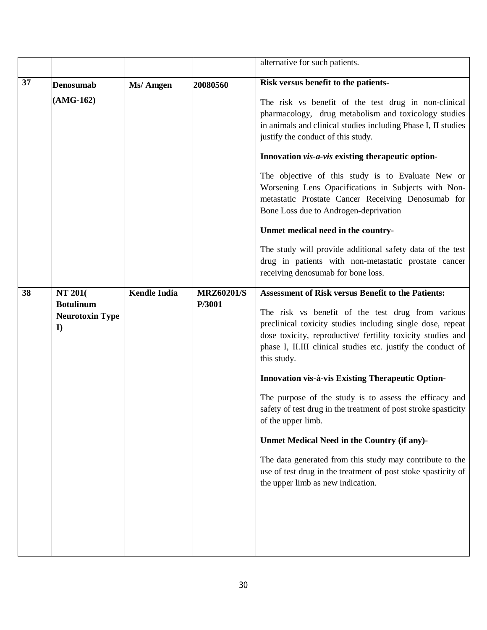|    |                                                                           |                     |                             | alternative for such patients.                                                                                                                                                                                                                                                                                                                                                                                                                                                                                                                                                                                                                                                                                                                            |
|----|---------------------------------------------------------------------------|---------------------|-----------------------------|-----------------------------------------------------------------------------------------------------------------------------------------------------------------------------------------------------------------------------------------------------------------------------------------------------------------------------------------------------------------------------------------------------------------------------------------------------------------------------------------------------------------------------------------------------------------------------------------------------------------------------------------------------------------------------------------------------------------------------------------------------------|
| 37 | <b>Denosumab</b><br>$(AMG-162)$                                           | Ms/ Amgen           | 20080560                    | Risk versus benefit to the patients-<br>The risk vs benefit of the test drug in non-clinical<br>pharmacology, drug metabolism and toxicology studies<br>in animals and clinical studies including Phase I, II studies<br>justify the conduct of this study.<br>Innovation <i>vis-a-vis</i> existing the rapeutic option-<br>The objective of this study is to Evaluate New or<br>Worsening Lens Opacifications in Subjects with Non-<br>metastatic Prostate Cancer Receiving Denosumab for<br>Bone Loss due to Androgen-deprivation<br>Unmet medical need in the country-                                                                                                                                                                                 |
|    |                                                                           |                     |                             | The study will provide additional safety data of the test<br>drug in patients with non-metastatic prostate cancer<br>receiving denosumab for bone loss.                                                                                                                                                                                                                                                                                                                                                                                                                                                                                                                                                                                                   |
| 38 | <b>NT 201</b> (<br><b>Botulinum</b><br><b>Neurotoxin Type</b><br>$\bf{I}$ | <b>Kendle India</b> | <b>MRZ60201/S</b><br>P/3001 | <b>Assessment of Risk versus Benefit to the Patients:</b><br>The risk vs benefit of the test drug from various<br>preclinical toxicity studies including single dose, repeat<br>dose toxicity, reproductive/ fertility toxicity studies and<br>phase I, II.III clinical studies etc. justify the conduct of<br>this study.<br><b>Innovation vis-à-vis Existing Therapeutic Option-</b><br>The purpose of the study is to assess the efficacy and<br>safety of test drug in the treatment of post stroke spasticity<br>of the upper limb.<br>Unmet Medical Need in the Country (if any)-<br>The data generated from this study may contribute to the<br>use of test drug in the treatment of post stoke spasticity of<br>the upper limb as new indication. |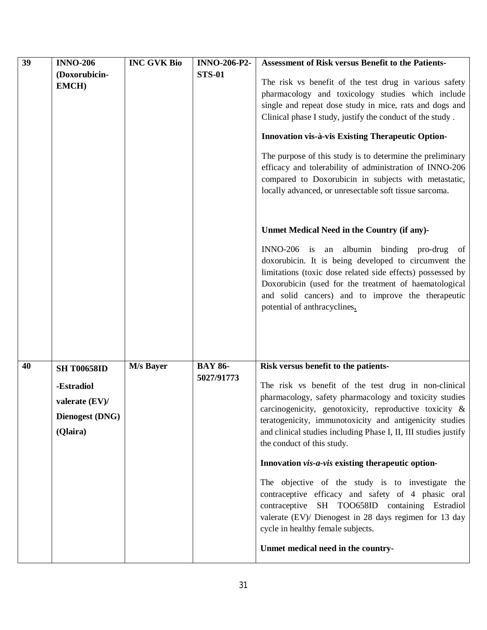| $\overline{39}$ | <b>INNO-206</b>        | <b>INC GVK Bio</b> | <b>INNO-206-P2-</b> | <b>Assessment of Risk versus Benefit to the Patients-</b>                                                                                                                                                                                                                                                         |
|-----------------|------------------------|--------------------|---------------------|-------------------------------------------------------------------------------------------------------------------------------------------------------------------------------------------------------------------------------------------------------------------------------------------------------------------|
|                 | (Doxorubicin-          |                    | <b>STS-01</b>       |                                                                                                                                                                                                                                                                                                                   |
|                 | <b>EMCH)</b>           |                    |                     | The risk vs benefit of the test drug in various safety                                                                                                                                                                                                                                                            |
|                 |                        |                    |                     | pharmacology and toxicology studies which include                                                                                                                                                                                                                                                                 |
|                 |                        |                    |                     | single and repeat dose study in mice, rats and dogs and                                                                                                                                                                                                                                                           |
|                 |                        |                    |                     | Clinical phase I study, justify the conduct of the study.                                                                                                                                                                                                                                                         |
|                 |                        |                    |                     | Innovation vis-à-vis Existing Therapeutic Option-                                                                                                                                                                                                                                                                 |
|                 |                        |                    |                     | The purpose of this study is to determine the preliminary<br>efficacy and tolerability of administration of INNO-206<br>compared to Doxorubicin in subjects with metastatic,<br>locally advanced, or unresectable soft tissue sarcoma.                                                                            |
|                 |                        |                    |                     | Unmet Medical Need in the Country (if any)-                                                                                                                                                                                                                                                                       |
|                 |                        |                    |                     | INNO-206 is an albumin binding pro-drug<br>of<br>doxorubicin. It is being developed to circumvent the<br>limitations (toxic dose related side effects) possessed by<br>Doxorubicin (used for the treatment of haematological<br>and solid cancers) and to improve the therapeutic<br>potential of anthracyclines. |
| 40              | <b>SH T00658ID</b>     | M/s Bayer          | <b>BAY 86-</b>      | Risk versus benefit to the patients-                                                                                                                                                                                                                                                                              |
|                 |                        |                    | 5027/91773          |                                                                                                                                                                                                                                                                                                                   |
|                 | -Estradiol             |                    |                     | The risk vs benefit of the test drug in non-clinical<br>pharmacology, safety pharmacology and toxicity studies                                                                                                                                                                                                    |
|                 | valerate (EV)/         |                    |                     | carcinogenicity, genotoxicity, reproductive toxicity &                                                                                                                                                                                                                                                            |
|                 | <b>Dienogest (DNG)</b> |                    |                     | teratogenicity, immunotoxicity and antigenicity studies                                                                                                                                                                                                                                                           |
|                 | (Qlaira)               |                    |                     | and clinical studies including Phase I, II, III studies justify                                                                                                                                                                                                                                                   |
|                 |                        |                    |                     | the conduct of this study.                                                                                                                                                                                                                                                                                        |
|                 |                        |                    |                     | Innovation vis-a-vis existing therapeutic option-                                                                                                                                                                                                                                                                 |
|                 |                        |                    |                     | The objective of the study is to investigate the<br>contraceptive efficacy and safety of 4 phasic oral<br>contraceptive SH TOO658ID containing Estradiol<br>valerate (EV)/ Dienogest in 28 days regimen for 13 day<br>cycle in healthy female subjects.                                                           |
|                 |                        |                    |                     | Unmet medical need in the country-                                                                                                                                                                                                                                                                                |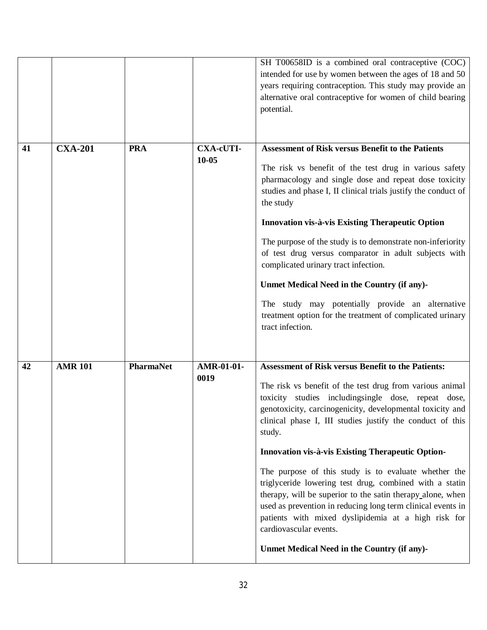|    |                |                  |                               | SH T00658ID is a combined oral contraceptive (COC)<br>intended for use by women between the ages of 18 and 50<br>years requiring contraception. This study may provide an<br>alternative oral contraceptive for women of child bearing<br>potential.                                                                                                                                                                                                                                                                                                                                                                                                                                                                                                         |
|----|----------------|------------------|-------------------------------|--------------------------------------------------------------------------------------------------------------------------------------------------------------------------------------------------------------------------------------------------------------------------------------------------------------------------------------------------------------------------------------------------------------------------------------------------------------------------------------------------------------------------------------------------------------------------------------------------------------------------------------------------------------------------------------------------------------------------------------------------------------|
| 41 | <b>CXA-201</b> | <b>PRA</b>       | <b>CXA-cUTI-</b><br>$10 - 05$ | <b>Assessment of Risk versus Benefit to the Patients</b><br>The risk vs benefit of the test drug in various safety<br>pharmacology and single dose and repeat dose toxicity<br>studies and phase I, II clinical trials justify the conduct of<br>the study<br>Innovation vis-à-vis Existing Therapeutic Option<br>The purpose of the study is to demonstrate non-inferiority<br>of test drug versus comparator in adult subjects with<br>complicated urinary tract infection.<br>Unmet Medical Need in the Country (if any)-<br>The study may potentially provide an alternative<br>treatment option for the treatment of complicated urinary<br>tract infection.                                                                                            |
| 42 | <b>AMR 101</b> | <b>PharmaNet</b> | AMR-01-01-<br>0019            | <b>Assessment of Risk versus Benefit to the Patients:</b><br>The risk vs benefit of the test drug from various animal<br>toxicity studies includingsingle dose, repeat dose,<br>genotoxicity, carcinogenicity, developmental toxicity and<br>clinical phase I, III studies justify the conduct of this<br>study.<br><b>Innovation vis-à-vis Existing Therapeutic Option-</b><br>The purpose of this study is to evaluate whether the<br>triglyceride lowering test drug, combined with a statin<br>therapy, will be superior to the satin therapy alone, when<br>used as prevention in reducing long term clinical events in<br>patients with mixed dyslipidemia at a high risk for<br>cardiovascular events.<br>Unmet Medical Need in the Country (if any)- |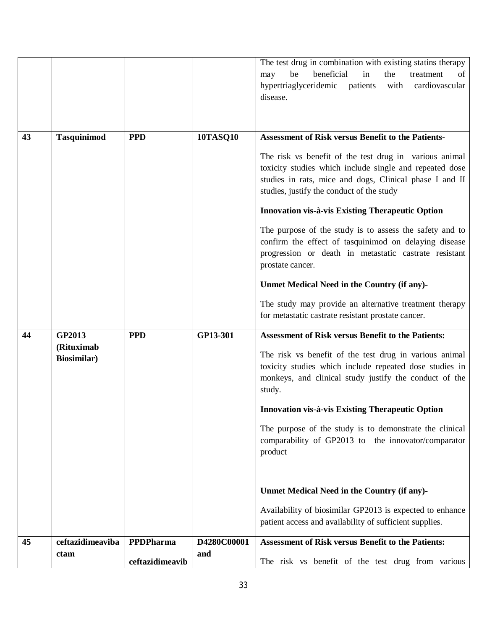|    |                                   |                 |                 | The test drug in combination with existing statins therapy<br>beneficial<br>be<br>in<br>the<br>treatment<br>of<br>may<br>hypertriaglyceridemic<br>patients with<br>cardiovascular<br>disease.                             |
|----|-----------------------------------|-----------------|-----------------|---------------------------------------------------------------------------------------------------------------------------------------------------------------------------------------------------------------------------|
| 43 | <b>Tasquinimod</b>                | <b>PPD</b>      | <b>10TASQ10</b> | <b>Assessment of Risk versus Benefit to the Patients-</b>                                                                                                                                                                 |
|    |                                   |                 |                 | The risk vs benefit of the test drug in various animal<br>toxicity studies which include single and repeated dose<br>studies in rats, mice and dogs, Clinical phase I and II<br>studies, justify the conduct of the study |
|    |                                   |                 |                 | Innovation vis-à-vis Existing Therapeutic Option                                                                                                                                                                          |
|    |                                   |                 |                 | The purpose of the study is to assess the safety and to<br>confirm the effect of tasquinimod on delaying disease<br>progression or death in metastatic castrate resistant<br>prostate cancer.                             |
|    |                                   |                 |                 | Unmet Medical Need in the Country (if any)-                                                                                                                                                                               |
|    |                                   |                 |                 | The study may provide an alternative treatment therapy<br>for metastatic castrate resistant prostate cancer.                                                                                                              |
| 44 | GP2013                            | <b>PPD</b>      | GP13-301        | <b>Assessment of Risk versus Benefit to the Patients:</b>                                                                                                                                                                 |
|    | (Rituximab<br><b>Biosimilar</b> ) |                 |                 | The risk vs benefit of the test drug in various animal<br>toxicity studies which include repeated dose studies in<br>monkeys, and clinical study justify the conduct of the<br>study.                                     |
|    |                                   |                 |                 | Innovation vis-à-vis Existing Therapeutic Option                                                                                                                                                                          |
|    |                                   |                 |                 | The purpose of the study is to demonstrate the clinical<br>comparability of GP2013 to the innovator/comparator<br>product                                                                                                 |
|    |                                   |                 |                 | Unmet Medical Need in the Country (if any)-                                                                                                                                                                               |
|    |                                   |                 |                 | Availability of biosimilar GP2013 is expected to enhance<br>patient access and availability of sufficient supplies.                                                                                                       |
| 45 | ceftazidimeaviba                  | PPDPharma       | D4280C00001     | <b>Assessment of Risk versus Benefit to the Patients:</b>                                                                                                                                                                 |
|    | ctam                              | ceftazidimeavib | and             | The risk vs benefit of the test drug from various                                                                                                                                                                         |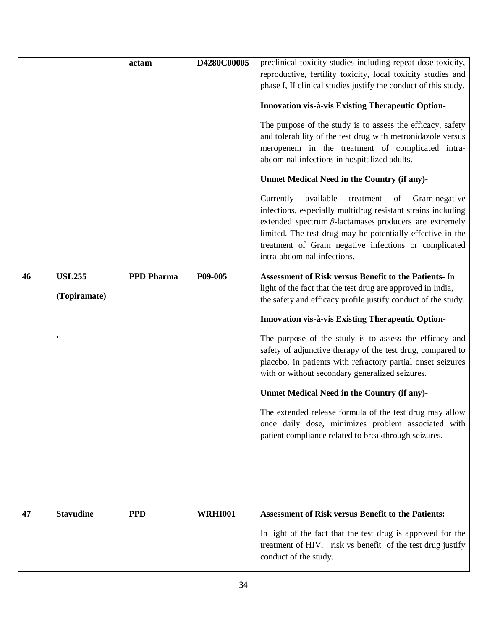|    |                  | actam             | D4280C00005    | preclinical toxicity studies including repeat dose toxicity,    |
|----|------------------|-------------------|----------------|-----------------------------------------------------------------|
|    |                  |                   |                | reproductive, fertility toxicity, local toxicity studies and    |
|    |                  |                   |                | phase I, II clinical studies justify the conduct of this study. |
|    |                  |                   |                |                                                                 |
|    |                  |                   |                | Innovation vis-à-vis Existing Therapeutic Option-               |
|    |                  |                   |                | The purpose of the study is to assess the efficacy, safety      |
|    |                  |                   |                | and tolerability of the test drug with metronidazole versus     |
|    |                  |                   |                | meropenem in the treatment of complicated intra-                |
|    |                  |                   |                | abdominal infections in hospitalized adults.                    |
|    |                  |                   |                | Unmet Medical Need in the Country (if any)-                     |
|    |                  |                   |                | Currently<br>available<br>treatment<br>Gram-negative<br>of      |
|    |                  |                   |                | infections, especially multidrug resistant strains including    |
|    |                  |                   |                | extended spectrum $\beta$ -lactamases producers are extremely   |
|    |                  |                   |                | limited. The test drug may be potentially effective in the      |
|    |                  |                   |                | treatment of Gram negative infections or complicated            |
|    |                  |                   |                | intra-abdominal infections.                                     |
| 46 | <b>USL255</b>    | <b>PPD Pharma</b> | P09-005        | Assessment of Risk versus Benefit to the Patients- In           |
|    |                  |                   |                | light of the fact that the test drug are approved in India,     |
|    | (Topiramate)     |                   |                | the safety and efficacy profile justify conduct of the study.   |
|    |                  |                   |                |                                                                 |
|    |                  |                   |                | Innovation vis-à-vis Existing Therapeutic Option-               |
|    |                  |                   |                | The purpose of the study is to assess the efficacy and          |
|    |                  |                   |                | safety of adjunctive therapy of the test drug, compared to      |
|    |                  |                   |                | placebo, in patients with refractory partial onset seizures     |
|    |                  |                   |                | with or without secondary generalized seizures.                 |
|    |                  |                   |                | Unmet Medical Need in the Country (if any)-                     |
|    |                  |                   |                | The extended release formula of the test drug may allow         |
|    |                  |                   |                | once daily dose, minimizes problem associated with              |
|    |                  |                   |                | patient compliance related to breakthrough seizures.            |
|    |                  |                   |                |                                                                 |
|    |                  |                   |                |                                                                 |
|    |                  |                   |                |                                                                 |
|    |                  |                   |                |                                                                 |
|    |                  |                   |                |                                                                 |
| 47 | <b>Stavudine</b> | <b>PPD</b>        | <b>WRHI001</b> | <b>Assessment of Risk versus Benefit to the Patients:</b>       |
|    |                  |                   |                | In light of the fact that the test drug is approved for the     |
|    |                  |                   |                | treatment of HIV, risk vs benefit of the test drug justify      |
|    |                  |                   |                | conduct of the study.                                           |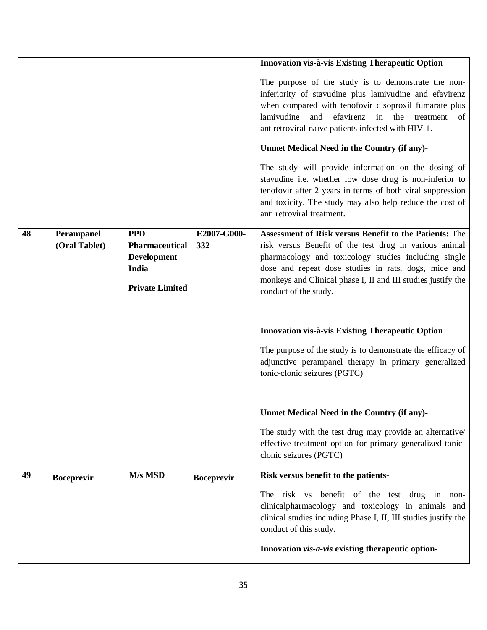|    |                             |                                                                                              |                    | Innovation vis-à-vis Existing Therapeutic Option                                                                                                                                                                                                                                                                          |
|----|-----------------------------|----------------------------------------------------------------------------------------------|--------------------|---------------------------------------------------------------------------------------------------------------------------------------------------------------------------------------------------------------------------------------------------------------------------------------------------------------------------|
|    |                             |                                                                                              |                    | The purpose of the study is to demonstrate the non-<br>inferiority of stavudine plus lamivudine and efavirenz<br>when compared with tenofovir disoproxil fumarate plus<br>lamivudine<br>efavirenz in the treatment<br>and<br>of<br>antiretroviral-naïve patients infected with HIV-1.                                     |
|    |                             |                                                                                              |                    | Unmet Medical Need in the Country (if any)-                                                                                                                                                                                                                                                                               |
|    |                             |                                                                                              |                    | The study will provide information on the dosing of<br>stavudine i.e. whether low dose drug is non-inferior to<br>tenofovir after 2 years in terms of both viral suppression<br>and toxicity. The study may also help reduce the cost of<br>anti retroviral treatment.                                                    |
| 48 | Perampanel<br>(Oral Tablet) | <b>PPD</b><br><b>Pharmaceutical</b><br><b>Development</b><br>India<br><b>Private Limited</b> | E2007-G000-<br>332 | Assessment of Risk versus Benefit to the Patients: The<br>risk versus Benefit of the test drug in various animal<br>pharmacology and toxicology studies including single<br>dose and repeat dose studies in rats, dogs, mice and<br>monkeys and Clinical phase I, II and III studies justify the<br>conduct of the study. |
|    |                             |                                                                                              |                    | Innovation vis-à-vis Existing Therapeutic Option                                                                                                                                                                                                                                                                          |
|    |                             |                                                                                              |                    | The purpose of the study is to demonstrate the efficacy of<br>adjunctive perampanel therapy in primary generalized<br>tonic-clonic seizures (PGTC)                                                                                                                                                                        |
|    |                             |                                                                                              |                    | Unmet Medical Need in the Country (if any)-                                                                                                                                                                                                                                                                               |
|    |                             |                                                                                              |                    | The study with the test drug may provide an alternative/<br>effective treatment option for primary generalized tonic-<br>clonic seizures (PGTC)                                                                                                                                                                           |
| 49 | <b>Boceprevir</b>           | M/s MSD                                                                                      | <b>Boceprevir</b>  | Risk versus benefit to the patients-                                                                                                                                                                                                                                                                                      |
|    |                             |                                                                                              |                    | The risk vs benefit of the test drug in non-<br>clinicalpharmacology and toxicology in animals and<br>clinical studies including Phase I, II, III studies justify the<br>conduct of this study.                                                                                                                           |
|    |                             |                                                                                              |                    | Innovation vis-a-vis existing therapeutic option-                                                                                                                                                                                                                                                                         |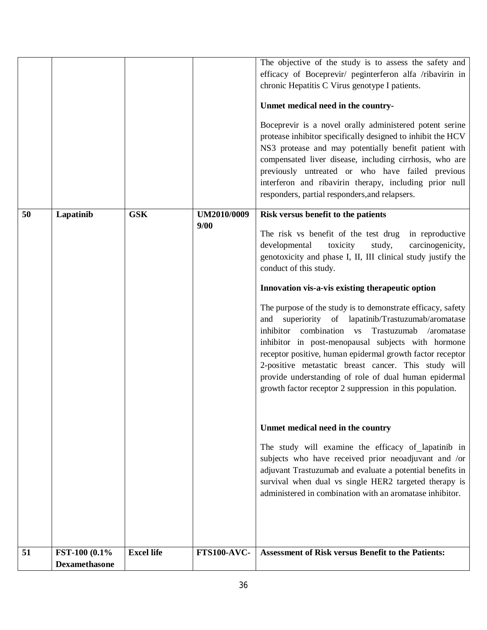| 51 | FST-100 (0.1%) | <b>Excel life</b> | <b>FTS100-AVC-</b>  | <b>Assessment of Risk versus Benefit to the Patients:</b>                                                                                                                                                                                                                                                                                                                                                                                                                                                                                                                                                                |
|----|----------------|-------------------|---------------------|--------------------------------------------------------------------------------------------------------------------------------------------------------------------------------------------------------------------------------------------------------------------------------------------------------------------------------------------------------------------------------------------------------------------------------------------------------------------------------------------------------------------------------------------------------------------------------------------------------------------------|
|    |                |                   |                     | Unmet medical need in the country<br>The study will examine the efficacy of lapatinib in<br>subjects who have received prior neoadjuvant and /or<br>adjuvant Trastuzumab and evaluate a potential benefits in<br>survival when dual vs single HER2 targeted therapy is<br>administered in combination with an aromatase inhibitor.                                                                                                                                                                                                                                                                                       |
|    |                |                   |                     | Innovation vis-a-vis existing therapeutic option<br>The purpose of the study is to demonstrate efficacy, safety<br>and superiority of lapatinib/Trastuzumab/aromatase<br>inhibitor combination vs Trastuzumab<br>/aromatase<br>inhibitor in post-menopausal subjects with hormone<br>receptor positive, human epidermal growth factor receptor<br>2-positive metastatic breast cancer. This study will<br>provide understanding of role of dual human epidermal<br>growth factor receptor 2 suppression in this population.                                                                                              |
| 50 | Lapatinib      | <b>GSK</b>        | UM2010/0009<br>9/00 | Risk versus benefit to the patients<br>The risk vs benefit of the test drug<br>in reproductive<br>developmental<br>toxicity<br>study,<br>carcinogenicity,<br>genotoxicity and phase I, II, III clinical study justify the<br>conduct of this study.                                                                                                                                                                                                                                                                                                                                                                      |
|    |                |                   |                     | The objective of the study is to assess the safety and<br>efficacy of Boceprevir/ peginterferon alfa /ribavirin in<br>chronic Hepatitis C Virus genotype I patients.<br>Unmet medical need in the country-<br>Boceprevir is a novel orally administered potent serine<br>protease inhibitor specifically designed to inhibit the HCV<br>NS3 protease and may potentially benefit patient with<br>compensated liver disease, including cirrhosis, who are<br>previously untreated or who have failed previous<br>interferon and ribavirin therapy, including prior null<br>responders, partial responders, and relapsers. |
|    |                |                   |                     |                                                                                                                                                                                                                                                                                                                                                                                                                                                                                                                                                                                                                          |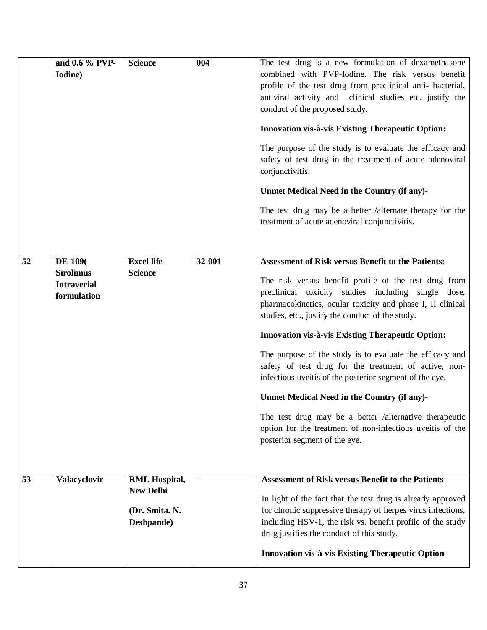|    | and 0.6 % PVP-<br>Iodine)                                                | <b>Science</b>                                                           | 004    | The test drug is a new formulation of dexamethasone<br>combined with PVP-Iodine. The risk versus benefit<br>profile of the test drug from preclinical anti- bacterial,<br>antiviral activity and clinical studies etc. justify the<br>conduct of the proposed study.<br>Innovation vis-à-vis Existing Therapeutic Option:<br>The purpose of the study is to evaluate the efficacy and<br>safety of test drug in the treatment of acute adenoviral<br>conjunctivitis.<br>Unmet Medical Need in the Country (if any)-<br>The test drug may be a better /alternate therapy for the<br>treatment of acute adenoviral conjunctivitis.                                                                                                               |
|----|--------------------------------------------------------------------------|--------------------------------------------------------------------------|--------|------------------------------------------------------------------------------------------------------------------------------------------------------------------------------------------------------------------------------------------------------------------------------------------------------------------------------------------------------------------------------------------------------------------------------------------------------------------------------------------------------------------------------------------------------------------------------------------------------------------------------------------------------------------------------------------------------------------------------------------------|
| 52 | <b>DE-109</b> (<br><b>Sirolimus</b><br><b>Intraverial</b><br>formulation | <b>Excel life</b><br><b>Science</b>                                      | 32-001 | <b>Assessment of Risk versus Benefit to the Patients:</b><br>The risk versus benefit profile of the test drug from<br>preclinical toxicity studies including single dose,<br>pharmacokinetics, ocular toxicity and phase I, II clinical<br>studies, etc., justify the conduct of the study.<br><b>Innovation vis-à-vis Existing Therapeutic Option:</b><br>The purpose of the study is to evaluate the efficacy and<br>safety of test drug for the treatment of active, non-<br>infectious uveitis of the posterior segment of the eye.<br>Unmet Medical Need in the Country (if any)-<br>The test drug may be a better /alternative therapeutic<br>option for the treatment of non-infectious uveitis of the<br>posterior segment of the eye. |
| 53 | Valacyclovir                                                             | <b>RML Hospital,</b><br><b>New Delhi</b><br>(Dr. Smita. N.<br>Deshpande) |        | <b>Assessment of Risk versus Benefit to the Patients-</b><br>In light of the fact that the test drug is already approved<br>for chronic suppressive therapy of herpes virus infections,<br>including HSV-1, the risk vs. benefit profile of the study<br>drug justifies the conduct of this study.<br>Innovation vis-à-vis Existing Therapeutic Option-                                                                                                                                                                                                                                                                                                                                                                                        |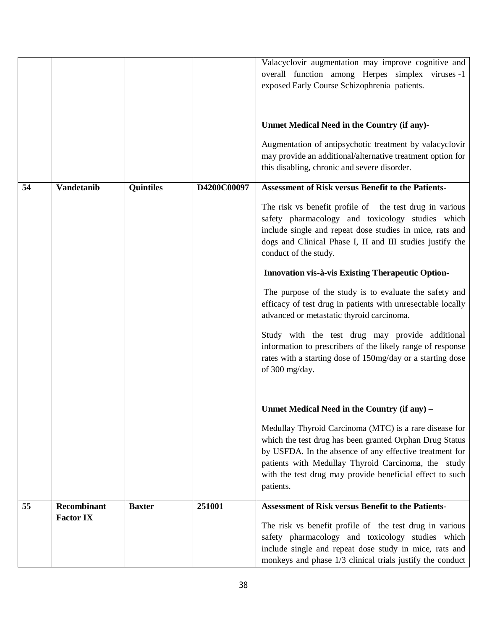|    |                                        |               |             | Valacyclovir augmentation may improve cognitive and<br>overall function among Herpes simplex viruses -1<br>exposed Early Course Schizophrenia patients.<br>Unmet Medical Need in the Country (if any)-<br>Augmentation of antipsychotic treatment by valacyclovir<br>may provide an additional/alternative treatment option for<br>this disabling, chronic and severe disorder.                                                                                                                                                                                                                                                                                                                                                                        |
|----|----------------------------------------|---------------|-------------|--------------------------------------------------------------------------------------------------------------------------------------------------------------------------------------------------------------------------------------------------------------------------------------------------------------------------------------------------------------------------------------------------------------------------------------------------------------------------------------------------------------------------------------------------------------------------------------------------------------------------------------------------------------------------------------------------------------------------------------------------------|
|    |                                        |               |             |                                                                                                                                                                                                                                                                                                                                                                                                                                                                                                                                                                                                                                                                                                                                                        |
| 54 | <b>Vandetanib</b>                      | Quintiles     | D4200C00097 | <b>Assessment of Risk versus Benefit to the Patients-</b><br>The risk vs benefit profile of the test drug in various<br>safety pharmacology and toxicology studies which<br>include single and repeat dose studies in mice, rats and<br>dogs and Clinical Phase I, II and III studies justify the<br>conduct of the study.<br>Innovation vis-à-vis Existing Therapeutic Option-<br>The purpose of the study is to evaluate the safety and<br>efficacy of test drug in patients with unresectable locally<br>advanced or metastatic thyroid carcinoma.<br>Study with the test drug may provide additional<br>information to prescribers of the likely range of response<br>rates with a starting dose of 150mg/day or a starting dose<br>of 300 mg/day. |
|    |                                        |               |             | Unmet Medical Need in the Country (if any) -                                                                                                                                                                                                                                                                                                                                                                                                                                                                                                                                                                                                                                                                                                           |
|    |                                        |               |             | Medullay Thyroid Carcinoma (MTC) is a rare disease for<br>which the test drug has been granted Orphan Drug Status<br>by USFDA. In the absence of any effective treatment for<br>patients with Medullay Thyroid Carcinoma, the study<br>with the test drug may provide beneficial effect to such<br>patients.                                                                                                                                                                                                                                                                                                                                                                                                                                           |
| 55 | <b>Recombinant</b><br><b>Factor IX</b> | <b>Baxter</b> | 251001      | <b>Assessment of Risk versus Benefit to the Patients-</b><br>The risk vs benefit profile of the test drug in various<br>safety pharmacology and toxicology studies which<br>include single and repeat dose study in mice, rats and<br>monkeys and phase 1/3 clinical trials justify the conduct                                                                                                                                                                                                                                                                                                                                                                                                                                                        |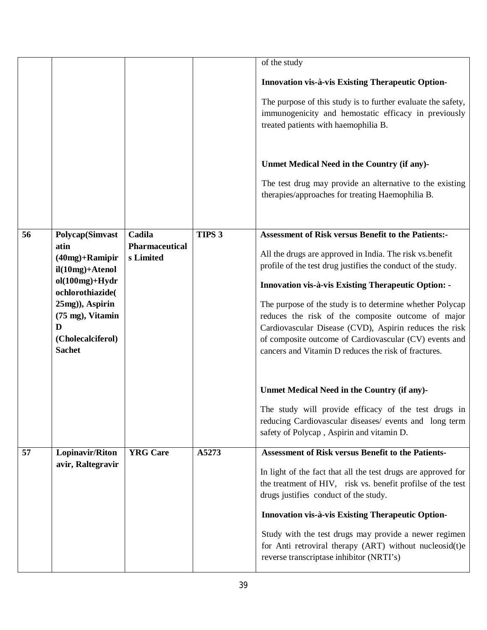|    |                                      |                                    |                   | of the study                                                                                                   |
|----|--------------------------------------|------------------------------------|-------------------|----------------------------------------------------------------------------------------------------------------|
|    |                                      |                                    |                   |                                                                                                                |
|    |                                      |                                    |                   | Innovation vis-à-vis Existing Therapeutic Option-                                                              |
|    |                                      |                                    |                   | The purpose of this study is to further evaluate the safety,                                                   |
|    |                                      |                                    |                   | immunogenicity and hemostatic efficacy in previously                                                           |
|    |                                      |                                    |                   | treated patients with haemophilia B.                                                                           |
|    |                                      |                                    |                   |                                                                                                                |
|    |                                      |                                    |                   | Unmet Medical Need in the Country (if any)-                                                                    |
|    |                                      |                                    |                   |                                                                                                                |
|    |                                      |                                    |                   | The test drug may provide an alternative to the existing<br>therapies/approaches for treating Haemophilia B.   |
|    |                                      |                                    |                   |                                                                                                                |
|    |                                      |                                    |                   |                                                                                                                |
| 56 | <b>Polycap(Simvast</b>               | Cadila                             | TIPS <sub>3</sub> | <b>Assessment of Risk versus Benefit to the Patients:-</b>                                                     |
|    | atin<br>$(40mg) +$ Ramipir           | <b>Pharmaceutical</b><br>s Limited |                   | All the drugs are approved in India. The risk vs.benefit                                                       |
|    | $il(10mg) + Atenol$                  |                                    |                   | profile of the test drug justifies the conduct of the study.                                                   |
|    | $ol(100mg)+Hydr$                     |                                    |                   | <b>Innovation vis-à-vis Existing Therapeutic Option: -</b>                                                     |
|    | ochlorothiazide(                     |                                    |                   |                                                                                                                |
|    | 25mg)), Aspirin<br>(75 mg), Vitamin  |                                    |                   | The purpose of the study is to determine whether Polycap<br>reduces the risk of the composite outcome of major |
|    | D                                    |                                    |                   | Cardiovascular Disease (CVD), Aspirin reduces the risk                                                         |
|    | (Cholecalciferol)                    |                                    |                   | of composite outcome of Cardiovascular (CV) events and                                                         |
|    | <b>Sachet</b>                        |                                    |                   | cancers and Vitamin D reduces the risk of fractures.                                                           |
|    |                                      |                                    |                   |                                                                                                                |
|    |                                      |                                    |                   | Unmet Medical Need in the Country (if any)-                                                                    |
|    |                                      |                                    |                   |                                                                                                                |
|    |                                      |                                    |                   | The study will provide efficacy of the test drugs in<br>reducing Cardiovascular diseases/ events and long term |
|    |                                      |                                    |                   | safety of Polycap, Aspirin and vitamin D.                                                                      |
|    |                                      | <b>YRG</b> Care                    | A5273             | <b>Assessment of Risk versus Benefit to the Patients-</b>                                                      |
| 57 | Lopinavir/Riton<br>avir, Raltegravir |                                    |                   |                                                                                                                |
|    |                                      |                                    |                   | In light of the fact that all the test drugs are approved for                                                  |
|    |                                      |                                    |                   | the treatment of HIV, risk vs. benefit profilse of the test<br>drugs justifies conduct of the study.           |
|    |                                      |                                    |                   |                                                                                                                |
|    |                                      |                                    |                   | Innovation vis-à-vis Existing Therapeutic Option-                                                              |
|    |                                      |                                    |                   | Study with the test drugs may provide a newer regimen                                                          |
|    |                                      |                                    |                   | for Anti retroviral therapy (ART) without nucleosid(t)e<br>reverse transcriptase inhibitor (NRTI's)            |
|    |                                      |                                    |                   |                                                                                                                |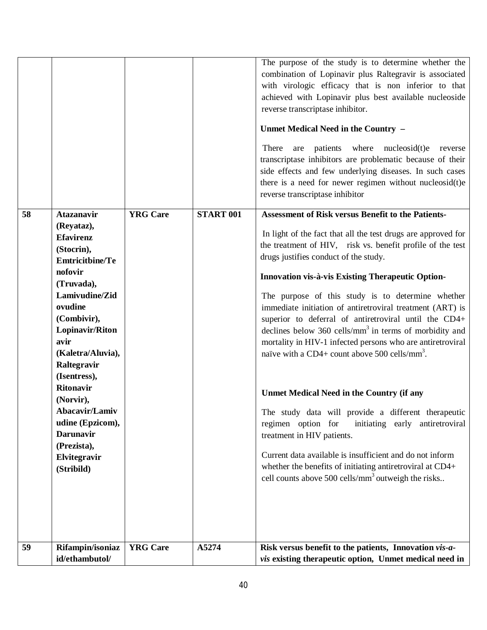|    |                                                                                                                                                                                                                                                                                                                                                                                         |                 |                  | The purpose of the study is to determine whether the<br>combination of Lopinavir plus Raltegravir is associated<br>with virologic efficacy that is non inferior to that<br>achieved with Lopinavir plus best available nucleoside<br>reverse transcriptase inhibitor.<br>Unmet Medical Need in the Country -<br>are patients where nucleosid(t)e<br>There<br>reverse<br>transcriptase inhibitors are problematic because of their<br>side effects and few underlying diseases. In such cases<br>there is a need for newer regimen without nucleosid(t)e<br>reverse transcriptase inhibitor                                                                                                                                                                                                                                                                                                                                                                                                                                                                        |
|----|-----------------------------------------------------------------------------------------------------------------------------------------------------------------------------------------------------------------------------------------------------------------------------------------------------------------------------------------------------------------------------------------|-----------------|------------------|-------------------------------------------------------------------------------------------------------------------------------------------------------------------------------------------------------------------------------------------------------------------------------------------------------------------------------------------------------------------------------------------------------------------------------------------------------------------------------------------------------------------------------------------------------------------------------------------------------------------------------------------------------------------------------------------------------------------------------------------------------------------------------------------------------------------------------------------------------------------------------------------------------------------------------------------------------------------------------------------------------------------------------------------------------------------|
| 58 | <b>Atazanavir</b><br>(Reyataz),<br><b>Efavirenz</b><br>(Stocrin),<br><b>Emtricitbine/Te</b><br>nofovir<br>(Truvada),<br>Lamivudine/Zid<br>ovudine<br>(Combivir),<br>Lopinavir/Riton<br>avir<br>(Kaletra/Aluvia),<br>Raltegravir<br>(Isentress),<br><b>Ritonavir</b><br>(Norvir),<br>Abacavir/Lamiv<br>udine (Epzicom),<br><b>Darunavir</b><br>(Prezista),<br>Elvitegravir<br>(Stribild) | <b>YRG</b> Care | <b>START 001</b> | <b>Assessment of Risk versus Benefit to the Patients-</b><br>In light of the fact that all the test drugs are approved for<br>the treatment of HIV, risk vs. benefit profile of the test<br>drugs justifies conduct of the study.<br>Innovation vis-à-vis Existing Therapeutic Option-<br>The purpose of this study is to determine whether<br>immediate initiation of antiretroviral treatment (ART) is<br>superior to deferral of antiretroviral until the CD4+<br>declines below $360$ cells/mm <sup>3</sup> in terms of morbidity and<br>mortality in HIV-1 infected persons who are antiretroviral<br>naïve with a CD4+ count above 500 cells/mm <sup>3</sup> .<br><b>Unmet Medical Need in the Country (if any</b><br>The study data will provide a different therapeutic<br>regimen option for<br>initiating early antiretroviral<br>treatment in HIV patients.<br>Current data available is insufficient and do not inform<br>whether the benefits of initiating antiretroviral at CD4+<br>cell counts above 500 cells/mm <sup>3</sup> outweigh the risks |
| 59 | Rifampin/isoniaz<br>id/ethambutol/                                                                                                                                                                                                                                                                                                                                                      | <b>YRG</b> Care | A5274            | Risk versus benefit to the patients, Innovation vis-a-<br><i>vis</i> existing therapeutic option, Unmet medical need in                                                                                                                                                                                                                                                                                                                                                                                                                                                                                                                                                                                                                                                                                                                                                                                                                                                                                                                                           |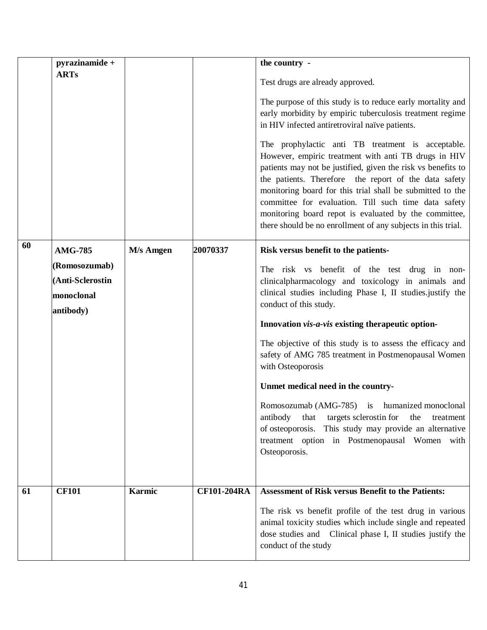|    | pyrazinamide +   |                   |                    | the country -                                                                                                                                                                                                                                                                                                                                                                                                                                                                    |
|----|------------------|-------------------|--------------------|----------------------------------------------------------------------------------------------------------------------------------------------------------------------------------------------------------------------------------------------------------------------------------------------------------------------------------------------------------------------------------------------------------------------------------------------------------------------------------|
|    | <b>ARTs</b>      |                   |                    | Test drugs are already approved.                                                                                                                                                                                                                                                                                                                                                                                                                                                 |
|    |                  |                   |                    | The purpose of this study is to reduce early mortality and<br>early morbidity by empiric tuberculosis treatment regime<br>in HIV infected antiretroviral naïve patients.                                                                                                                                                                                                                                                                                                         |
|    |                  |                   |                    | The prophylactic anti TB treatment is acceptable.<br>However, empiric treatment with anti TB drugs in HIV<br>patients may not be justified, given the risk vs benefits to<br>the patients. Therefore the report of the data safety<br>monitoring board for this trial shall be submitted to the<br>committee for evaluation. Till such time data safety<br>monitoring board repot is evaluated by the committee,<br>there should be no enrollment of any subjects in this trial. |
| 60 | <b>AMG-785</b>   | <b>M</b> /s Amgen | 20070337           | Risk versus benefit to the patients-                                                                                                                                                                                                                                                                                                                                                                                                                                             |
|    | (Romosozumab)    |                   |                    | The risk vs benefit of the test drug in non-                                                                                                                                                                                                                                                                                                                                                                                                                                     |
|    | (Anti-Sclerostin |                   |                    | clinicalpharmacology and toxicology in animals and                                                                                                                                                                                                                                                                                                                                                                                                                               |
|    | monoclonal       |                   |                    | clinical studies including Phase I, II studies justify the                                                                                                                                                                                                                                                                                                                                                                                                                       |
|    | antibody)        |                   |                    | conduct of this study.                                                                                                                                                                                                                                                                                                                                                                                                                                                           |
|    |                  |                   |                    | Innovation vis-a-vis existing therapeutic option-                                                                                                                                                                                                                                                                                                                                                                                                                                |
|    |                  |                   |                    | The objective of this study is to assess the efficacy and<br>safety of AMG 785 treatment in Postmenopausal Women<br>with Osteoporosis                                                                                                                                                                                                                                                                                                                                            |
|    |                  |                   |                    | Unmet medical need in the country-                                                                                                                                                                                                                                                                                                                                                                                                                                               |
|    |                  |                   |                    | Romosozumab (AMG-785) is humanized monoclonal<br>antibody<br>targets sclerostin for<br>that<br>the<br>treatment<br>of osteoporosis. This study may provide an alternative<br>treatment option in Postmenopausal Women with<br>Osteoporosis.                                                                                                                                                                                                                                      |
|    |                  |                   |                    |                                                                                                                                                                                                                                                                                                                                                                                                                                                                                  |
| 61 | <b>CF101</b>     | <b>Karmic</b>     | <b>CF101-204RA</b> | <b>Assessment of Risk versus Benefit to the Patients:</b>                                                                                                                                                                                                                                                                                                                                                                                                                        |
|    |                  |                   |                    | The risk vs benefit profile of the test drug in various<br>animal toxicity studies which include single and repeated<br>dose studies and Clinical phase I, II studies justify the<br>conduct of the study                                                                                                                                                                                                                                                                        |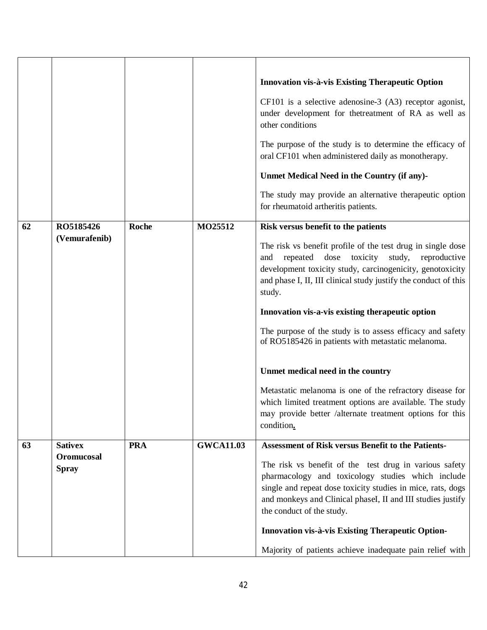|    |                            |              |                  | Innovation vis-à-vis Existing Therapeutic Option<br>$CF101$ is a selective adenosine-3 $(A3)$ receptor agonist,<br>under development for thetreatment of RA as well as<br>other conditions<br>The purpose of the study is to determine the efficacy of<br>oral CF101 when administered daily as monotherapy.<br>Unmet Medical Need in the Country (if any)-<br>The study may provide an alternative therapeutic option<br>for rheumatoid artheritis patients. |
|----|----------------------------|--------------|------------------|---------------------------------------------------------------------------------------------------------------------------------------------------------------------------------------------------------------------------------------------------------------------------------------------------------------------------------------------------------------------------------------------------------------------------------------------------------------|
| 62 | RO5185426                  | <b>Roche</b> | MO25512          | Risk versus benefit to the patients                                                                                                                                                                                                                                                                                                                                                                                                                           |
|    | (Vemurafenib)              |              |                  | The risk vs benefit profile of the test drug in single dose<br>dose<br>toxicity<br>repeated<br>study,<br>reproductive<br>and<br>development toxicity study, carcinogenicity, genotoxicity<br>and phase I, II, III clinical study justify the conduct of this<br>study.<br>Innovation vis-a-vis existing therapeutic option<br>The purpose of the study is to assess efficacy and safety                                                                       |
|    |                            |              |                  | of RO5185426 in patients with metastatic melanoma.                                                                                                                                                                                                                                                                                                                                                                                                            |
|    |                            |              |                  | Unmet medical need in the country                                                                                                                                                                                                                                                                                                                                                                                                                             |
|    |                            |              |                  | Metastatic melanoma is one of the refractory disease for<br>which limited treatment options are available. The study<br>may provide better /alternate treatment options for this<br>condition.                                                                                                                                                                                                                                                                |
| 63 | <b>Sativex</b>             | <b>PRA</b>   | <b>GWCA11.03</b> | <b>Assessment of Risk versus Benefit to the Patients-</b>                                                                                                                                                                                                                                                                                                                                                                                                     |
|    | Oromucosal<br><b>Spray</b> |              |                  | The risk vs benefit of the test drug in various safety<br>pharmacology and toxicology studies which include<br>single and repeat dose toxicity studies in mice, rats, dogs<br>and monkeys and Clinical phaseI, II and III studies justify<br>the conduct of the study.                                                                                                                                                                                        |
|    |                            |              |                  | Innovation vis-à-vis Existing Therapeutic Option-                                                                                                                                                                                                                                                                                                                                                                                                             |
|    |                            |              |                  | Majority of patients achieve inadequate pain relief with                                                                                                                                                                                                                                                                                                                                                                                                      |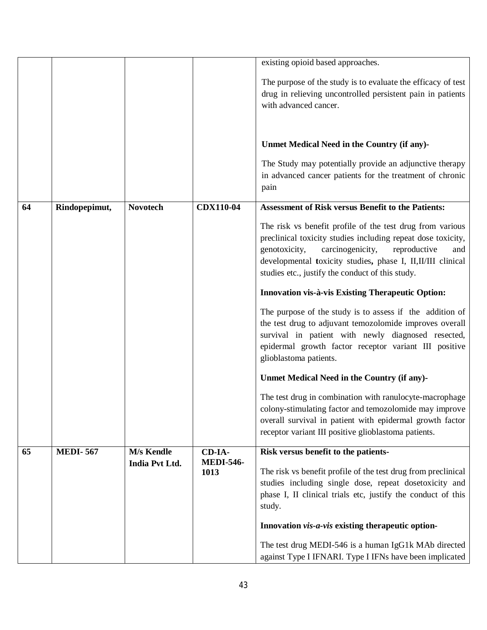|    |                 |                 |                  | existing opioid based approaches.                                                                                                                                                                                                                                                                         |
|----|-----------------|-----------------|------------------|-----------------------------------------------------------------------------------------------------------------------------------------------------------------------------------------------------------------------------------------------------------------------------------------------------------|
|    |                 |                 |                  | The purpose of the study is to evaluate the efficacy of test                                                                                                                                                                                                                                              |
|    |                 |                 |                  | drug in relieving uncontrolled persistent pain in patients                                                                                                                                                                                                                                                |
|    |                 |                 |                  | with advanced cancer.                                                                                                                                                                                                                                                                                     |
|    |                 |                 |                  |                                                                                                                                                                                                                                                                                                           |
|    |                 |                 |                  |                                                                                                                                                                                                                                                                                                           |
|    |                 |                 |                  | Unmet Medical Need in the Country (if any)-                                                                                                                                                                                                                                                               |
|    |                 |                 |                  | The Study may potentially provide an adjunctive therapy                                                                                                                                                                                                                                                   |
|    |                 |                 |                  | in advanced cancer patients for the treatment of chronic                                                                                                                                                                                                                                                  |
|    |                 |                 |                  | pain                                                                                                                                                                                                                                                                                                      |
| 64 |                 | <b>Novotech</b> | <b>CDX110-04</b> | <b>Assessment of Risk versus Benefit to the Patients:</b>                                                                                                                                                                                                                                                 |
|    | Rindopepimut,   |                 |                  |                                                                                                                                                                                                                                                                                                           |
|    |                 |                 |                  | The risk vs benefit profile of the test drug from various<br>preclinical toxicity studies including repeat dose toxicity,<br>carcinogenicity,<br>genotoxicity,<br>reproductive<br>and<br>developmental toxicity studies, phase I, II, II/III clinical<br>studies etc., justify the conduct of this study. |
|    |                 |                 |                  | <b>Innovation vis-à-vis Existing Therapeutic Option:</b>                                                                                                                                                                                                                                                  |
|    |                 |                 |                  | The purpose of the study is to assess if the addition of<br>the test drug to adjuvant temozolomide improves overall<br>survival in patient with newly diagnosed resected,<br>epidermal growth factor receptor variant III positive<br>glioblastoma patients.                                              |
|    |                 |                 |                  | Unmet Medical Need in the Country (if any)-                                                                                                                                                                                                                                                               |
|    |                 |                 |                  | The test drug in combination with ranulocyte-macrophage<br>colony-stimulating factor and temozolomide may improve<br>overall survival in patient with epidermal growth factor<br>receptor variant III positive glioblastoma patients.                                                                     |
| 65 | <b>MEDI-567</b> | M/s Kendle      | CD-IA-           | Risk versus benefit to the patients-                                                                                                                                                                                                                                                                      |
|    |                 | India Pvt Ltd.  | <b>MEDI-546-</b> |                                                                                                                                                                                                                                                                                                           |
|    |                 |                 | 1013             | The risk vs benefit profile of the test drug from preclinical<br>studies including single dose, repeat dosetoxicity and                                                                                                                                                                                   |
|    |                 |                 |                  | phase I, II clinical trials etc, justify the conduct of this                                                                                                                                                                                                                                              |
|    |                 |                 |                  | study.                                                                                                                                                                                                                                                                                                    |
|    |                 |                 |                  |                                                                                                                                                                                                                                                                                                           |
|    |                 |                 |                  | Innovation vis-a-vis existing therapeutic option-                                                                                                                                                                                                                                                         |
|    |                 |                 |                  | The test drug MEDI-546 is a human IgG1k MAb directed                                                                                                                                                                                                                                                      |
|    |                 |                 |                  | against Type I IFNARI. Type I IFNs have been implicated                                                                                                                                                                                                                                                   |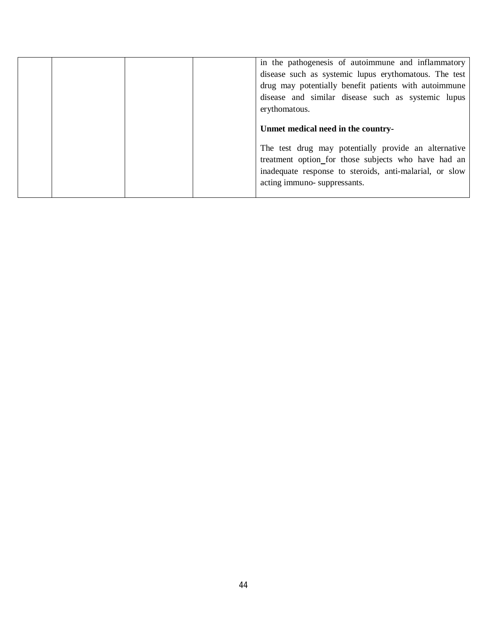|  | in the pathogenesis of autoimmune and inflammatory<br>disease such as systemic lupus erythomatous. The test<br>drug may potentially benefit patients with autoimmune<br>disease and similar disease such as systemic lupus<br>erythomatous. |
|--|---------------------------------------------------------------------------------------------------------------------------------------------------------------------------------------------------------------------------------------------|
|  | Unmet medical need in the country-                                                                                                                                                                                                          |
|  | The test drug may potentially provide an alternative<br>treatment option_for those subjects who have had an<br>inadequate response to steroids, anti-malarial, or slow<br>acting immuno-suppressants.                                       |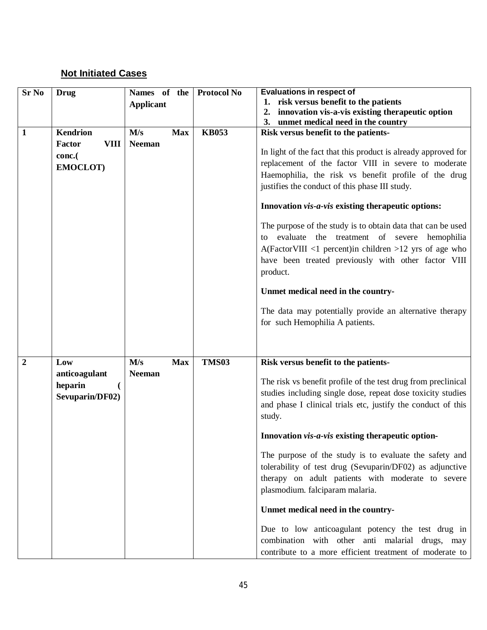## **Not Initiated Cases**

| <b>Sr No</b>   | <b>Drug</b>           | Names of the      | <b>Protocol No</b> | <b>Evaluations in respect of</b>                                |
|----------------|-----------------------|-------------------|--------------------|-----------------------------------------------------------------|
|                |                       | <b>Applicant</b>  |                    | 1. risk versus benefit to the patients                          |
|                |                       |                   |                    | innovation vis-a-vis existing therapeutic option<br>2.          |
|                | <b>Kendrion</b>       |                   | <b>KB053</b>       | 3. unmet medical need in the country                            |
| $\mathbf{1}$   |                       | M/s<br><b>Max</b> |                    | Risk versus benefit to the patients-                            |
|                | Factor<br><b>VIII</b> | <b>Neeman</b>     |                    | In light of the fact that this product is already approved for  |
|                | conc.(                |                   |                    | replacement of the factor VIII in severe to moderate            |
|                | EMOCLOT)              |                   |                    | Haemophilia, the risk vs benefit profile of the drug            |
|                |                       |                   |                    | justifies the conduct of this phase III study.                  |
|                |                       |                   |                    |                                                                 |
|                |                       |                   |                    | Innovation vis-a-vis existing therapeutic options:              |
|                |                       |                   |                    | The purpose of the study is to obtain data that can be used     |
|                |                       |                   |                    | evaluate the treatment of severe hemophilia<br>to               |
|                |                       |                   |                    | $A(Factor VIII \leq 1$ percent) in children > 12 yrs of age who |
|                |                       |                   |                    | have been treated previously with other factor VIII             |
|                |                       |                   |                    | product.                                                        |
|                |                       |                   |                    |                                                                 |
|                |                       |                   |                    | Unmet medical need in the country-                              |
|                |                       |                   |                    | The data may potentially provide an alternative therapy         |
|                |                       |                   |                    | for such Hemophilia A patients.                                 |
|                |                       |                   |                    |                                                                 |
|                |                       |                   |                    |                                                                 |
| $\overline{2}$ | Low                   | M/s<br><b>Max</b> | <b>TMS03</b>       | Risk versus benefit to the patients-                            |
|                | anticoagulant         | <b>Neeman</b>     |                    |                                                                 |
|                | heparin               |                   |                    | The risk vs benefit profile of the test drug from preclinical   |
|                | Sevuparin/DF02)       |                   |                    | studies including single dose, repeat dose toxicity studies     |
|                |                       |                   |                    | and phase I clinical trials etc, justify the conduct of this    |
|                |                       |                   |                    | study.                                                          |
|                |                       |                   |                    | Innovation vis-a-vis existing therapeutic option-               |
|                |                       |                   |                    | The purpose of the study is to evaluate the safety and          |
|                |                       |                   |                    | tolerability of test drug (Sevuparin/DF02) as adjunctive        |
|                |                       |                   |                    | therapy on adult patients with moderate to severe               |
|                |                       |                   |                    | plasmodium. falciparam malaria.                                 |
|                |                       |                   |                    |                                                                 |
|                |                       |                   |                    | Unmet medical need in the country-                              |
|                |                       |                   |                    | Due to low anticoagulant potency the test drug in               |
|                |                       |                   |                    | combination with other anti malarial drugs, may                 |
|                |                       |                   |                    | contribute to a more efficient treatment of moderate to         |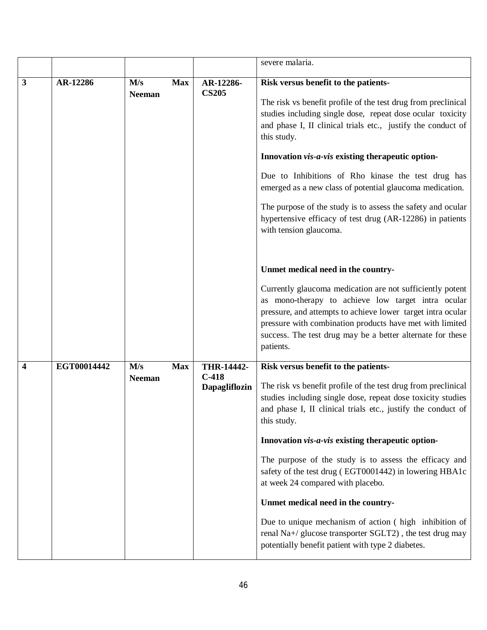|   |             |                      |                                                             | severe malaria.                                                                                                                                                                                                                                                                                                                                                                                                                                                                                                                                                                                                                                                                   |
|---|-------------|----------------------|-------------------------------------------------------------|-----------------------------------------------------------------------------------------------------------------------------------------------------------------------------------------------------------------------------------------------------------------------------------------------------------------------------------------------------------------------------------------------------------------------------------------------------------------------------------------------------------------------------------------------------------------------------------------------------------------------------------------------------------------------------------|
| 3 | AR-12286    | M/s<br><b>Neeman</b> | AR-12286-<br><b>Max</b><br><b>CS205</b>                     | Risk versus benefit to the patients-<br>The risk vs benefit profile of the test drug from preclinical<br>studies including single dose, repeat dose ocular toxicity<br>and phase I, II clinical trials etc., justify the conduct of<br>this study.<br>Innovation vis-a-vis existing therapeutic option-<br>Due to Inhibitions of Rho kinase the test drug has<br>emerged as a new class of potential glaucoma medication.<br>The purpose of the study is to assess the safety and ocular<br>hypertensive efficacy of test drug (AR-12286) in patients<br>with tension glaucoma.                                                                                                   |
|   |             |                      |                                                             | Unmet medical need in the country-<br>Currently glaucoma medication are not sufficiently potent<br>as mono-therapy to achieve low target intra ocular<br>pressure, and attempts to achieve lower target intra ocular<br>pressure with combination products have met with limited<br>success. The test drug may be a better alternate for these<br>patients.                                                                                                                                                                                                                                                                                                                       |
| 4 | EGT00014442 | M/s<br><b>Neeman</b> | THR-14442-<br><b>Max</b><br>$C-418$<br><b>Dapagliflozin</b> | Risk versus benefit to the patients-<br>The risk vs benefit profile of the test drug from preclinical<br>studies including single dose, repeat dose toxicity studies<br>and phase I, II clinical trials etc., justify the conduct of<br>this study.<br>Innovation vis-a-vis existing therapeutic option-<br>The purpose of the study is to assess the efficacy and<br>safety of the test drug (EGT0001442) in lowering HBA1c<br>at week 24 compared with placebo.<br>Unmet medical need in the country-<br>Due to unique mechanism of action (high inhibition of<br>renal Na+/ glucose transporter SGLT2), the test drug may<br>potentially benefit patient with type 2 diabetes. |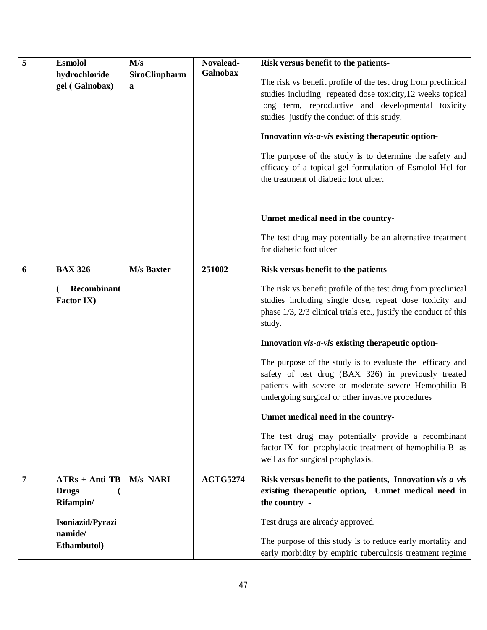| 5 | Esmolol<br>hydrochloride<br>gel (Galnobax)                                                  | M/s<br>SiroClinpharm<br>a | Novalead-<br><b>Galnobax</b> | Risk versus benefit to the patients-<br>The risk vs benefit profile of the test drug from preclinical<br>studies including repeated dose toxicity, 12 weeks topical<br>long term, reproductive and developmental toxicity<br>studies justify the conduct of this study.<br>Innovation vis-a-vis existing therapeutic option-<br>The purpose of the study is to determine the safety and<br>efficacy of a topical gel formulation of Esmolol Hcl for<br>the treatment of diabetic foot ulcer.                                                                                                                                                                                                                                    |
|---|---------------------------------------------------------------------------------------------|---------------------------|------------------------------|---------------------------------------------------------------------------------------------------------------------------------------------------------------------------------------------------------------------------------------------------------------------------------------------------------------------------------------------------------------------------------------------------------------------------------------------------------------------------------------------------------------------------------------------------------------------------------------------------------------------------------------------------------------------------------------------------------------------------------|
|   |                                                                                             |                           |                              | Unmet medical need in the country-<br>The test drug may potentially be an alternative treatment<br>for diabetic foot ulcer                                                                                                                                                                                                                                                                                                                                                                                                                                                                                                                                                                                                      |
| 6 | <b>BAX 326</b><br>Recombinant<br><b>Factor IX)</b>                                          | <b>M/s Baxter</b>         | 251002                       | Risk versus benefit to the patients-<br>The risk vs benefit profile of the test drug from preclinical<br>studies including single dose, repeat dose toxicity and<br>phase 1/3, 2/3 clinical trials etc., justify the conduct of this<br>study.<br>Innovation vis-a-vis existing therapeutic option-<br>The purpose of the study is to evaluate the efficacy and<br>safety of test drug (BAX 326) in previously treated<br>patients with severe or moderate severe Hemophilia B<br>undergoing surgical or other invasive procedures<br>Unmet medical need in the country-<br>The test drug may potentially provide a recombinant<br>factor IX for prophylactic treatment of hemophilia B as<br>well as for surgical prophylaxis. |
| 7 | $ATRs + Anti TB$<br><b>Drugs</b><br>Rifampin/<br>Isoniazid/Pyrazi<br>namide/<br>Ethambutol) | M/s NARI                  | <b>ACTG5274</b>              | Risk versus benefit to the patients, Innovation vis-a-vis<br>existing therapeutic option, Unmet medical need in<br>the country -<br>Test drugs are already approved.<br>The purpose of this study is to reduce early mortality and<br>early morbidity by empiric tuberculosis treatment regime                                                                                                                                                                                                                                                                                                                                                                                                                                  |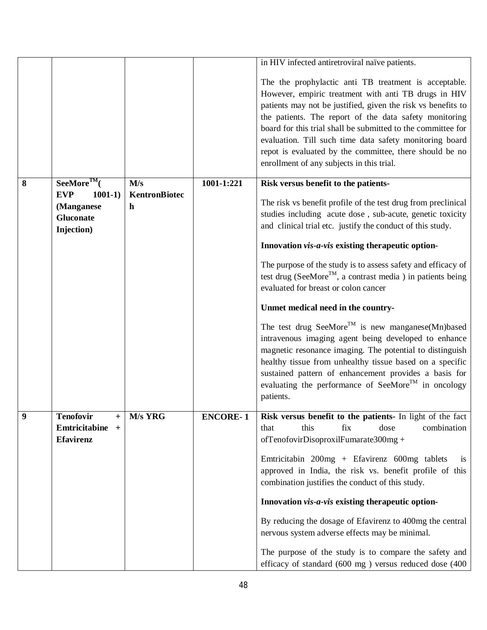|   |                                                                  |                    |                 | in HIV infected antiretroviral naïve patients.                                                                                                                                                                                                                                                                                                                                                                                                                             |
|---|------------------------------------------------------------------|--------------------|-----------------|----------------------------------------------------------------------------------------------------------------------------------------------------------------------------------------------------------------------------------------------------------------------------------------------------------------------------------------------------------------------------------------------------------------------------------------------------------------------------|
|   |                                                                  |                    |                 | The the prophylactic anti TB treatment is acceptable.<br>However, empiric treatment with anti TB drugs in HIV<br>patients may not be justified, given the risk vs benefits to<br>the patients. The report of the data safety monitoring<br>board for this trial shall be submitted to the committee for<br>evaluation. Till such time data safety monitoring board<br>repot is evaluated by the committee, there should be no<br>enrollment of any subjects in this trial. |
| 8 | $See$ More <sup>TM</sup> $($                                     | M/s                | 1001-1:221      | Risk versus benefit to the patients-                                                                                                                                                                                                                                                                                                                                                                                                                                       |
|   | <b>EVP</b><br>$1001-1)$<br>(Manganese<br>Gluconate<br>Injection) | KentronBiotec<br>h |                 | The risk vs benefit profile of the test drug from preclinical<br>studies including acute dose, sub-acute, genetic toxicity<br>and clinical trial etc. justify the conduct of this study.                                                                                                                                                                                                                                                                                   |
|   |                                                                  |                    |                 | Innovation vis-a-vis existing therapeutic option-                                                                                                                                                                                                                                                                                                                                                                                                                          |
|   |                                                                  |                    |                 | The purpose of the study is to assess safety and efficacy of<br>test drug (SeeMore <sup>TM</sup> , a contrast media ) in patients being<br>evaluated for breast or colon cancer                                                                                                                                                                                                                                                                                            |
|   |                                                                  |                    |                 | Unmet medical need in the country-                                                                                                                                                                                                                                                                                                                                                                                                                                         |
|   |                                                                  |                    |                 | The test drug SeeMore <sup>TM</sup> is new manganese(Mn)based<br>intravenous imaging agent being developed to enhance<br>magnetic resonance imaging. The potential to distinguish<br>healthy tissue from unhealthy tissue based on a specific<br>sustained pattern of enhancement provides a basis for<br>evaluating the performance of SeeMore <sup>TM</sup> in oncology<br>patients.                                                                                     |
| 9 | <b>Tenofovir</b><br>$^{+}$                                       | M/s YRG            | <b>ENCORE-1</b> | Risk versus benefit to the patients- In light of the fact                                                                                                                                                                                                                                                                                                                                                                                                                  |
|   | Emtricitabine<br>$+$<br><b>Efavirenz</b>                         |                    |                 | combination<br>this<br>dose<br>that<br>fix<br>ofTenofovirDisoproxilFumarate300mg +<br>Emtricitabin 200mg + Efavirenz 600mg tablets<br><b>1S</b>                                                                                                                                                                                                                                                                                                                            |
|   |                                                                  |                    |                 | approved in India, the risk vs. benefit profile of this<br>combination justifies the conduct of this study.                                                                                                                                                                                                                                                                                                                                                                |
|   |                                                                  |                    |                 | Innovation vis-a-vis existing therapeutic option-                                                                                                                                                                                                                                                                                                                                                                                                                          |
|   |                                                                  |                    |                 | By reducing the dosage of Efavirenz to 400mg the central<br>nervous system adverse effects may be minimal.                                                                                                                                                                                                                                                                                                                                                                 |
|   |                                                                  |                    |                 | The purpose of the study is to compare the safety and<br>efficacy of standard (600 mg) versus reduced dose (400                                                                                                                                                                                                                                                                                                                                                            |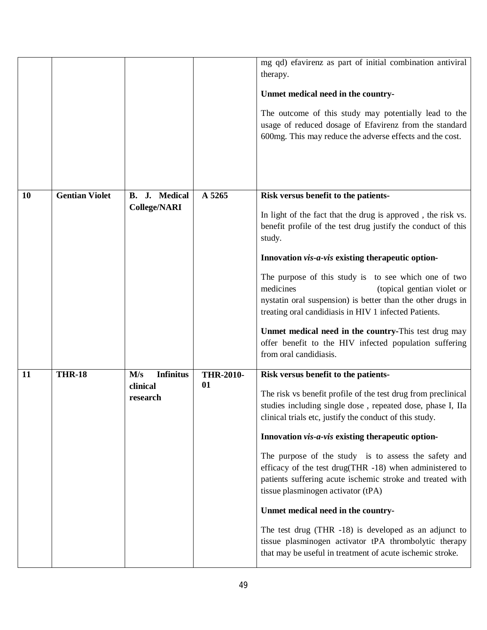|           |                       |                                                 |                        | mg qd) efavirenz as part of initial combination antiviral<br>therapy.<br>Unmet medical need in the country-<br>The outcome of this study may potentially lead to the<br>usage of reduced dosage of Efavirenz from the standard<br>600mg. This may reduce the adverse effects and the cost.                                                                                                                                                                                                                                                                                                                                                                                                                                     |
|-----------|-----------------------|-------------------------------------------------|------------------------|--------------------------------------------------------------------------------------------------------------------------------------------------------------------------------------------------------------------------------------------------------------------------------------------------------------------------------------------------------------------------------------------------------------------------------------------------------------------------------------------------------------------------------------------------------------------------------------------------------------------------------------------------------------------------------------------------------------------------------|
| <b>10</b> | <b>Gentian Violet</b> | B. J. Medical<br><b>College/NARI</b>            | A 5265                 | Risk versus benefit to the patients-<br>In light of the fact that the drug is approved, the risk vs.<br>benefit profile of the test drug justify the conduct of this<br>study.<br>Innovation vis-a-vis existing therapeutic option-<br>The purpose of this study is to see which one of two<br>medicines<br>(topical gentian violet or<br>nystatin oral suspension) is better than the other drugs in<br>treating oral candidiasis in HIV 1 infected Patients.<br>Unmet medical need in the country-This test drug may<br>offer benefit to the HIV infected population suffering<br>from oral candidiasis.                                                                                                                     |
| 11        | <b>THR-18</b>         | <b>Infinitus</b><br>M/s<br>clinical<br>research | <b>THR-2010-</b><br>01 | Risk versus benefit to the patients-<br>The risk vs benefit profile of the test drug from preclinical<br>studies including single dose, repeated dose, phase I, IIa<br>clinical trials etc, justify the conduct of this study.<br>Innovation vis-a-vis existing therapeutic option-<br>The purpose of the study is to assess the safety and<br>efficacy of the test drug(THR -18) when administered to<br>patients suffering acute ischemic stroke and treated with<br>tissue plasminogen activator (tPA)<br>Unmet medical need in the country-<br>The test drug (THR -18) is developed as an adjunct to<br>tissue plasminogen activator tPA thrombolytic therapy<br>that may be useful in treatment of acute ischemic stroke. |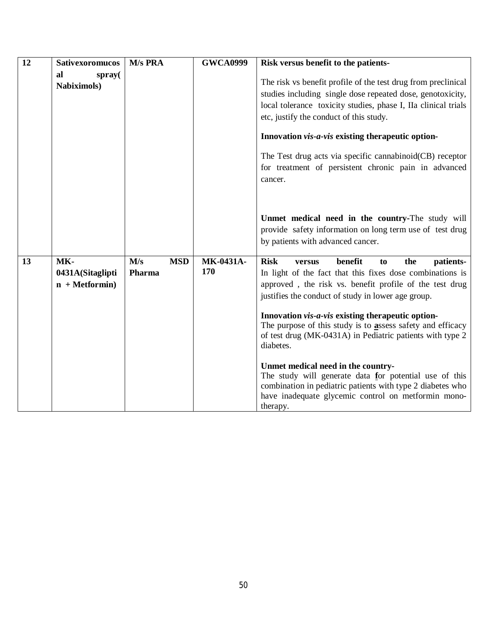| 12 | <b>Sativexoromucos</b>                      | M/s PRA                     | <b>GWCA0999</b>  | Risk versus benefit to the patients-                                                                                                                                                                                                     |
|----|---------------------------------------------|-----------------------------|------------------|------------------------------------------------------------------------------------------------------------------------------------------------------------------------------------------------------------------------------------------|
|    | al<br>spray(<br><b>Nabiximols</b> )         |                             |                  | The risk vs benefit profile of the test drug from preclinical<br>studies including single dose repeated dose, genotoxicity,<br>local tolerance toxicity studies, phase I, IIa clinical trials<br>etc, justify the conduct of this study. |
|    |                                             |                             |                  | Innovation vis-a-vis existing therapeutic option-                                                                                                                                                                                        |
|    |                                             |                             |                  | The Test drug acts via specific cannabinoid(CB) receptor<br>for treatment of persistent chronic pain in advanced<br>cancer.                                                                                                              |
|    |                                             |                             |                  | Unmet medical need in the country-The study will<br>provide safety information on long term use of test drug<br>by patients with advanced cancer.                                                                                        |
| 13 | MK-<br>0431A(Sitaglipti<br>$n + Metformin)$ | M/s<br><b>MSD</b><br>Pharma | MK-0431A-<br>170 | <b>Risk</b><br>benefit<br>the<br>patients-<br>to<br>versus<br>In light of the fact that this fixes dose combinations is<br>approved, the risk vs. benefit profile of the test drug<br>justifies the conduct of study in lower age group. |
|    |                                             |                             |                  | Innovation vis-a-vis existing therapeutic option-<br>The purpose of this study is to assess safety and efficacy<br>of test drug (MK-0431A) in Pediatric patients with type 2<br>diabetes.                                                |
|    |                                             |                             |                  | Unmet medical need in the country-<br>The study will generate data for potential use of this<br>combination in pediatric patients with type 2 diabetes who<br>have inadequate glycemic control on metformin mono-<br>therapy.            |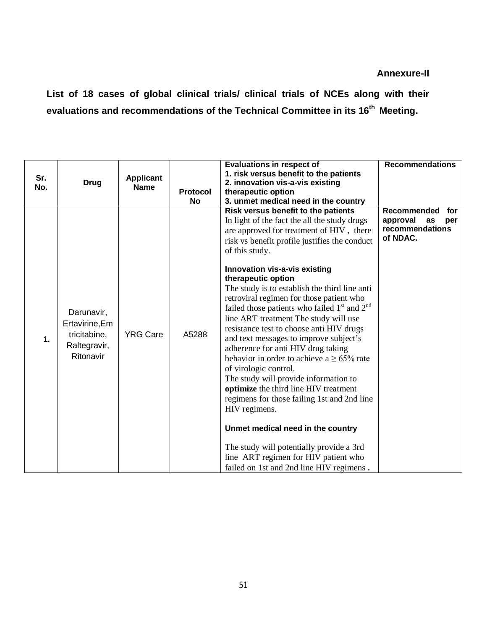**List of 18 cases of global clinical trials/ clinical trials of NCEs along with their evaluations and recommendations of the Technical Committee in its 16 th Meeting.**

|     |                                                                           |                                 |          | <b>Evaluations in respect of</b>                                                                                                                                                                                                                                                                                                                                                                                                                                                                                                                                                                                                                                                                                                                                                                                                                                                                                                       | <b>Recommendations</b>                                                            |
|-----|---------------------------------------------------------------------------|---------------------------------|----------|----------------------------------------------------------------------------------------------------------------------------------------------------------------------------------------------------------------------------------------------------------------------------------------------------------------------------------------------------------------------------------------------------------------------------------------------------------------------------------------------------------------------------------------------------------------------------------------------------------------------------------------------------------------------------------------------------------------------------------------------------------------------------------------------------------------------------------------------------------------------------------------------------------------------------------------|-----------------------------------------------------------------------------------|
| Sr. |                                                                           |                                 |          | 1. risk versus benefit to the patients                                                                                                                                                                                                                                                                                                                                                                                                                                                                                                                                                                                                                                                                                                                                                                                                                                                                                                 |                                                                                   |
| No. | <b>Drug</b>                                                               | <b>Applicant</b><br><b>Name</b> |          | 2. innovation vis-a-vis existing                                                                                                                                                                                                                                                                                                                                                                                                                                                                                                                                                                                                                                                                                                                                                                                                                                                                                                       |                                                                                   |
|     |                                                                           |                                 | Protocol | therapeutic option                                                                                                                                                                                                                                                                                                                                                                                                                                                                                                                                                                                                                                                                                                                                                                                                                                                                                                                     |                                                                                   |
|     |                                                                           |                                 | No       | 3. unmet medical need in the country                                                                                                                                                                                                                                                                                                                                                                                                                                                                                                                                                                                                                                                                                                                                                                                                                                                                                                   |                                                                                   |
| 1.  | Darunavir,<br>Ertavirine, Em<br>tricitabine,<br>Raltegravir,<br>Ritonavir | <b>YRG Care</b>                 | A5288    | Risk versus benefit to the patients<br>In light of the fact the all the study drugs<br>are approved for treatment of HIV, there<br>risk vs benefit profile justifies the conduct<br>of this study.<br>Innovation vis-a-vis existing<br>therapeutic option<br>The study is to establish the third line anti<br>retroviral regimen for those patient who<br>failed those patients who failed $1st$ and $2nd$<br>line ART treatment The study will use<br>resistance test to choose anti HIV drugs<br>and text messages to improve subject's<br>adherence for anti HIV drug taking<br>behavior in order to achieve a $\geq 65\%$ rate<br>of virologic control.<br>The study will provide information to<br>optimize the third line HIV treatment<br>regimens for those failing 1st and 2nd line<br>HIV regimens.<br>Unmet medical need in the country<br>The study will potentially provide a 3rd<br>line ART regimen for HIV patient who | <b>Recommended</b><br>for<br>approval<br>as<br>per<br>recommendations<br>of NDAC. |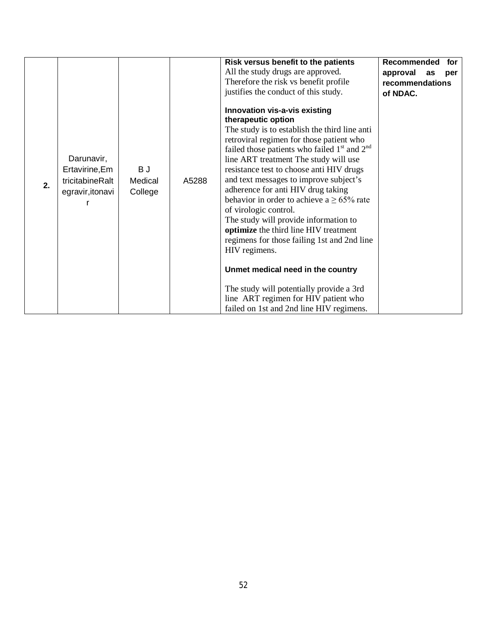| 2. | Darunavir,<br>Ertavirine, Em<br>tricitabineRalt<br>egravir, itonavi | B J<br>Medical<br>College | A5288 | Risk versus benefit to the patients<br>All the study drugs are approved.<br>Therefore the risk vs benefit profile<br>justifies the conduct of this study.<br>Innovation vis-a-vis existing<br>therapeutic option<br>The study is to establish the third line anti<br>retroviral regimen for those patient who<br>failed those patients who failed $1st$ and $2nd$<br>line ART treatment The study will use<br>resistance test to choose anti HIV drugs<br>and text messages to improve subject's<br>adherence for anti HIV drug taking<br>behavior in order to achieve a $\geq 65\%$ rate<br>of virologic control.<br>The study will provide information to<br>optimize the third line HIV treatment<br>regimens for those failing 1st and 2nd line<br>HIV regimens.<br>Unmet medical need in the country<br>The study will potentially provide a 3rd | <b>Recommended</b><br>for<br>approval<br>as<br>per<br>recommendations<br>of NDAC. |
|----|---------------------------------------------------------------------|---------------------------|-------|-------------------------------------------------------------------------------------------------------------------------------------------------------------------------------------------------------------------------------------------------------------------------------------------------------------------------------------------------------------------------------------------------------------------------------------------------------------------------------------------------------------------------------------------------------------------------------------------------------------------------------------------------------------------------------------------------------------------------------------------------------------------------------------------------------------------------------------------------------|-----------------------------------------------------------------------------------|
|    |                                                                     |                           |       | line ART regimen for HIV patient who<br>failed on 1st and 2nd line HIV regimens.                                                                                                                                                                                                                                                                                                                                                                                                                                                                                                                                                                                                                                                                                                                                                                      |                                                                                   |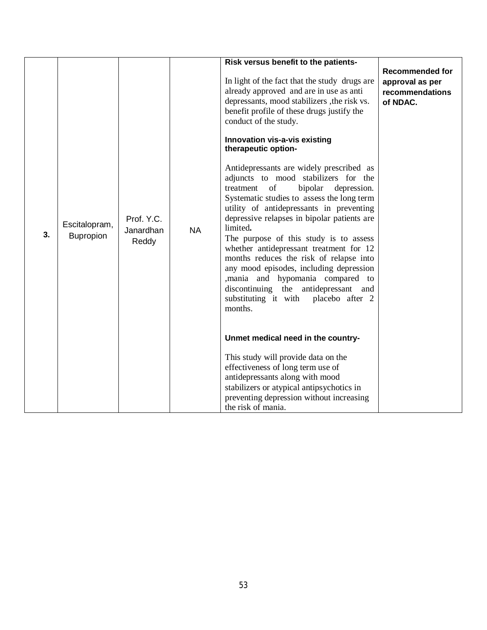| 3. | Escitalopram,<br>Bupropion | Prof. Y.C.<br>Janardhan<br>Reddy | <b>NA</b> | Risk versus benefit to the patients-<br>In light of the fact that the study drugs are<br>already approved and are in use as anti<br>depressants, mood stabilizers , the risk vs.<br>benefit profile of these drugs justify the<br>conduct of the study.<br>Innovation vis-a-vis existing<br>therapeutic option-<br>Antidepressants are widely prescribed as<br>adjuncts to mood stabilizers for the<br>treatment of<br>bipolar<br>depression.<br>Systematic studies to assess the long term<br>utility of antidepressants in preventing<br>depressive relapses in bipolar patients are<br>limited.<br>The purpose of this study is to assess<br>whether antidepressant treatment for 12<br>months reduces the risk of relapse into | <b>Recommended for</b><br>approval as per<br>recommendations<br>of NDAC. |
|----|----------------------------|----------------------------------|-----------|------------------------------------------------------------------------------------------------------------------------------------------------------------------------------------------------------------------------------------------------------------------------------------------------------------------------------------------------------------------------------------------------------------------------------------------------------------------------------------------------------------------------------------------------------------------------------------------------------------------------------------------------------------------------------------------------------------------------------------|--------------------------------------------------------------------------|
|    |                            |                                  |           | any mood episodes, including depression<br>,mania and hypomania compared to<br>discontinuing the antidepressant and<br>substituting it with placebo after 2<br>months.<br>Unmet medical need in the country-<br>This study will provide data on the<br>effectiveness of long term use of<br>antidepressants along with mood<br>stabilizers or atypical antipsychotics in<br>preventing depression without increasing<br>the risk of mania.                                                                                                                                                                                                                                                                                         |                                                                          |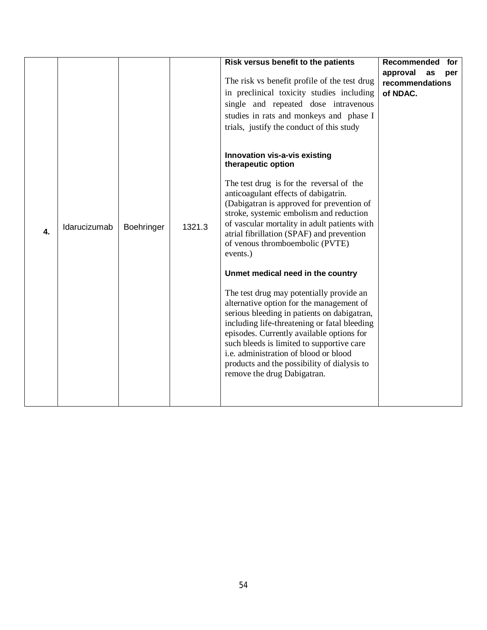|    |              |            |        | Risk versus benefit to the patients<br>The risk vs benefit profile of the test drug<br>in preclinical toxicity studies including<br>single and repeated dose intravenous<br>studies in rats and monkeys and phase I<br>trials, justify the conduct of this study<br>Innovation vis-a-vis existing<br>therapeutic option                                                                                                                                                                          | Recommended<br>for<br>approval<br>as<br>per<br>recommendations<br>of NDAC. |
|----|--------------|------------|--------|--------------------------------------------------------------------------------------------------------------------------------------------------------------------------------------------------------------------------------------------------------------------------------------------------------------------------------------------------------------------------------------------------------------------------------------------------------------------------------------------------|----------------------------------------------------------------------------|
| 4. | Idarucizumab | Boehringer | 1321.3 | The test drug is for the reversal of the<br>anticoagulant effects of dabigatrin.<br>(Dabigatran is approved for prevention of<br>stroke, systemic embolism and reduction<br>of vascular mortality in adult patients with<br>atrial fibrillation (SPAF) and prevention<br>of venous thromboembolic (PVTE)<br>events.)<br>Unmet medical need in the country<br>The test drug may potentially provide an<br>alternative option for the management of<br>serious bleeding in patients on dabigatran, |                                                                            |
|    |              |            |        | including life-threatening or fatal bleeding<br>episodes. Currently available options for<br>such bleeds is limited to supportive care<br>i.e. administration of blood or blood<br>products and the possibility of dialysis to<br>remove the drug Dabigatran.                                                                                                                                                                                                                                    |                                                                            |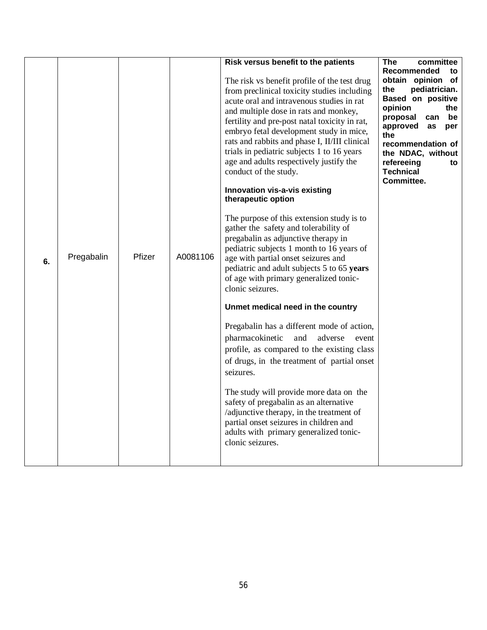|    |            |        |          | Risk versus benefit to the patients           | <b>The</b><br>committee                 |
|----|------------|--------|----------|-----------------------------------------------|-----------------------------------------|
|    |            |        |          |                                               | Recommended<br>to                       |
|    |            |        |          | The risk vs benefit profile of the test drug  | obtain opinion of                       |
|    |            |        |          | from preclinical toxicity studies including   | pediatrician.<br>the                    |
|    |            |        |          | acute oral and intravenous studies in rat     | Based on positive                       |
|    |            |        |          | and multiple dose in rats and monkey,         | opinion<br>the<br>proposal<br>can<br>be |
|    |            |        |          | fertility and pre-post natal toxicity in rat, | approved<br>as<br>per                   |
|    |            |        |          | embryo fetal development study in mice,       | the                                     |
|    |            |        |          | rats and rabbits and phase I, II/III clinical | recommendation of                       |
|    |            |        |          | trials in pediatric subjects 1 to 16 years    | the NDAC, without                       |
|    |            |        |          | age and adults respectively justify the       | refereeing<br>to                        |
|    |            |        |          | conduct of the study.                         | <b>Technical</b>                        |
|    |            |        |          | Innovation vis-a-vis existing                 | Committee.                              |
|    |            |        |          | therapeutic option                            |                                         |
|    |            |        |          |                                               |                                         |
|    |            |        |          | The purpose of this extension study is to     |                                         |
|    |            |        |          | gather the safety and tolerability of         |                                         |
|    |            |        |          | pregabalin as adjunctive therapy in           |                                         |
|    |            |        |          | pediatric subjects 1 month to 16 years of     |                                         |
| 6. | Pregabalin | Pfizer | A0081106 | age with partial onset seizures and           |                                         |
|    |            |        |          | pediatric and adult subjects 5 to 65 years    |                                         |
|    |            |        |          | of age with primary generalized tonic-        |                                         |
|    |            |        |          | clonic seizures.                              |                                         |
|    |            |        |          | Unmet medical need in the country             |                                         |
|    |            |        |          | Pregabalin has a different mode of action,    |                                         |
|    |            |        |          | pharmacokinetic<br>and<br>adverse<br>event    |                                         |
|    |            |        |          | profile, as compared to the existing class    |                                         |
|    |            |        |          |                                               |                                         |
|    |            |        |          | of drugs, in the treatment of partial onset   |                                         |
|    |            |        |          | seizures.                                     |                                         |
|    |            |        |          | The study will provide more data on the       |                                         |
|    |            |        |          | safety of pregabalin as an alternative        |                                         |
|    |            |        |          | /adjunctive therapy, in the treatment of      |                                         |
|    |            |        |          | partial onset seizures in children and        |                                         |
|    |            |        |          | adults with primary generalized tonic-        |                                         |
|    |            |        |          | clonic seizures.                              |                                         |
|    |            |        |          |                                               |                                         |
|    |            |        |          |                                               |                                         |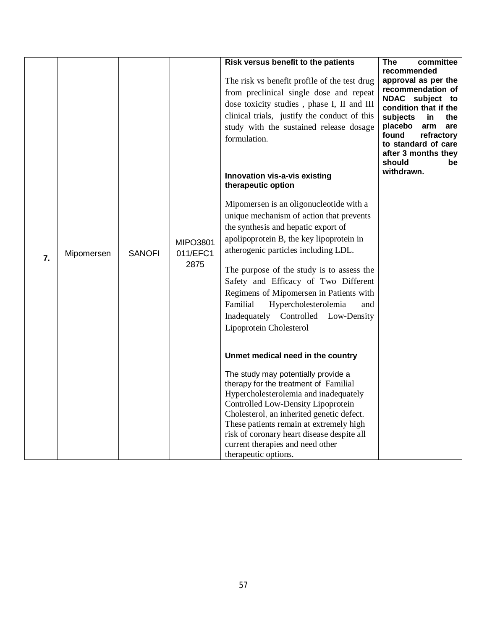| $\overline{7}$ . | Mipomersen | <b>SANOFI</b> | MIPO3801<br>011/EFC1<br>2875 | Risk versus benefit to the patients<br>The risk vs benefit profile of the test drug<br>from preclinical single dose and repeat<br>dose toxicity studies, phase I, II and III<br>clinical trials, justify the conduct of this<br>study with the sustained release dosage<br>formulation.<br>Innovation vis-a-vis existing<br>therapeutic option<br>Mipomersen is an oligonucleotide with a<br>unique mechanism of action that prevents<br>the synthesis and hepatic export of<br>apolipoprotein B, the key lipoprotein in<br>atherogenic particles including LDL.<br>The purpose of the study is to assess the<br>Safety and Efficacy of Two Different<br>Regimens of Mipomersen in Patients with<br>Familial<br>Hypercholesterolemia<br>and<br>Inadequately Controlled Low-Density<br>Lipoprotein Cholesterol<br>Unmet medical need in the country<br>The study may potentially provide a<br>therapy for the treatment of Familial<br>Hypercholesterolemia and inadequately<br>Controlled Low-Density Lipoprotein<br>Cholesterol, an inherited genetic defect. | The<br>committee<br>recommended<br>approval as per the<br>recommendation of<br>NDAC subject<br>to<br>condition that if the<br>subjects<br>the<br>in.<br>placebo<br>arm<br>are<br>found<br>refractory<br>to standard of care<br>after 3 months they<br>should<br>be<br>withdrawn. |
|------------------|------------|---------------|------------------------------|----------------------------------------------------------------------------------------------------------------------------------------------------------------------------------------------------------------------------------------------------------------------------------------------------------------------------------------------------------------------------------------------------------------------------------------------------------------------------------------------------------------------------------------------------------------------------------------------------------------------------------------------------------------------------------------------------------------------------------------------------------------------------------------------------------------------------------------------------------------------------------------------------------------------------------------------------------------------------------------------------------------------------------------------------------------|----------------------------------------------------------------------------------------------------------------------------------------------------------------------------------------------------------------------------------------------------------------------------------|
|                  |            |               |                              | These patients remain at extremely high<br>risk of coronary heart disease despite all<br>current therapies and need other<br>therapeutic options.                                                                                                                                                                                                                                                                                                                                                                                                                                                                                                                                                                                                                                                                                                                                                                                                                                                                                                              |                                                                                                                                                                                                                                                                                  |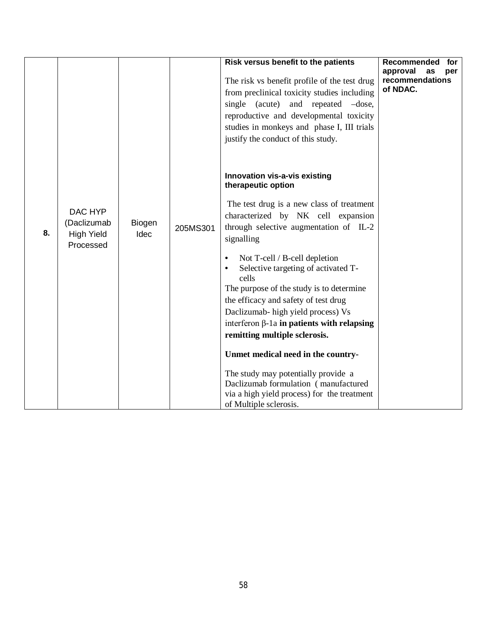|    |                                                          |                       |          | Risk versus benefit to the patients<br>The risk vs benefit profile of the test drug<br>from preclinical toxicity studies including<br>single (acute)<br>and repeated -dose,<br>reproductive and developmental toxicity<br>studies in monkeys and phase I, III trials<br>justify the conduct of this study.<br>Innovation vis-a-vis existing                                                                                                                                                                                                                                                                                                                                            | Recommended<br>for<br>approval<br>as<br>per<br>recommendations<br>of NDAC. |
|----|----------------------------------------------------------|-----------------------|----------|----------------------------------------------------------------------------------------------------------------------------------------------------------------------------------------------------------------------------------------------------------------------------------------------------------------------------------------------------------------------------------------------------------------------------------------------------------------------------------------------------------------------------------------------------------------------------------------------------------------------------------------------------------------------------------------|----------------------------------------------------------------------------|
| 8. | DAC HYP<br>(Daclizumab<br><b>High Yield</b><br>Processed | Biogen<br><b>Idec</b> | 205MS301 | therapeutic option<br>The test drug is a new class of treatment<br>characterized by NK cell expansion<br>through selective augmentation of IL-2<br>signalling<br>Not T-cell / B-cell depletion<br>$\bullet$<br>Selective targeting of activated T-<br>$\bullet$<br>cells<br>The purpose of the study is to determine<br>the efficacy and safety of test drug<br>Daclizumab- high yield process) Vs<br>interferon $\beta$ -1a in patients with relapsing<br>remitting multiple sclerosis.<br>Unmet medical need in the country-<br>The study may potentially provide a<br>Daclizumab formulation (manufactured<br>via a high yield process) for the treatment<br>of Multiple sclerosis. |                                                                            |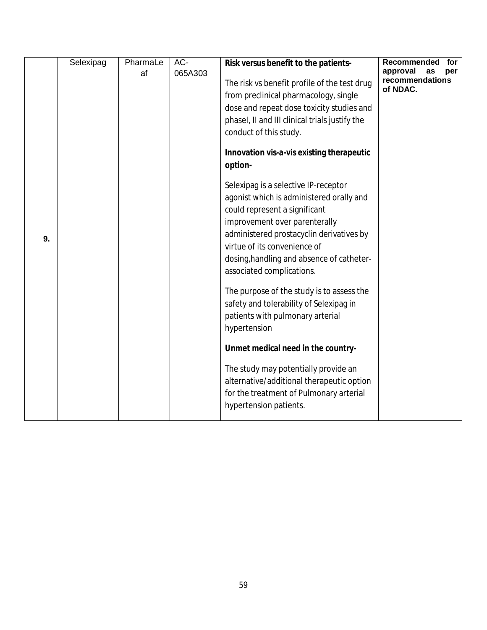|    | Selexipag | PharmaLe | $AC-$   | Risk versus benefit to the patients-                                                                                                                                                                                                                                                                                                                  | Recommended<br>for                                   |
|----|-----------|----------|---------|-------------------------------------------------------------------------------------------------------------------------------------------------------------------------------------------------------------------------------------------------------------------------------------------------------------------------------------------------------|------------------------------------------------------|
|    |           | af       | 065A303 | The risk vs benefit profile of the test drug<br>from preclinical pharmacology, single<br>dose and repeat dose toxicity studies and<br>phasel, II and III clinical trials justify the<br>conduct of this study.                                                                                                                                        | approval<br>as<br>per<br>recommendations<br>of NDAC. |
|    |           |          |         | Innovation vis-a-vis existing therapeutic<br>option-                                                                                                                                                                                                                                                                                                  |                                                      |
| 9. |           |          |         | Selexipag is a selective IP-receptor<br>agonist which is administered orally and<br>could represent a significant<br>improvement over parenterally<br>administered prostacyclin derivatives by<br>virtue of its convenience of<br>dosing, handling and absence of catheter-<br>associated complications.<br>The purpose of the study is to assess the |                                                      |
|    |           |          |         | safety and tolerability of Selexipag in<br>patients with pulmonary arterial<br>hypertension                                                                                                                                                                                                                                                           |                                                      |
|    |           |          |         | Unmet medical need in the country-                                                                                                                                                                                                                                                                                                                    |                                                      |
|    |           |          |         | The study may potentially provide an<br>alternative/additional therapeutic option<br>for the treatment of Pulmonary arterial<br>hypertension patients.                                                                                                                                                                                                |                                                      |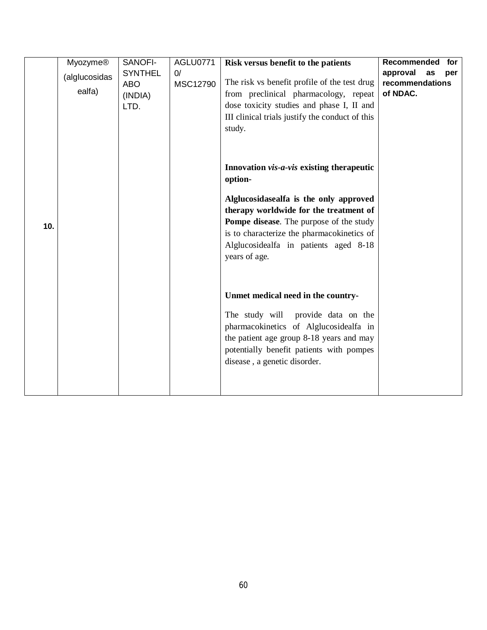| <b>Myozyme®</b><br>(alglucosidas<br>ealfa) | SANOFI-<br><b>SYNTHEL</b><br><b>ABO</b><br>(INDIA)<br>LTD. | AGLU0771<br>0/<br>MSC12790 | Risk versus benefit to the patients<br>The risk vs benefit profile of the test drug<br>from preclinical pharmacology, repeat<br>dose toxicity studies and phase I, II and<br>III clinical trials justify the conduct of this<br>study.                                                             | Recommended<br>for<br>approval<br>as<br>per<br>recommendations<br>of NDAC. |
|--------------------------------------------|------------------------------------------------------------|----------------------------|----------------------------------------------------------------------------------------------------------------------------------------------------------------------------------------------------------------------------------------------------------------------------------------------------|----------------------------------------------------------------------------|
| 10.                                        |                                                            |                            | Innovation vis-a-vis existing therapeutic<br>option-<br>Alglucosidasealfa is the only approved<br>therapy worldwide for the treatment of<br><b>Pompe disease.</b> The purpose of the study<br>is to characterize the pharmacokinetics of<br>Alglucosidealfa in patients aged 8-18<br>years of age. |                                                                            |
|                                            |                                                            |                            | Unmet medical need in the country-<br>The study will<br>provide data on the<br>pharmacokinetics of Alglucosidealfa in<br>the patient age group 8-18 years and may<br>potentially benefit patients with pompes<br>disease, a genetic disorder.                                                      |                                                                            |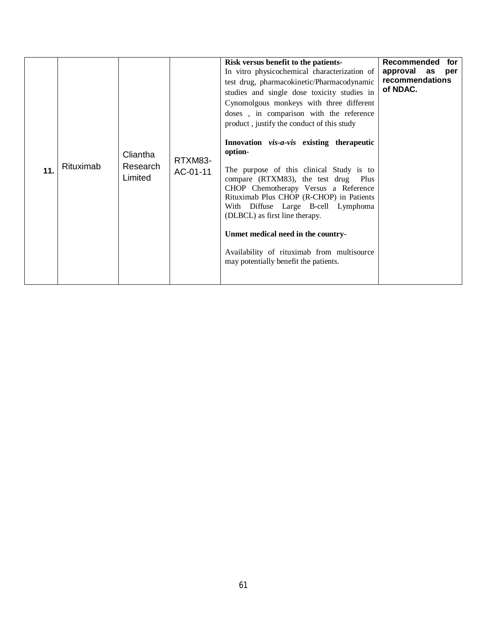| 11. | Rituximab | Cliantha<br>Research<br>Limited | RTXM83-<br>AC-01-11 | Risk versus benefit to the patients-<br>In vitro physicochemical characterization of<br>test drug, pharmacokinetic/Pharmacodynamic<br>studies and single dose toxicity studies in<br>Cynomolgous monkeys with three different<br>doses, in comparison with the reference<br>product, justify the conduct of this study<br>Innovation vis-a-vis existing therapeutic<br>option-<br>The purpose of this clinical Study is to<br>compare (RTXM83), the test drug Plus<br>CHOP Chemotherapy Versus a Reference<br>Rituximab Plus CHOP (R-CHOP) in Patients<br>With Diffuse Large B-cell Lymphoma<br>(DLBCL) as first line therapy.<br>Unmet medical need in the country-<br>Availability of rituximab from multisource<br>may potentially benefit the patients. | <b>Recommended</b><br>for<br>approval as<br>per<br>recommendations<br>of NDAC. |
|-----|-----------|---------------------------------|---------------------|-------------------------------------------------------------------------------------------------------------------------------------------------------------------------------------------------------------------------------------------------------------------------------------------------------------------------------------------------------------------------------------------------------------------------------------------------------------------------------------------------------------------------------------------------------------------------------------------------------------------------------------------------------------------------------------------------------------------------------------------------------------|--------------------------------------------------------------------------------|
|-----|-----------|---------------------------------|---------------------|-------------------------------------------------------------------------------------------------------------------------------------------------------------------------------------------------------------------------------------------------------------------------------------------------------------------------------------------------------------------------------------------------------------------------------------------------------------------------------------------------------------------------------------------------------------------------------------------------------------------------------------------------------------------------------------------------------------------------------------------------------------|--------------------------------------------------------------------------------|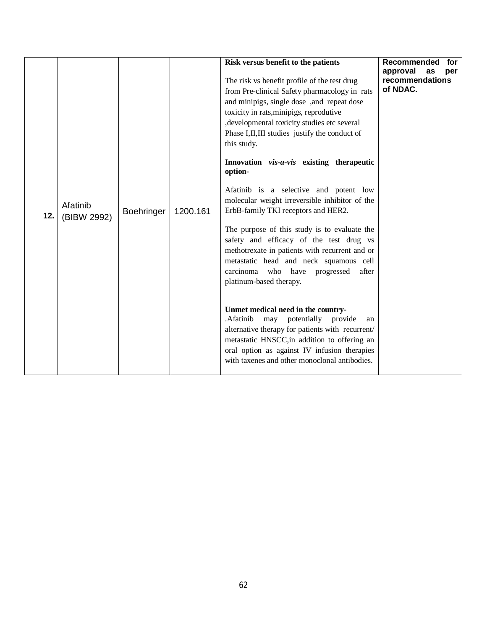| 12. | Afatinib<br>(BIBW 2992) | <b>Boehringer</b> | 1200.161 | Risk versus benefit to the patients<br>The risk vs benefit profile of the test drug<br>from Pre-clinical Safety pharmacology in rats<br>and minipigs, single dose, and repeat dose<br>toxicity in rats, minipigs, reprodutive<br>, developmental toxicity studies etc several<br>Phase I, II, III studies justify the conduct of<br>this study.<br>Innovation vis-a-vis existing therapeutic<br>option-<br>Afatinib is a selective and potent low<br>molecular weight irreversible inhibitor of the<br>ErbB-family TKI receptors and HER2.<br>The purpose of this study is to evaluate the<br>safety and efficacy of the test drug vs<br>methotrexate in patients with recurrent and or<br>metastatic head and neck squamous cell<br>carcinoma who have progressed<br>after<br>platinum-based therapy.<br>Unmet medical need in the country- | Recommended<br>for<br>approval<br>as<br>per<br>recommendations<br>of NDAC. |
|-----|-------------------------|-------------------|----------|----------------------------------------------------------------------------------------------------------------------------------------------------------------------------------------------------------------------------------------------------------------------------------------------------------------------------------------------------------------------------------------------------------------------------------------------------------------------------------------------------------------------------------------------------------------------------------------------------------------------------------------------------------------------------------------------------------------------------------------------------------------------------------------------------------------------------------------------|----------------------------------------------------------------------------|
|     |                         |                   |          | .Afatinib<br>may potentially provide<br>an<br>alternative therapy for patients with recurrent/<br>metastatic HNSCC, in addition to offering an<br>oral option as against IV infusion therapies<br>with taxenes and other monoclonal antibodies.                                                                                                                                                                                                                                                                                                                                                                                                                                                                                                                                                                                              |                                                                            |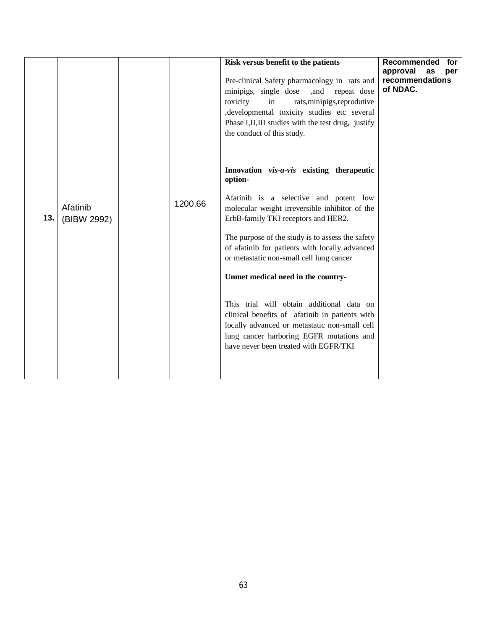|     |                         |         | Risk versus benefit to the patients<br>Pre-clinical Safety pharmacology in rats and<br>minipigs, single dose<br>,and repeat dose<br>toxicity<br>in<br>rats, minipigs, reprodutive<br>, developmental toxicity studies etc several<br>Phase I, II, III studies with the test drug, justify<br>the conduct of this study.                                                                                                                                                                                                                                                                                              | Recommended<br>for<br>approval<br>as<br>per<br>recommendations<br>of NDAC. |
|-----|-------------------------|---------|----------------------------------------------------------------------------------------------------------------------------------------------------------------------------------------------------------------------------------------------------------------------------------------------------------------------------------------------------------------------------------------------------------------------------------------------------------------------------------------------------------------------------------------------------------------------------------------------------------------------|----------------------------------------------------------------------------|
| 13. | Afatinib<br>(BIBW 2992) | 1200.66 | Innovation vis-a-vis existing therapeutic<br>option-<br>Afatinib is a selective and potent low<br>molecular weight irreversible inhibitor of the<br>ErbB-family TKI receptors and HER2.<br>The purpose of the study is to assess the safety<br>of afatinib for patients with locally advanced<br>or metastatic non-small cell lung cancer<br>Unmet medical need in the country-<br>This trial will obtain additional data on<br>clinical benefits of afatinib in patients with<br>locally advanced or metastatic non-small cell<br>lung cancer harboring EGFR mutations and<br>have never been treated with EGFR/TKI |                                                                            |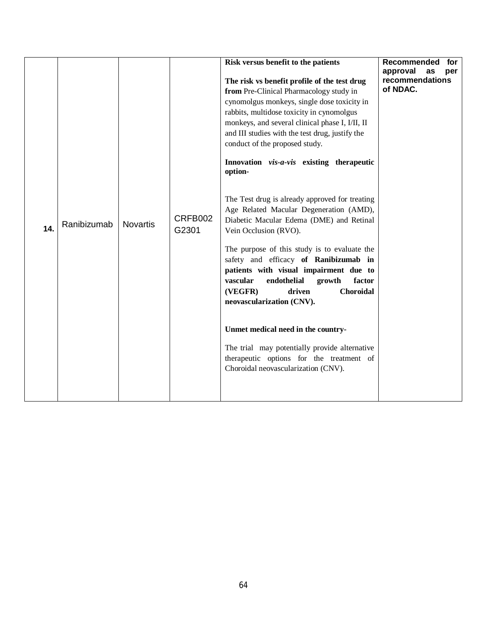| 14. | Ranibizumab | <b>Novartis</b> | CRFB002<br>G2301 | Risk versus benefit to the patients<br>The risk vs benefit profile of the test drug<br>from Pre-Clinical Pharmacology study in<br>cynomolgus monkeys, single dose toxicity in<br>rabbits, multidose toxicity in cynomolgus<br>monkeys, and several clinical phase I, I/II, II<br>and III studies with the test drug, justify the<br>conduct of the proposed study.<br>Innovation vis-a-vis existing therapeutic<br>option-<br>The Test drug is already approved for treating<br>Age Related Macular Degeneration (AMD),<br>Diabetic Macular Edema (DME) and Retinal<br>Vein Occlusion (RVO).<br>The purpose of this study is to evaluate the | Recommended<br>for<br>approval<br>as<br>per<br>recommendations<br>of NDAC. |
|-----|-------------|-----------------|------------------|----------------------------------------------------------------------------------------------------------------------------------------------------------------------------------------------------------------------------------------------------------------------------------------------------------------------------------------------------------------------------------------------------------------------------------------------------------------------------------------------------------------------------------------------------------------------------------------------------------------------------------------------|----------------------------------------------------------------------------|
|     |             |                 |                  | safety and efficacy of Ranibizumab in<br>patients with visual impairment due to<br>vascular<br>endothelial<br>factor<br>growth<br>(VEGFR)<br>driven<br>Choroidal<br>neovascularization (CNV).                                                                                                                                                                                                                                                                                                                                                                                                                                                |                                                                            |
|     |             |                 |                  | Unmet medical need in the country-                                                                                                                                                                                                                                                                                                                                                                                                                                                                                                                                                                                                           |                                                                            |
|     |             |                 |                  | The trial may potentially provide alternative                                                                                                                                                                                                                                                                                                                                                                                                                                                                                                                                                                                                |                                                                            |
|     |             |                 |                  | therapeutic options for the treatment of<br>Choroidal neovascularization (CNV).                                                                                                                                                                                                                                                                                                                                                                                                                                                                                                                                                              |                                                                            |
|     |             |                 |                  |                                                                                                                                                                                                                                                                                                                                                                                                                                                                                                                                                                                                                                              |                                                                            |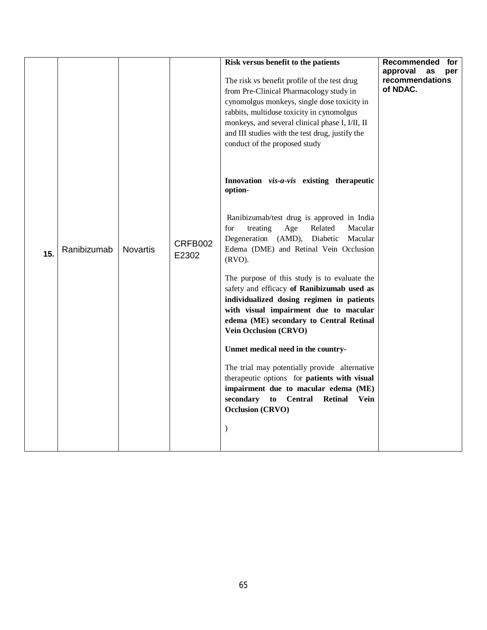|     |             |                 |                  | Risk versus benefit to the patients<br>The risk vs benefit profile of the test drug<br>from Pre-Clinical Pharmacology study in<br>cynomolgus monkeys, single dose toxicity in<br>rabbits, multidose toxicity in cynomolgus<br>monkeys, and several clinical phase I, I/II, II<br>and III studies with the test drug, justify the<br>conduct of the proposed study                                                                                                                                                                                                                                                                                                                                                                                                                            | Recommended<br>for<br>approval<br>as<br>per<br>recommendations<br>of NDAC. |
|-----|-------------|-----------------|------------------|----------------------------------------------------------------------------------------------------------------------------------------------------------------------------------------------------------------------------------------------------------------------------------------------------------------------------------------------------------------------------------------------------------------------------------------------------------------------------------------------------------------------------------------------------------------------------------------------------------------------------------------------------------------------------------------------------------------------------------------------------------------------------------------------|----------------------------------------------------------------------------|
| 15. | Ranibizumab | <b>Novartis</b> | CRFB002<br>E2302 | Innovation vis-a-vis existing therapeutic<br>option-<br>Ranibizumab/test drug is approved in India<br>treating<br>Age<br>Related<br>Macular<br>for<br>Degeneration (AMD),<br>Diabetic<br>Macular<br>Edema (DME) and Retinal Vein Occlusion<br>(RVO).<br>The purpose of this study is to evaluate the<br>safety and efficacy of Ranibizumab used as<br>individualized dosing regimen in patients<br>with visual impairment due to macular<br>edema (ME) secondary to Central Retinal<br>Vein Occlusion (CRVO)<br>Unmet medical need in the country-<br>The trial may potentially provide alternative<br>therapeutic options for patients with visual<br>impairment due to macular edema (ME)<br>secondary<br><b>Retinal</b><br>to Central<br>Vein<br><b>Occlusion (CRVO)</b><br>$\mathcal{E}$ |                                                                            |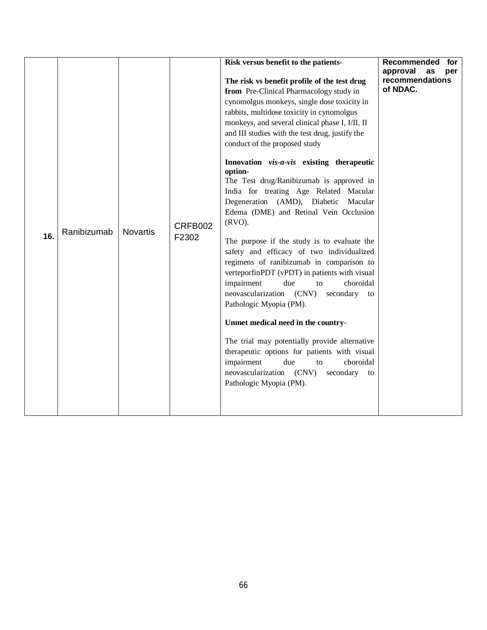| 16. | Ranibizumab | <b>Novartis</b> | CRFB002<br>F2302 | Risk versus benefit to the patients-<br>The risk vs benefit profile of the test drug<br>from Pre-Clinical Pharmacology study in<br>cynomolgus monkeys, single dose toxicity in<br>rabbits, multidose toxicity in cynomolgus<br>monkeys, and several clinical phase I, I/II, II<br>and III studies with the test drug, justify the<br>conduct of the proposed study<br>Innovation vis-a-vis existing therapeutic<br>option-<br>The Test drug/Ranibizumab is approved in<br>India for treating Age Related Macular<br>Degeneration (AMD), Diabetic<br>Macular<br>Edema (DME) and Retinal Vein Occlusion<br>$(RVO)$ .<br>The purpose if the study is to evaluate the<br>safety and efficacy of two individualized<br>regimens of ranibizumab in comparison to<br>verteporfinPDT (vPDT) in patients with visual<br>impairment<br>due<br>choroidal<br>to<br>neovascularization (CNV)<br>secondary<br>to<br>Pathologic Myopia (PM).<br>Unmet medical need in the country-<br>The trial may potentially provide alternative<br>therapeutic options for patients with visual<br>impairment<br>choroidal<br>due<br>to<br>neovascularization (CNV)<br>secondary to<br>Pathologic Myopia (PM). | Recommended<br>for<br>approval<br>as<br>per<br>recommendations<br>of NDAC. |  |
|-----|-------------|-----------------|------------------|-------------------------------------------------------------------------------------------------------------------------------------------------------------------------------------------------------------------------------------------------------------------------------------------------------------------------------------------------------------------------------------------------------------------------------------------------------------------------------------------------------------------------------------------------------------------------------------------------------------------------------------------------------------------------------------------------------------------------------------------------------------------------------------------------------------------------------------------------------------------------------------------------------------------------------------------------------------------------------------------------------------------------------------------------------------------------------------------------------------------------------------------------------------------------------------|----------------------------------------------------------------------------|--|
|-----|-------------|-----------------|------------------|-------------------------------------------------------------------------------------------------------------------------------------------------------------------------------------------------------------------------------------------------------------------------------------------------------------------------------------------------------------------------------------------------------------------------------------------------------------------------------------------------------------------------------------------------------------------------------------------------------------------------------------------------------------------------------------------------------------------------------------------------------------------------------------------------------------------------------------------------------------------------------------------------------------------------------------------------------------------------------------------------------------------------------------------------------------------------------------------------------------------------------------------------------------------------------------|----------------------------------------------------------------------------|--|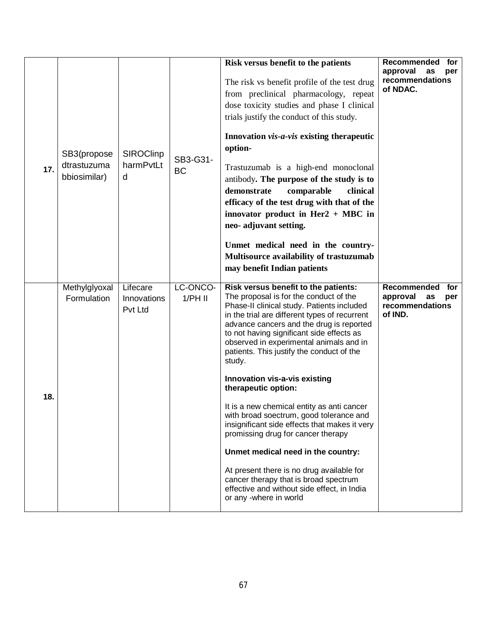| 17. | SB3(propose<br>dtrastuzuma<br>bbiosimilar) | <b>SIROClinp</b><br>harmPvtLt<br>d | SB3-G31-<br><b>BC</b> | Risk versus benefit to the patients<br>The risk vs benefit profile of the test drug<br>from preclinical pharmacology, repeat<br>dose toxicity studies and phase I clinical<br>trials justify the conduct of this study.<br>Innovation vis-a-vis existing therapeutic<br>option-<br>Trastuzumab is a high-end monoclonal<br>antibody. The purpose of the study is to<br>demonstrate<br>comparable<br>clinical<br>efficacy of the test drug with that of the<br>innovator product in Her $2 + \text{MBC}$ in<br>neo- adjuvant setting.<br>Unmet medical need in the country-<br>Multisource availability of trastuzumab<br>may benefit Indian patients                                                                                                                                                                  | Recommended for<br>approval<br>as<br>per<br>recommendations<br>of NDAC.   |
|-----|--------------------------------------------|------------------------------------|-----------------------|-----------------------------------------------------------------------------------------------------------------------------------------------------------------------------------------------------------------------------------------------------------------------------------------------------------------------------------------------------------------------------------------------------------------------------------------------------------------------------------------------------------------------------------------------------------------------------------------------------------------------------------------------------------------------------------------------------------------------------------------------------------------------------------------------------------------------|---------------------------------------------------------------------------|
| 18. | Methylglyoxal<br>Formulation               | Lifecare<br>Innovations<br>Pvt Ltd | LC-ONCO-<br>$1/PH$ II | Risk versus benefit to the patients:<br>The proposal is for the conduct of the<br>Phase-II clinical study. Patients included<br>in the trial are different types of recurrent<br>advance cancers and the drug is reported<br>to not having significant side effects as<br>observed in experimental animals and in<br>patients. This justify the conduct of the<br>study.<br>Innovation vis-a-vis existing<br>therapeutic option:<br>It is a new chemical entity as anti cancer<br>with broad soectrum, good tolerance and<br>insignificant side effects that makes it very<br>promissing drug for cancer therapy<br>Unmet medical need in the country:<br>At present there is no drug available for<br>cancer therapy that is broad spectrum<br>effective and without side effect, in India<br>or any -where in world | Recommended<br>for<br>approval<br>as<br>per<br>recommendations<br>of IND. |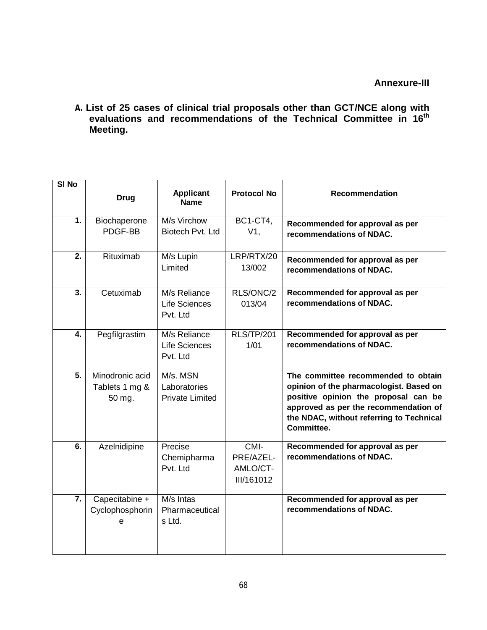**A. List of 25 cases of clinical trial proposals other than GCT/NCE along with evaluations and recommendations of the Technical Committee in 16 th Meeting.**

| SI <sub>No</sub> |                                             |                                                    |                                             |                                                                                                                                                                                                                           |
|------------------|---------------------------------------------|----------------------------------------------------|---------------------------------------------|---------------------------------------------------------------------------------------------------------------------------------------------------------------------------------------------------------------------------|
|                  | <b>Drug</b>                                 | <b>Applicant</b><br><b>Name</b>                    | <b>Protocol No</b>                          | <b>Recommendation</b>                                                                                                                                                                                                     |
| 1.               | Biochaperone<br>PDGF-BB                     | M/s Virchow<br>Biotech Pvt. Ltd                    | <b>BC1-CT4,</b><br>$V1$ ,                   | Recommended for approval as per<br>recommendations of NDAC.                                                                                                                                                               |
| $\overline{2}$ . | Rituximab                                   | M/s Lupin<br>Limited                               | LRP/RTX/20<br>13/002                        | Recommended for approval as per<br>recommendations of NDAC.                                                                                                                                                               |
| $\overline{3}$ . | Cetuximab                                   | M/s Reliance<br>Life Sciences<br>Pvt. Ltd          | RLS/ONC/2<br>013/04                         | Recommended for approval as per<br>recommendations of NDAC.                                                                                                                                                               |
| 4.               | Pegfilgrastim                               | M/s Reliance<br>Life Sciences<br>Pvt. Ltd          | <b>RLS/TP/201</b><br>1/01                   | Recommended for approval as per<br>recommendations of NDAC.                                                                                                                                                               |
| $\overline{5}$ . | Minodronic acid<br>Tablets 1 mg &<br>50 mg. | M/s. MSN<br>Laboratories<br><b>Private Limited</b> |                                             | The committee recommended to obtain<br>opinion of the pharmacologist. Based on<br>positive opinion the proposal can be<br>approved as per the recommendation of<br>the NDAC, without referring to Technical<br>Committee. |
| $\overline{6}$ . | Azelnidipine                                | Precise<br>Chemipharma<br>Pvt. Ltd                 | CMI-<br>PRE/AZEL-<br>AMLO/CT-<br>III/161012 | Recommended for approval as per<br>recommendations of NDAC.                                                                                                                                                               |
| $\overline{7}$ . | Capecitabine +<br>Cyclophosphorin<br>e      | M/s Intas<br>Pharmaceutical<br>s Ltd.              |                                             | Recommended for approval as per<br>recommendations of NDAC.                                                                                                                                                               |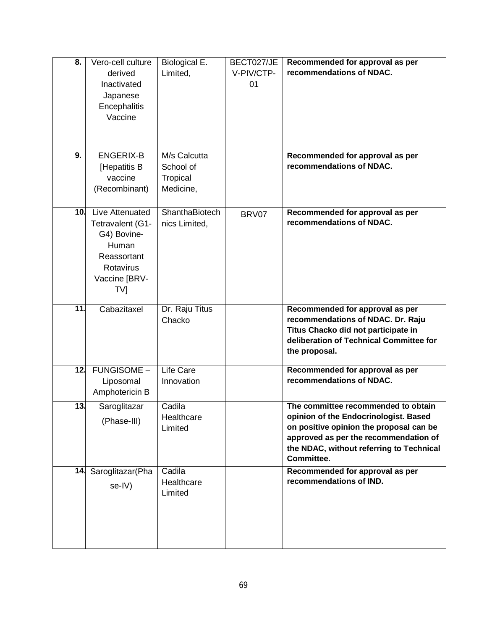| 8.              | Vero-cell culture<br>derived<br>Inactivated<br>Japanese<br>Encephalitis<br>Vaccine                                          | Biological E.<br>Limited,                          | BECT027/JE<br>V-PIV/CTP-<br>01 | Recommended for approval as per<br>recommendations of NDAC.                                                                                                                                                                |
|-----------------|-----------------------------------------------------------------------------------------------------------------------------|----------------------------------------------------|--------------------------------|----------------------------------------------------------------------------------------------------------------------------------------------------------------------------------------------------------------------------|
| 9.              | <b>ENGERIX-B</b><br>[Hepatitis B<br>vaccine<br>(Recombinant)                                                                | M/s Calcutta<br>School of<br>Tropical<br>Medicine, |                                | Recommended for approval as per<br>recommendations of NDAC.                                                                                                                                                                |
| 10 <sub>1</sub> | Live Attenuated<br>Tetravalent (G1-<br>G4) Bovine-<br>Human<br>Reassortant<br>Rotavirus<br>Vaccine [BRV-<br>TV <sub>l</sub> | ShanthaBiotech<br>nics Limited,                    | BRV07                          | Recommended for approval as per<br>recommendations of NDAC.                                                                                                                                                                |
| $\overline{11}$ | Cabazitaxel                                                                                                                 | Dr. Raju Titus<br>Chacko                           |                                | Recommended for approval as per<br>recommendations of NDAC. Dr. Raju<br>Titus Chacko did not participate in<br>deliberation of Technical Committee for<br>the proposal.                                                    |
| 12.             | <b>FUNGISOME -</b><br>Liposomal<br>Amphotericin B                                                                           | Life Care<br>Innovation                            |                                | Recommended for approval as per<br>recommendations of NDAC.                                                                                                                                                                |
| 13.             | Saroglitazar<br>(Phase-III)                                                                                                 | Cadila<br>Healthcare<br>Limited                    |                                | The committee recommended to obtain<br>opinion of the Endocrinologist. Based<br>on positive opinion the proposal can be<br>approved as per the recommendation of<br>the NDAC, without referring to Technical<br>Committee. |
|                 | 14. Saroglitazar(Pha<br>se-IV)                                                                                              | Cadila<br>Healthcare<br>Limited                    |                                | Recommended for approval as per<br>recommendations of IND.                                                                                                                                                                 |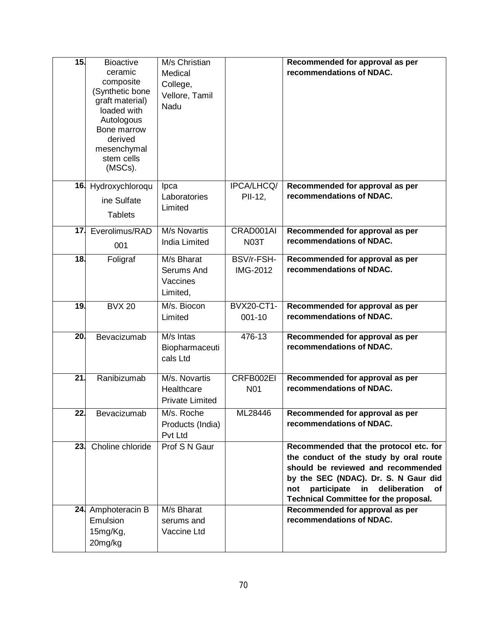| 15.             | <b>Bioactive</b><br>ceramic<br>composite<br>(Synthetic bone<br>graft material)<br>loaded with<br>Autologous<br>Bone marrow<br>derived<br>mesenchymal | M/s Christian<br>Medical<br>College,<br>Vellore, Tamil<br>Nadu |                                 | Recommended for approval as per<br>recommendations of NDAC.                                                                                                                                                                                                      |
|-----------------|------------------------------------------------------------------------------------------------------------------------------------------------------|----------------------------------------------------------------|---------------------------------|------------------------------------------------------------------------------------------------------------------------------------------------------------------------------------------------------------------------------------------------------------------|
|                 | stem cells<br>(MSCs).                                                                                                                                |                                                                |                                 |                                                                                                                                                                                                                                                                  |
|                 | 16. Hydroxychloroqu<br>ine Sulfate<br><b>Tablets</b>                                                                                                 | Ipca<br>Laboratories<br>Limited                                | IPCA/LHCQ/<br>PII-12,           | Recommended for approval as per<br>recommendations of NDAC.                                                                                                                                                                                                      |
| 17 <sub>1</sub> | Everolimus/RAD<br>001                                                                                                                                | M/s Novartis<br><b>India Limited</b>                           | CRAD001AI<br><b>N03T</b>        | Recommended for approval as per<br>recommendations of NDAC.                                                                                                                                                                                                      |
| 18.             | Foligraf                                                                                                                                             | M/s Bharat<br>Serums And<br>Vaccines<br>Limited,               | BSV/r-FSH-<br>IMG-2012          | Recommended for approval as per<br>recommendations of NDAC.                                                                                                                                                                                                      |
| 19.             | <b>BVX 20</b>                                                                                                                                        | M/s. Biocon<br>Limited                                         | <b>BVX20-CT1-</b><br>$001 - 10$ | Recommended for approval as per<br>recommendations of NDAC.                                                                                                                                                                                                      |
| 20.             | Bevacizumab                                                                                                                                          | M/s Intas<br>Biopharmaceuti<br>cals Ltd                        | $476 - 13$                      | Recommended for approval as per<br>recommendations of NDAC.                                                                                                                                                                                                      |
| $\overline{21}$ | Ranibizumab                                                                                                                                          | M/s. Novartis<br>Healthcare<br><b>Private Limited</b>          | CRFB002EI<br>N01                | Recommended for approval as per<br>recommendations of NDAC.                                                                                                                                                                                                      |
| $\overline{22}$ | Bevacizumab                                                                                                                                          | M/s. Roche<br>Products (India)<br>Pvt Ltd                      | ML28446                         | Recommended for approval as per<br>recommendations of NDAC.                                                                                                                                                                                                      |
|                 | 23. Choline chloride                                                                                                                                 | Prof S N Gaur                                                  |                                 | Recommended that the protocol etc. for<br>the conduct of the study by oral route<br>should be reviewed and recommended<br>by the SEC (NDAC). Dr. S. N Gaur did<br>participate<br>in<br>deliberation<br>not<br>оf<br><b>Technical Committee for the proposal.</b> |
|                 | 24. Amphoteracin B<br>Emulsion<br>15mg/Kg,<br>20mg/kg                                                                                                | M/s Bharat<br>serums and<br>Vaccine Ltd                        |                                 | Recommended for approval as per<br>recommendations of NDAC.                                                                                                                                                                                                      |